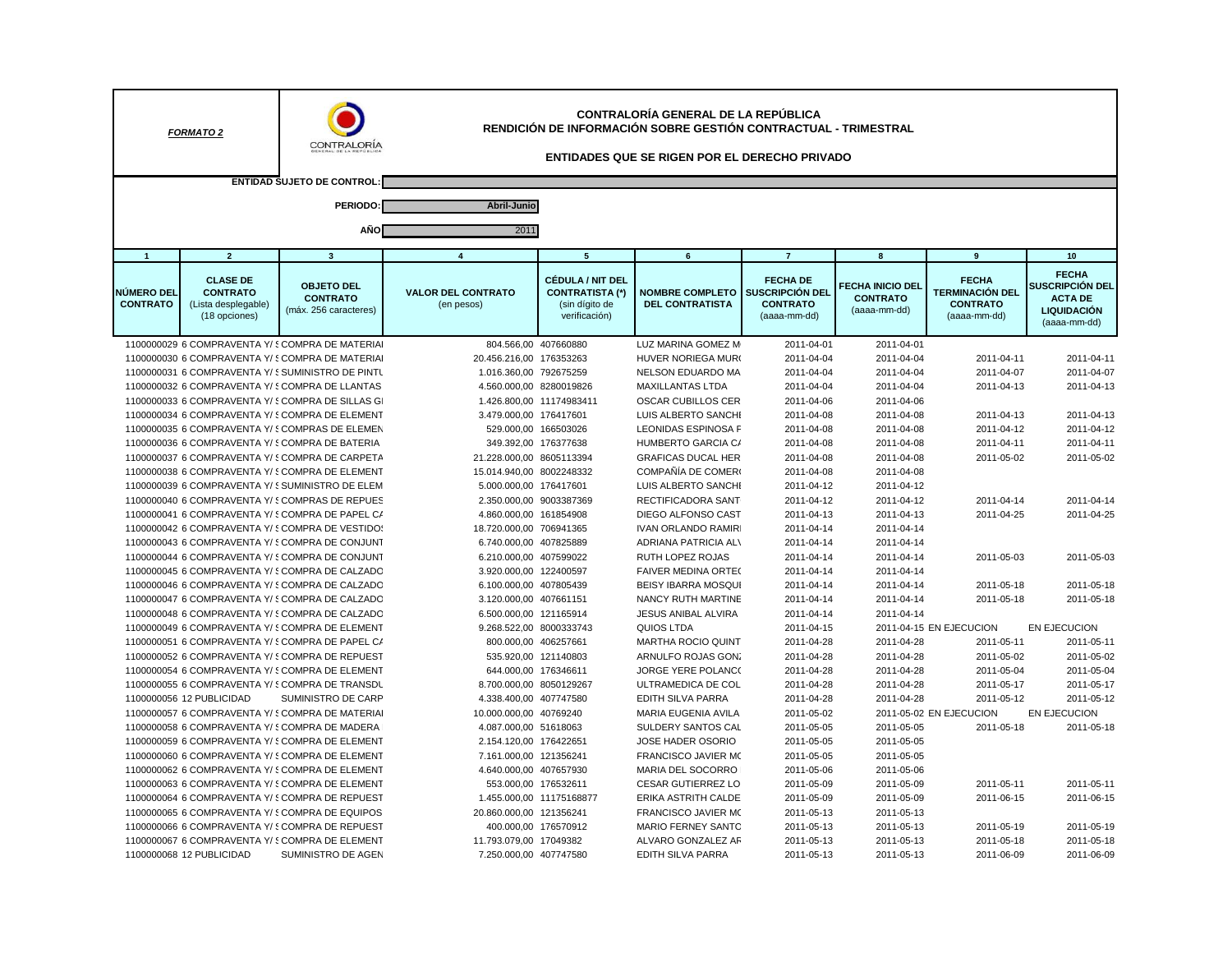| CONTRALORÍA GENERAL DE LA REPÚBLICA<br>RENDICIÓN DE INFORMACIÓN SOBRE GESTIÓN CONTRACTUAL - TRIMESTRAL<br><b>FORMATO 2</b><br>CONTRALORÍA<br><b>ENTIDADES QUE SE RIGEN POR EL DERECHO PRIVADO</b> |                                                                            |                                                                                                   |                                                 |                                                                                      |                                                  |                                                                              |                                                            |                                                                    |                                                                                         |
|---------------------------------------------------------------------------------------------------------------------------------------------------------------------------------------------------|----------------------------------------------------------------------------|---------------------------------------------------------------------------------------------------|-------------------------------------------------|--------------------------------------------------------------------------------------|--------------------------------------------------|------------------------------------------------------------------------------|------------------------------------------------------------|--------------------------------------------------------------------|-----------------------------------------------------------------------------------------|
|                                                                                                                                                                                                   |                                                                            | <b>ENTIDAD SUJETO DE CONTROL</b>                                                                  |                                                 |                                                                                      |                                                  |                                                                              |                                                            |                                                                    |                                                                                         |
|                                                                                                                                                                                                   |                                                                            | PERIODO:                                                                                          | Abril-Junio                                     |                                                                                      |                                                  |                                                                              |                                                            |                                                                    |                                                                                         |
|                                                                                                                                                                                                   |                                                                            |                                                                                                   |                                                 |                                                                                      |                                                  |                                                                              |                                                            |                                                                    |                                                                                         |
|                                                                                                                                                                                                   |                                                                            | AÑO                                                                                               | 2011                                            |                                                                                      |                                                  |                                                                              |                                                            |                                                                    |                                                                                         |
| $\overline{1}$                                                                                                                                                                                    | $\overline{2}$                                                             | $\overline{\mathbf{3}}$                                                                           | $\overline{4}$                                  | $5\overline{5}$                                                                      | 6                                                | $\overline{7}$                                                               | 8                                                          | 9                                                                  | 10                                                                                      |
| <b>NÚMERO DEL</b><br><b>CONTRATO</b>                                                                                                                                                              | <b>CLASE DE</b><br><b>CONTRATO</b><br>(Lista desplegable)<br>(18 opciones) | <b>OBJETO DEL</b><br><b>CONTRATO</b><br>(máx. 256 caracteres)                                     | <b>VALOR DEL CONTRATO</b><br>(en pesos)         | <b>CÉDULA / NIT DEL</b><br><b>CONTRATISTA (*)</b><br>(sin dígito de<br>verificación) | <b>NOMBRE COMPLETO</b><br><b>DEL CONTRATISTA</b> | <b>FECHA DE</b><br><b>SUSCRIPCIÓN DEL</b><br><b>CONTRATO</b><br>(aaaa-mm-dd) | <b>FECHA INICIO DEL</b><br><b>CONTRATO</b><br>(aaaa-mm-dd) | <b>FECHA</b><br>TERMINACIÓN DEL<br><b>CONTRATO</b><br>(aaaa-mm-dd) | <b>FECHA</b><br>SUSCRIPCIÓN DEL<br><b>ACTA DE</b><br><b>LIQUIDACIÓN</b><br>(aaaa-mm-dd) |
|                                                                                                                                                                                                   |                                                                            | 1100000029 6 COMPRAVENTA Y/ SCOMPRA DE MATERIAI                                                   | 804.566,00 407660880                            |                                                                                      | LUZ MARINA GOMEZ M                               | 2011-04-01                                                                   | 2011-04-01                                                 |                                                                    |                                                                                         |
|                                                                                                                                                                                                   |                                                                            | 1100000030 6 COMPRAVENTA Y/ § COMPRA DE MATERIAI                                                  | 20.456.216,00 176353263                         |                                                                                      | HUVER NORIEGA MUR(                               | 2011-04-04                                                                   | 2011-04-04                                                 | 2011-04-11                                                         | 2011-04-11                                                                              |
|                                                                                                                                                                                                   |                                                                            | 1100000031 6 COMPRAVENTA Y/ § SUMINISTRO DE PINTU                                                 | 1.016.360,00 792675259                          |                                                                                      | NELSON EDUARDO MA                                | 2011-04-04                                                                   | 2011-04-04                                                 | 2011-04-07                                                         | 2011-04-07                                                                              |
|                                                                                                                                                                                                   |                                                                            | 1100000032 6 COMPRAVENTA Y/ § COMPRA DE LLANTAS                                                   | 4.560.000,00 8280019826                         |                                                                                      | <b>MAXILLANTAS LTDA</b>                          | 2011-04-04                                                                   | 2011-04-04                                                 | 2011-04-13                                                         | 2011-04-13                                                                              |
|                                                                                                                                                                                                   |                                                                            | 1100000033 6 COMPRAVENTA Y/ {COMPRA DE SILLAS GI                                                  |                                                 | 1.426.800,00 11174983411                                                             | OSCAR CUBILLOS CER                               | 2011-04-06                                                                   | 2011-04-06                                                 |                                                                    |                                                                                         |
|                                                                                                                                                                                                   |                                                                            | 1100000034 6 COMPRAVENTA Y/ § COMPRA DE ELEMENT                                                   | 3.479.000,00 176417601                          |                                                                                      | LUIS ALBERTO SANCHI                              | 2011-04-08                                                                   | 2011-04-08                                                 | 2011-04-13                                                         | 2011-04-13                                                                              |
|                                                                                                                                                                                                   |                                                                            | 1100000035 6 COMPRAVENTA Y/ { COMPRAS DE ELEMEN                                                   | 529.000,00 166503026                            |                                                                                      | <b>LEONIDAS ESPINOSA F</b>                       | 2011-04-08                                                                   | 2011-04-08                                                 | 2011-04-12                                                         | 2011-04-12                                                                              |
|                                                                                                                                                                                                   |                                                                            | 1100000036 6 COMPRAVENTA Y/ § COMPRA DE BATERIA                                                   | 349.392,00 176377638                            |                                                                                      | HUMBERTO GARCIA C/                               | 2011-04-08                                                                   | 2011-04-08                                                 | 2011-04-11                                                         | 2011-04-11                                                                              |
|                                                                                                                                                                                                   |                                                                            | 1100000037 6 COMPRAVENTA Y/ § COMPRA DE CARPETA                                                   | 21.228.000,00 8605113394                        |                                                                                      | <b>GRAFICAS DUCAL HER</b>                        | 2011-04-08                                                                   | 2011-04-08                                                 | 2011-05-02                                                         | 2011-05-02                                                                              |
|                                                                                                                                                                                                   |                                                                            | 1100000038 6 COMPRAVENTA Y/ § COMPRA DE ELEMENT                                                   | 15.014.940,00 8002248332                        |                                                                                      | COMPAÑÍA DE COMERI                               | 2011-04-08                                                                   | 2011-04-08                                                 |                                                                    |                                                                                         |
|                                                                                                                                                                                                   |                                                                            | 1100000039 6 COMPRAVENTA Y/ § SUMINISTRO DE ELEM                                                  | 5.000.000,00 176417601                          |                                                                                      | LUIS ALBERTO SANCHI                              | 2011-04-12                                                                   | 2011-04-12                                                 |                                                                    |                                                                                         |
|                                                                                                                                                                                                   |                                                                            | 1100000040 6 COMPRAVENTA Y/ {COMPRAS DE REPUES                                                    | 2.350.000,00 9003387369                         |                                                                                      | RECTIFICADORA SANT                               | 2011-04-12                                                                   | 2011-04-12                                                 | 2011-04-14                                                         | 2011-04-14                                                                              |
|                                                                                                                                                                                                   |                                                                            | 1100000041 6 COMPRAVENTA Y/ SCOMPRA DE PAPEL C/                                                   | 4.860.000,00 161854908                          |                                                                                      | DIEGO ALFONSO CAST                               | 2011-04-13                                                                   | 2011-04-13                                                 | 2011-04-25                                                         | 2011-04-25                                                                              |
|                                                                                                                                                                                                   |                                                                            | 1100000042 6 COMPRAVENTA Y/ § COMPRA DE VESTIDOS                                                  | 18.720.000,00 706941365                         |                                                                                      | <b>IVAN ORLANDO RAMIRI</b>                       | 2011-04-14                                                                   | 2011-04-14                                                 |                                                                    |                                                                                         |
|                                                                                                                                                                                                   |                                                                            | 1100000043 6 COMPRAVENTA Y/ 5 COMPRA DE CONJUNT                                                   | 6.740.000,00 407825889                          |                                                                                      | <b>ADRIANA PATRICIA ALV</b>                      | 2011-04-14                                                                   | 2011-04-14                                                 |                                                                    |                                                                                         |
|                                                                                                                                                                                                   |                                                                            | 1100000044 6 COMPRAVENTA Y/ SCOMPRA DE CONJUNT                                                    | 6.210.000,00 407599022                          |                                                                                      | RUTH LOPEZ ROJAS                                 | 2011-04-14                                                                   | 2011-04-14                                                 | 2011-05-03                                                         | 2011-05-03                                                                              |
|                                                                                                                                                                                                   |                                                                            | 1100000045 6 COMPRAVENTA Y/ § COMPRA DE CALZADO                                                   | 3.920.000,00 122400597                          |                                                                                      | FAIVER MEDINA ORTE(                              | 2011-04-14                                                                   | 2011-04-14                                                 |                                                                    |                                                                                         |
|                                                                                                                                                                                                   |                                                                            | 1100000046 6 COMPRAVENTA Y/ § COMPRA DE CALZADO<br>1100000047 6 COMPRAVENTA Y/ SCOMPRA DE CALZADO | 6.100.000,00 407805439                          |                                                                                      | <b>BEISY IBARRA MOSQUI</b><br>NANCY RUTH MARTINE | 2011-04-14                                                                   | 2011-04-14                                                 | 2011-05-18                                                         | 2011-05-18<br>2011-05-18                                                                |
|                                                                                                                                                                                                   |                                                                            |                                                                                                   | 3.120.000,00 407661151                          |                                                                                      |                                                  | 2011-04-14                                                                   | 2011-04-14                                                 | 2011-05-18                                                         |                                                                                         |
|                                                                                                                                                                                                   |                                                                            | 1100000048 6 COMPRAVENTA Y/ § COMPRA DE CALZADO<br>1100000049 6 COMPRAVENTA Y/ SCOMPRA DE ELEMENT | 6.500.000,00 121165914                          |                                                                                      | <b>JESUS ANIBAL ALVIRA</b><br>QUIOS LTDA         | 2011-04-14                                                                   | 2011-04-14                                                 | 2011-04-15 EN EJECUCION                                            |                                                                                         |
|                                                                                                                                                                                                   |                                                                            | 1100000051 6 COMPRAVENTA Y/ § COMPRA DE PAPEL CA                                                  | 9.268.522,00 8000333743<br>800.000,00 406257661 |                                                                                      | <b>MARTHA ROCIO QUINT</b>                        | 2011-04-15<br>2011-04-28                                                     | 2011-04-28                                                 | 2011-05-11                                                         | EN EJECUCION<br>2011-05-11                                                              |
|                                                                                                                                                                                                   |                                                                            | 1100000052 6 COMPRAVENTA Y/ {COMPRA DE REPUEST                                                    | 535.920,00 121140803                            |                                                                                      | ARNULFO ROJAS GONZ                               | 2011-04-28                                                                   | 2011-04-28                                                 | 2011-05-02                                                         | 2011-05-02                                                                              |
|                                                                                                                                                                                                   |                                                                            | 1100000054 6 COMPRAVENTA Y/ SCOMPRA DE ELEMENT                                                    | 644.000,00 176346611                            |                                                                                      | JORGE YERE POLANC(                               | 2011-04-28                                                                   | 2011-04-28                                                 | 2011-05-04                                                         | 2011-05-04                                                                              |
|                                                                                                                                                                                                   |                                                                            | 1100000055 6 COMPRAVENTA Y/ {COMPRA DE TRANSDU                                                    | 8.700.000,00 8050129267                         |                                                                                      | ULTRAMEDICA DE COL                               | 2011-04-28                                                                   | 2011-04-28                                                 | 2011-05-17                                                         | 2011-05-17                                                                              |
|                                                                                                                                                                                                   | 1100000056 12 PUBLICIDAD                                                   | <b>SUMINISTRO DE CARP</b>                                                                         | 4.338.400,00 407747580                          |                                                                                      | EDITH SILVA PARRA                                | 2011-04-28                                                                   | 2011-04-28                                                 | 2011-05-12                                                         | 2011-05-12                                                                              |
|                                                                                                                                                                                                   |                                                                            | 1100000057 6 COMPRAVENTA Y/ SCOMPRA DE MATERIAI                                                   | 10.000.000,00 40769240                          |                                                                                      | MARIA EUGENIA AVILA                              | 2011-05-02                                                                   |                                                            | 2011-05-02 EN EJECUCION                                            | EN EJECUCION                                                                            |
|                                                                                                                                                                                                   |                                                                            | 1100000058 6 COMPRAVENTA Y/ § COMPRA DE MADERA                                                    | 4.087.000,00 51618063                           |                                                                                      | SULDERY SANTOS CAL                               | 2011-05-05                                                                   | 2011-05-05                                                 | 2011-05-18                                                         | 2011-05-18                                                                              |
|                                                                                                                                                                                                   |                                                                            | 1100000059 6 COMPRAVENTA Y/ SCOMPRA DE ELEMENT                                                    | 2.154.120,00 176422651                          |                                                                                      | JOSE HADER OSORIO                                | 2011-05-05                                                                   | 2011-05-05                                                 |                                                                    |                                                                                         |
|                                                                                                                                                                                                   |                                                                            | 1100000060 6 COMPRAVENTA Y/ § COMPRA DE ELEMENT                                                   | 7.161.000,00 121356241                          |                                                                                      | FRANCISCO JAVIER MC                              | 2011-05-05                                                                   | 2011-05-05                                                 |                                                                    |                                                                                         |
|                                                                                                                                                                                                   |                                                                            | 1100000062 6 COMPRAVENTA Y/ § COMPRA DE ELEMENT                                                   | 4.640.000,00 407657930                          |                                                                                      | MARIA DEL SOCORRO                                | 2011-05-06                                                                   | 2011-05-06                                                 |                                                                    |                                                                                         |
|                                                                                                                                                                                                   |                                                                            | 1100000063 6 COMPRAVENTA Y/ § COMPRA DE ELEMENT                                                   | 553.000,00 176532611                            |                                                                                      | <b>CESAR GUTIERREZ LO</b>                        | 2011-05-09                                                                   | 2011-05-09                                                 | 2011-05-11                                                         | 2011-05-11                                                                              |
|                                                                                                                                                                                                   |                                                                            | 1100000064 6 COMPRAVENTA Y/ { COMPRA DE REPUEST                                                   |                                                 | 1.455.000,00 11175168877                                                             | ERIKA ASTRITH CALDE                              | 2011-05-09                                                                   | 2011-05-09                                                 | 2011-06-15                                                         | 2011-06-15                                                                              |
|                                                                                                                                                                                                   |                                                                            | 1100000065 6 COMPRAVENTA Y/ SCOMPRA DE EQUIPOS                                                    | 20.860.000,00 121356241                         |                                                                                      | <b>FRANCISCO JAVIER MC</b>                       | 2011-05-13                                                                   | 2011-05-13                                                 |                                                                    |                                                                                         |
|                                                                                                                                                                                                   |                                                                            | 1100000066 6 COMPRAVENTA Y/ SCOMPRA DE REPUEST                                                    |                                                 | 400.000,00 176570912                                                                 | <b>MARIO FERNEY SANTO</b>                        | 2011-05-13                                                                   | 2011-05-13                                                 | 2011-05-19                                                         | 2011-05-19                                                                              |
|                                                                                                                                                                                                   |                                                                            | 1100000067 6 COMPRAVENTA Y/ { COMPRA DE ELEMENT                                                   | 11.793.079,00 17049382                          |                                                                                      | ALVARO GONZALEZ AF                               | 2011-05-13                                                                   | 2011-05-13                                                 | 2011-05-18                                                         | 2011-05-18                                                                              |
|                                                                                                                                                                                                   | 1100000068 12 PUBLICIDAD                                                   | SUMINISTRO DE AGEN                                                                                | 7.250.000,00 407747580                          |                                                                                      | <b>EDITH SILVA PARRA</b>                         | 2011-05-13                                                                   | 2011-05-13                                                 | 2011-06-09                                                         | 2011-06-09                                                                              |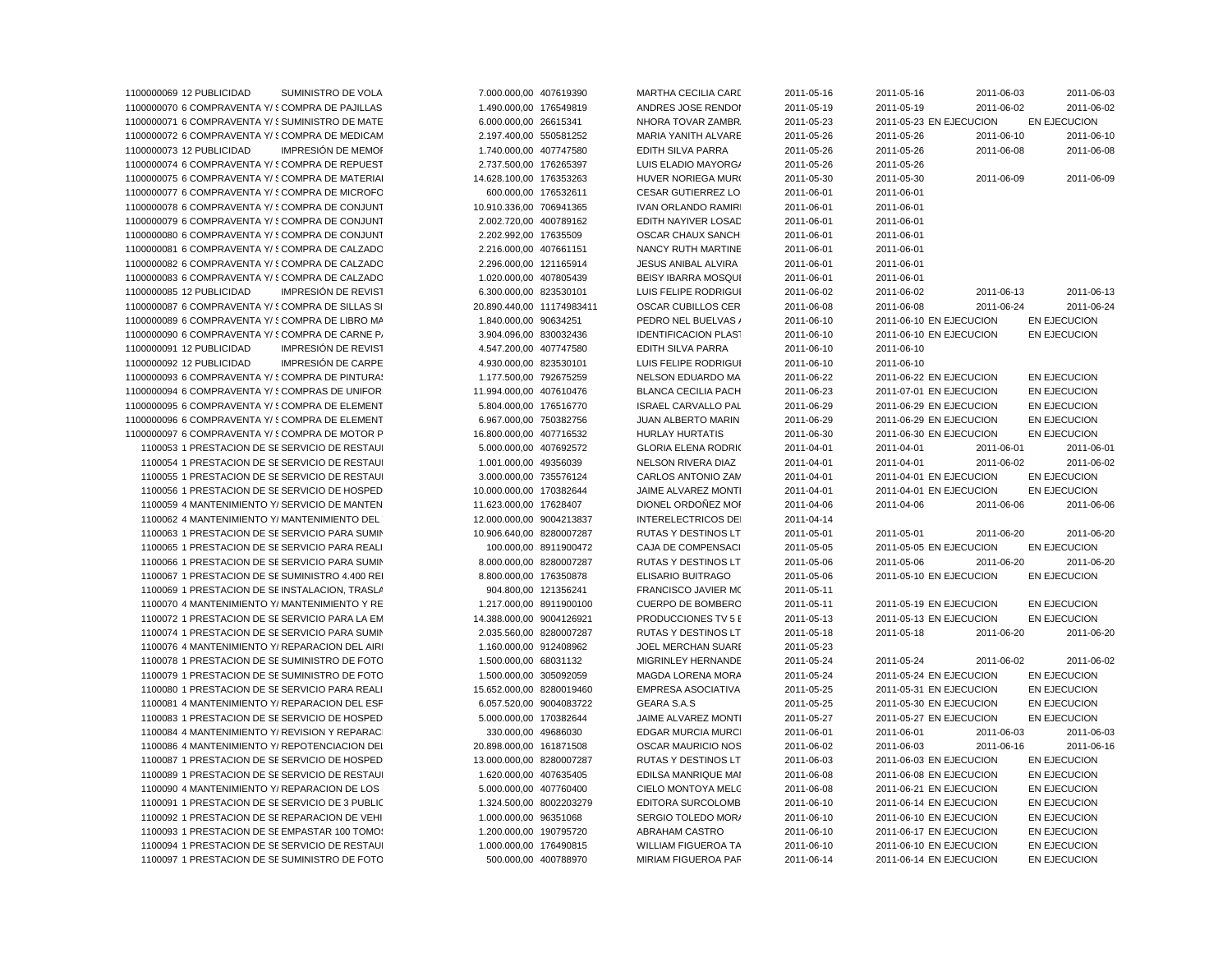| 1100000069 12 PUBLICIDAD<br>SUMINISTRO DE VOLA         | 7.000.000,00 407619390    | MARTHA CECILIA CARE         | 2011-05-16 | 2011-05-16              | 2011-06-03 | 2011-06-03          |
|--------------------------------------------------------|---------------------------|-----------------------------|------------|-------------------------|------------|---------------------|
| 1100000070 6 COMPRAVENTA Y/ § COMPRA DE PAJILLAS       | 1.490.000,00 176549819    | ANDRES JOSE RENDOI          | 2011-05-19 | 2011-05-19              | 2011-06-02 | 2011-06-02          |
| 1100000071 6 COMPRAVENTA Y/ § SUMINISTRO DE MATE       | 6.000.000,00 26615341     | NHORA TOVAR ZAMBR.          | 2011-05-23 | 2011-05-23 EN EJECUCION |            | EN EJECUCION        |
| 1100000072 6 COMPRAVENTA Y/ § COMPRA DE MEDICAM        | 2.197.400,00 550581252    | MARIA YANITH ALVARE         | 2011-05-26 | 2011-05-26              | 2011-06-10 | 2011-06-10          |
| 1100000073 12 PUBLICIDAD<br><b>IMPRESIÓN DE MEMOR</b>  | 1.740.000,00 407747580    | <b>EDITH SILVA PARRA</b>    | 2011-05-26 | 2011-05-26              | 2011-06-08 | 2011-06-08          |
| 1100000074 6 COMPRAVENTA Y/ SCOMPRA DE REPUEST         | 2.737.500,00 176265397    | LUIS ELADIO MAYORG/         | 2011-05-26 | 2011-05-26              |            |                     |
| 1100000075 6 COMPRAVENTA Y/ {COMPRA DE MATERIAI        | 14.628.100,00 176353263   | HUVER NORIEGA MUR(          | 2011-05-30 | 2011-05-30              | 2011-06-09 | 2011-06-09          |
| 1100000077 6 COMPRAVENTA Y/ § COMPRA DE MICROFO        | 600.000,00 176532611      | <b>CESAR GUTIERREZ LO</b>   | 2011-06-01 | 2011-06-01              |            |                     |
| 1100000078 6 COMPRAVENTA Y/ SCOMPRA DE CONJUNT         | 10.910.336,00 706941365   | <b>IVAN ORLANDO RAMIRI</b>  | 2011-06-01 | 2011-06-01              |            |                     |
| 1100000079 6 COMPRAVENTA Y/ § COMPRA DE CONJUNT        | 2.002.720,00 400789162    | EDITH NAYIVER LOSAD         | 2011-06-01 | 2011-06-01              |            |                     |
| 1100000080 6 COMPRAVENTA Y/ SCOMPRA DE CONJUNT         | 2.202.992,00 17635509     | <b>OSCAR CHAUX SANCH</b>    | 2011-06-01 | 2011-06-01              |            |                     |
| 1100000081 6 COMPRAVENTA Y/ § COMPRA DE CALZADO        | 2.216.000,00 407661151    | NANCY RUTH MARTINE          | 2011-06-01 | 2011-06-01              |            |                     |
| 1100000082 6 COMPRAVENTA Y/ SCOMPRA DE CALZADO         | 2.296.000,00 121165914    | JESUS ANIBAL ALVIRA         | 2011-06-01 | 2011-06-01              |            |                     |
|                                                        |                           |                             |            |                         |            |                     |
| 1100000083 6 COMPRAVENTA Y/ § COMPRA DE CALZADO        | 1.020.000,00 407805439    | <b>BEISY IBARRA MOSQUI</b>  | 2011-06-01 | 2011-06-01              |            |                     |
| 1100000085 12 PUBLICIDAD<br>IMPRESIÓN DE REVIST        | 6.300.000,00 823530101    | LUIS FELIPE RODRIGUI        | 2011-06-02 | 2011-06-02              | 2011-06-13 | 2011-06-13          |
| 1100000087 6 COMPRAVENTA Y/ § COMPRA DE SILLAS SI      | 20.890.440,00 11174983411 | <b>OSCAR CUBILLOS CER</b>   | 2011-06-08 | 2011-06-08              | 2011-06-24 | 2011-06-24          |
| 1100000089 6 COMPRAVENTA Y/ § COMPRA DE LIBRO MA       | 1.840.000,00 90634251     | PEDRO NEL BUELVAS /         | 2011-06-10 | 2011-06-10 EN EJECUCION |            | EN EJECUCION        |
| 1100000090 6 COMPRAVENTA Y/ § COMPRA DE CARNE P/       | 3.904.096,00 830032436    | <b>IDENTIFICACION PLAST</b> | 2011-06-10 | 2011-06-10 EN EJECUCION |            | EN EJECUCION        |
| 1100000091 12 PUBLICIDAD<br><b>IMPRESIÓN DE REVIST</b> | 4.547.200,00 407747580    | <b>EDITH SILVA PARRA</b>    | 2011-06-10 | 2011-06-10              |            |                     |
| 1100000092 12 PUBLICIDAD<br>IMPRESIÓN DE CARPE         | 4.930.000,00 823530101    | LUIS FELIPE RODRIGUI        | 2011-06-10 | 2011-06-10              |            |                     |
| 1100000093 6 COMPRAVENTA Y/ 5 COMPRA DE PINTURAS       | 1.177.500,00 792675259    | <b>NELSON EDUARDO MA</b>    | 2011-06-22 | 2011-06-22 EN EJECUCION |            | EN EJECUCION        |
| 1100000094 6 COMPRAVENTA Y/ { COMPRAS DE UNIFOR        | 11.994.000,00 407610476   | BLANCA CECILIA PACH         | 2011-06-23 | 2011-07-01 EN EJECUCION |            | EN EJECUCION        |
| 1100000095 6 COMPRAVENTA Y/ § COMPRA DE ELEMENT        | 5.804.000,00 176516770    | <b>ISRAEL CARVALLO PAL</b>  | 2011-06-29 | 2011-06-29 EN EJECUCION |            | EN EJECUCION        |
| 1100000096 6 COMPRAVENTA Y/ SCOMPRA DE ELEMENT         | 6.967.000,00 750382756    | JUAN ALBERTO MARIN          | 2011-06-29 | 2011-06-29 EN EJECUCION |            | EN EJECUCION        |
| 1100000097 6 COMPRAVENTA Y/ SCOMPRA DE MOTOR P         | 16.800.000,00 407716532   | <b>HURLAY HURTATIS</b>      | 2011-06-30 | 2011-06-30 EN EJECUCION |            | EN EJECUCION        |
| 1100053 1 PRESTACION DE SESERVICIO DE RESTAUI          | 5.000.000,00 407692572    | <b>GLORIA ELENA RODRIC</b>  | 2011-04-01 | 2011-04-01              | 2011-06-01 | 2011-06-01          |
| 1100054 1 PRESTACION DE SE SERVICIO DE RESTAUI         | 1.001.000,00 49356039     | NELSON RIVERA DIAZ          | 2011-04-01 | 2011-04-01              | 2011-06-02 | 2011-06-02          |
| 1100055 1 PRESTACION DE SESERVICIO DE RESTAUL          | 3.000.000,00 735576124    | CARLOS ANTONIO ZAM          | 2011-04-01 | 2011-04-01 EN EJECUCION |            | EN EJECUCION        |
| 1100056 1 PRESTACION DE SE SERVICIO DE HOSPED          | 10.000.000,00 170382644   | JAIME ALVAREZ MONTI         | 2011-04-01 | 2011-04-01 EN EJECUCION |            | EN EJECUCION        |
| 1100059 4 MANTENIMIENTO Y/ SERVICIO DE MANTEN          | 11.623.000,00 17628407    | DIONEL ORDOÑEZ MOI          | 2011-04-06 | 2011-04-06              | 2011-06-06 | 2011-06-06          |
| 1100062 4 MANTENIMIENTO Y/ MANTENIMIENTO DEL           | 12.000.000,00 9004213837  | INTERELECTRICOS DEI         | 2011-04-14 |                         |            |                     |
| 1100063 1 PRESTACION DE SE SERVICIO PARA SUMIN         | 10.906.640,00 8280007287  | RUTAS Y DESTINOS LT         | 2011-05-01 | 2011-05-01              | 2011-06-20 | 2011-06-20          |
| 1100065 1 PRESTACION DE SE SERVICIO PARA REALI         | 100.000,00 8911900472     | CAJA DE COMPENSACI          | 2011-05-05 | 2011-05-05 EN EJECUCION |            | EN EJECUCION        |
| 1100066 1 PRESTACION DE SESERVICIO PARA SUMIN          | 8.000.000,00 8280007287   | <b>RUTAS Y DESTINOS LT</b>  | 2011-05-06 | 2011-05-06              | 2011-06-20 | 2011-06-20          |
| 1100067 1 PRESTACION DE SE SUMINISTRO 4.400 REI        | 8.800.000,00 176350878    | ELISARIO BUITRAGO           | 2011-05-06 | 2011-05-10 EN EJECUCION |            | EN EJECUCION        |
| 1100069 1 PRESTACION DE SEINSTALACION, TRASLA          | 904.800,00 121356241      | FRANCISCO JAVIER MO         | 2011-05-11 |                         |            |                     |
| 1100070 4 MANTENIMIENTO Y/MANTENIMIENTO Y RE           | 1.217.000,00 8911900100   | CUERPO DE BOMBERO           | 2011-05-11 | 2011-05-19 EN EJECUCION |            | EN EJECUCION        |
| 1100072 1 PRESTACION DE SESERVICIO PARA LA EM          | 14.388.000,00 9004126921  | PRODUCCIONES TV 5 E         | 2011-05-13 | 2011-05-13 EN EJECUCION |            | EN EJECUCION        |
| 1100074 1 PRESTACION DE SESERVICIO PARA SUMIN          | 2.035.560,00 8280007287   | RUTAS Y DESTINOS LT         | 2011-05-18 | 2011-05-18              | 2011-06-20 | 2011-06-20          |
| 1100076 4 MANTENIMIENTO Y/ REPARACION DEL AIRI         | 1.160.000,00 912408962    | JOEL MERCHAN SUARE          | 2011-05-23 |                         |            |                     |
| 1100078 1 PRESTACION DE SE SUMINISTRO DE FOTO          | 1.500.000,00 68031132     | MIGRINLEY HERNANDE          | 2011-05-24 | 2011-05-24              | 2011-06-02 | 2011-06-02          |
|                                                        |                           |                             |            |                         |            |                     |
| 1100079 1 PRESTACION DE SE SUMINISTRO DE FOTO          | 1.500.000,00 305092059    | MAGDA LORENA MORA           | 2011-05-24 | 2011-05-24 EN EJECUCION |            | EN EJECUCION        |
| 1100080 1 PRESTACION DE SE SERVICIO PARA REALI         | 15.652.000,00 8280019460  | <b>EMPRESA ASOCIATIVA</b>   | 2011-05-25 | 2011-05-31 EN EJECUCION |            | EN EJECUCION        |
| 1100081 4 MANTENIMIENTO Y/ REPARACION DEL ESF          | 6.057.520,00 9004083722   | GEARA S.A.S                 | 2011-05-25 | 2011-05-30 EN EJECUCION |            | EN EJECUCION        |
| 1100083 1 PRESTACION DE SE SERVICIO DE HOSPED          | 5.000.000,00 170382644    | JAIME ALVAREZ MONTI         | 2011-05-27 | 2011-05-27 EN EJECUCION |            | EN EJECUCION        |
| 1100084 4 MANTENIMIENTO Y/ REVISION Y REPARAC          | 330.000,00 49686030       | <b>EDGAR MURCIA MURCI</b>   | 2011-06-01 | 2011-06-01              | 2011-06-03 | 2011-06-03          |
| 1100086 4 MANTENIMIENTO Y/ REPOTENCIACION DEL          | 20.898.000,00 161871508   | OSCAR MAURICIO NOS          | 2011-06-02 | 2011-06-03              | 2011-06-16 | 2011-06-16          |
| 1100087 1 PRESTACION DE SE SERVICIO DE HOSPED          | 13.000.000,00 8280007287  | RUTAS Y DESTINOS LT         | 2011-06-03 | 2011-06-03 EN EJECUCION |            | EN EJECUCION        |
| 1100089 1 PRESTACION DE SE SERVICIO DE RESTAUI         | 1.620.000,00 407635405    | EDILSA MANRIQUE MAI         | 2011-06-08 | 2011-06-08 EN EJECUCION |            | EN EJECUCION        |
| 1100090 4 MANTENIMIENTO Y/ REPARACION DE LOS           | 5.000.000,00 407760400    | CIELO MONTOYA MELC          | 2011-06-08 | 2011-06-21 EN EJECUCION |            | EN EJECUCION        |
| 1100091 1 PRESTACION DE SESERVICIO DE 3 PUBLIC         | 1.324.500,00 8002203279   | <b>EDITORA SURCOLOMB</b>    | 2011-06-10 | 2011-06-14 EN EJECUCION |            | EN EJECUCION        |
| 1100092 1 PRESTACION DE SEREPARACION DE VEHI           | 1.000.000,00 96351068     | SERGIO TOLEDO MOR/          | 2011-06-10 | 2011-06-10 EN EJECUCION |            | EN EJECUCION        |
| 1100093 1 PRESTACION DE SE EMPASTAR 100 TOMO:          | 1.200.000,00 190795720    | <b>ABRAHAM CASTRO</b>       | 2011-06-10 | 2011-06-17 EN EJECUCION |            | <b>EN EJECUCION</b> |
| 1100094 1 PRESTACION DE SE SERVICIO DE RESTAUI         | 1.000.000,00 176490815    | WILLIAM FIGUEROA TA         | 2011-06-10 | 2011-06-10 EN EJECUCION |            | EN EJECUCION        |
| 1100097 1 PRESTACION DE SE SUMINISTRO DE FOTO          | 500.000,00 400788970      | MIRIAM FIGUEROA PAF         | 2011-06-14 | 2011-06-14 EN EJECUCION |            | <b>EN EJECUCION</b> |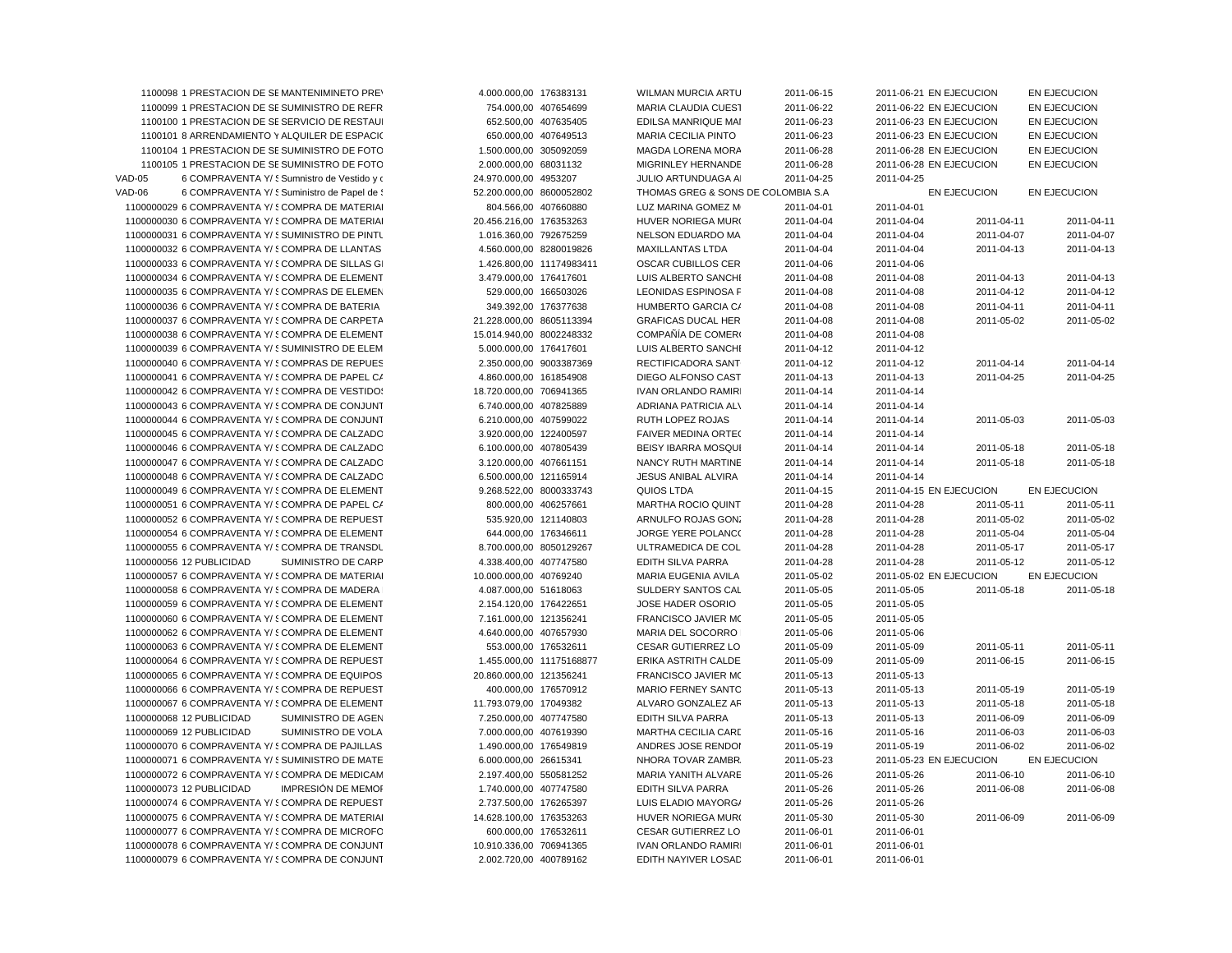|               | 1100098 1 PRESTACION DE SEMANTENIMINETO PREY                                                     | 4.000.000,00 176383131                            | <b>WILMAN MURCIA ARTU</b>                         | 2011-06-15               | 2011-06-21 EN EJECUCION  |              | EN EJECUCION        |
|---------------|--------------------------------------------------------------------------------------------------|---------------------------------------------------|---------------------------------------------------|--------------------------|--------------------------|--------------|---------------------|
|               | 1100099 1 PRESTACION DE SE SUMINISTRO DE REFR                                                    | 754.000,00 407654699                              | MARIA CLAUDIA CUEST                               | 2011-06-22               | 2011-06-22 EN EJECUCION  |              | EN EJECUCION        |
|               | 1100100 1 PRESTACION DE SESERVICIO DE RESTAUI                                                    | 652.500,00 407635405                              | EDILSA MANRIQUE MAI                               | 2011-06-23               | 2011-06-23 EN EJECUCION  |              | EN EJECUCION        |
|               | 1100101 8 ARRENDAMIENTO Y ALQUILER DE ESPACIO                                                    | 650.000,00 407649513                              | MARIA CECILIA PINTO                               | 2011-06-23               | 2011-06-23 EN EJECUCION  |              | EN EJECUCION        |
|               | 1100104 1 PRESTACION DE SE SUMINISTRO DE FOTO                                                    | 1.500.000,00 305092059                            | MAGDA LORENA MORA                                 | 2011-06-28               | 2011-06-28 EN EJECUCION  |              | EN EJECUCION        |
|               | 1100105 1 PRESTACION DE SE SUMINISTRO DE FOTO                                                    | 2.000.000,00 68031132                             | MIGRINLEY HERNANDE                                | 2011-06-28               | 2011-06-28 EN EJECUCION  |              | EN EJECUCION        |
| <b>VAD-05</b> | 6 COMPRAVENTA Y/ § Sumnistro de Vestido y o                                                      | 24.970.000,00 4953207                             | JULIO ARTUNDUAGA AI                               | 2011-04-25               | 2011-04-25               |              |                     |
| VAD-06        | 6 COMPRAVENTA Y/ § Suministro de Papel de §                                                      | 52.200.000,00 8600052802                          | THOMAS GREG & SONS DE COLOMBIA S.A                |                          |                          | EN EJECUCION | <b>EN EJECUCION</b> |
|               | 1100000029 6 COMPRAVENTA Y/ SCOMPRA DE MATERIAI                                                  | 804.566,00 407660880                              | LUZ MARINA GOMEZ M                                | 2011-04-01               | 2011-04-01               |              |                     |
|               | 1100000030 6 COMPRAVENTA Y/ {COMPRA DE MATERIAI                                                  | 20.456.216,00 176353263                           | HUVER NORIEGA MUR(                                | 2011-04-04               | 2011-04-04               | 2011-04-11   | 2011-04-11          |
|               | 1100000031 6 COMPRAVENTA Y/ § SUMINISTRO DE PINTU                                                | 1.016.360,00 792675259                            | NELSON EDUARDO MA                                 | 2011-04-04               | 2011-04-04               | 2011-04-07   | 2011-04-07          |
|               | 1100000032 6 COMPRAVENTA Y/ SCOMPRA DE LLANTAS                                                   | 4.560.000,00 8280019826                           | <b>MAXILLANTAS LTDA</b>                           | 2011-04-04               | 2011-04-04               | 2011-04-13   | 2011-04-13          |
|               | 1100000033 6 COMPRAVENTA Y/ {COMPRA DE SILLAS GI                                                 | 1.426.800,00 11174983411                          | OSCAR CUBILLOS CER                                | 2011-04-06               | 2011-04-06               |              |                     |
|               | 1100000034 6 COMPRAVENTA Y/ § COMPRA DE ELEMENT                                                  | 3.479.000,00 176417601                            | LUIS ALBERTO SANCHI                               | 2011-04-08               | 2011-04-08               | 2011-04-13   | 2011-04-13          |
|               | 1100000035 6 COMPRAVENTA Y/ SCOMPRAS DE ELEMEN                                                   | 529.000,00 166503026                              | <b>LEONIDAS ESPINOSA F</b>                        | 2011-04-08               | 2011-04-08               | 2011-04-12   | 2011-04-12          |
|               | 1100000036 6 COMPRAVENTA Y/ § COMPRA DE BATERIA                                                  | 349.392,00 176377638                              | HUMBERTO GARCIA C/                                | 2011-04-08               | 2011-04-08               | 2011-04-11   | 2011-04-11          |
|               | 1100000037 6 COMPRAVENTA Y/ § COMPRA DE CARPETA                                                  | 21.228.000,00 8605113394                          | <b>GRAFICAS DUCAL HER</b>                         | 2011-04-08               | 2011-04-08               | 2011-05-02   | 2011-05-02          |
|               | 1100000038 6 COMPRAVENTA Y/ { COMPRA DE ELEMENT                                                  |                                                   | COMPAÑÍA DE COMERO                                |                          |                          |              |                     |
|               |                                                                                                  | 15.014.940,00 8002248332                          |                                                   | 2011-04-08               | 2011-04-08               |              |                     |
|               | 1100000039 6 COMPRAVENTA Y/ § SUMINISTRO DE ELEM                                                 | 5.000.000,00 176417601                            | LUIS ALBERTO SANCHI                               | 2011-04-12               | 2011-04-12               |              |                     |
|               | 1100000040 6 COMPRAVENTA Y/ {COMPRAS DE REPUES                                                   | 2.350.000,00 9003387369                           | RECTIFICADORA SANT                                | 2011-04-12               | 2011-04-12               | 2011-04-14   | 2011-04-14          |
|               | 1100000041 6 COMPRAVENTA Y/ SCOMPRA DE PAPEL CA                                                  | 4.860.000,00 161854908                            | DIEGO ALFONSO CAST                                | 2011-04-13               | 2011-04-13               | 2011-04-25   | 2011-04-25          |
|               | 1100000042 6 COMPRAVENTA Y/ SCOMPRA DE VESTIDOS                                                  | 18.720.000,00 706941365                           | <b>IVAN ORLANDO RAMIRI</b>                        | 2011-04-14               | 2011-04-14               |              |                     |
|               | 1100000043 6 COMPRAVENTA Y/ § COMPRA DE CONJUNT                                                  | 6.740.000,00 407825889                            | ADRIANA PATRICIA AL\                              | 2011-04-14               | 2011-04-14               |              |                     |
|               | 1100000044 6 COMPRAVENTA Y/ SCOMPRA DE CONJUNT                                                   | 6.210.000,00 407599022                            | RUTH LOPEZ ROJAS                                  | 2011-04-14               | 2011-04-14               | 2011-05-03   | 2011-05-03          |
|               | 1100000045 6 COMPRAVENTA Y/ § COMPRA DE CALZADO                                                  | 3.920.000,00 122400597                            | <b>FAIVER MEDINA ORTE(</b>                        | 2011-04-14               | 2011-04-14               |              |                     |
|               | 1100000046 6 COMPRAVENTA Y/ § COMPRA DE CALZADO                                                  | 6.100.000,00 407805439                            | BEISY IBARRA MOSQUI                               | 2011-04-14               | 2011-04-14               | 2011-05-18   | 2011-05-18          |
|               | 1100000047 6 COMPRAVENTA Y/ 5 COMPRA DE CALZADO                                                  | 3.120.000,00 407661151                            | NANCY RUTH MARTINE                                | 2011-04-14               | 2011-04-14               | 2011-05-18   | 2011-05-18          |
|               | 1100000048 6 COMPRAVENTA Y/ § COMPRA DE CALZADO                                                  | 6.500.000,00 121165914                            | JESUS ANIBAL ALVIRA                               | 2011-04-14               | 2011-04-14               |              |                     |
|               | 1100000049 6 COMPRAVENTA Y/ § COMPRA DE ELEMENT                                                  | 9.268.522,00 8000333743                           | QUIOS LTDA                                        | 2011-04-15               | 2011-04-15 EN EJECUCION  |              | EN EJECUCION        |
|               | 1100000051 6 COMPRAVENTA Y/ SCOMPRA DE PAPEL CA                                                  | 800.000,00 406257661                              | MARTHA ROCIO QUINT                                | 2011-04-28               | 2011-04-28               | 2011-05-11   | 2011-05-11          |
|               | 1100000052 6 COMPRAVENTA Y/ § COMPRA DE REPUEST                                                  | 535.920,00 121140803                              | ARNULFO ROJAS GONZ                                | 2011-04-28               | 2011-04-28               | 2011-05-02   | 2011-05-02          |
|               | 1100000054 6 COMPRAVENTA Y/ § COMPRA DE ELEMENT                                                  | 644.000,00 176346611                              | JORGE YERE POLANC(                                | 2011-04-28               | 2011-04-28               | 2011-05-04   | 2011-05-04          |
|               | 1100000055 6 COMPRAVENTA Y/ { COMPRA DE TRANSDL                                                  | 8.700.000,00 8050129267                           | ULTRAMEDICA DE COL                                | 2011-04-28               | 2011-04-28               | 2011-05-17   | 2011-05-17          |
|               | 1100000056 12 PUBLICIDAD<br><b>SUMINISTRO DE CARP</b>                                            | 4.338.400,00 407747580                            | <b>EDITH SILVA PARRA</b>                          | 2011-04-28               | 2011-04-28               | 2011-05-12   | 2011-05-12          |
|               | 1100000057 6 COMPRAVENTA Y/ {COMPRA DE MATERIAI                                                  | 10.000.000,00 40769240                            | MARIA EUGENIA AVILA                               | 2011-05-02               | 2011-05-02 EN EJECUCION  |              | EN EJECUCION        |
|               | 1100000058 6 COMPRAVENTA Y/ § COMPRA DE MADERA                                                   | 4.087.000,00 51618063                             | SULDERY SANTOS CAL                                | 2011-05-05               | 2011-05-05               | 2011-05-18   | 2011-05-18          |
|               | 1100000059 6 COMPRAVENTA Y/ { COMPRA DE ELEMENT                                                  | 2.154.120,00 176422651                            | JOSE HADER OSORIO                                 | 2011-05-05               | 2011-05-05               |              |                     |
|               | 1100000060 6 COMPRAVENTA Y/ SCOMPRA DE ELEMENT                                                   | 7.161.000,00 121356241                            | FRANCISCO JAVIER MO                               | 2011-05-05               | 2011-05-05               |              |                     |
|               | 1100000062 6 COMPRAVENTA Y/ SCOMPRA DE ELEMENT                                                   | 4.640.000,00 407657930                            | MARIA DEL SOCORRO                                 | 2011-05-06               | 2011-05-06               |              |                     |
|               | 1100000063 6 COMPRAVENTA Y/ SCOMPRA DE ELEMENT                                                   | 553.000,00 176532611                              | <b>CESAR GUTIERREZ LO</b>                         | 2011-05-09               | 2011-05-09               | 2011-05-11   | 2011-05-11          |
|               | 1100000064 6 COMPRAVENTA Y/ { COMPRA DE REPUEST                                                  | 1.455.000,00 11175168877                          | ERIKA ASTRITH CALDE                               | 2011-05-09               | 2011-05-09               | 2011-06-15   | 2011-06-15          |
|               | 1100000065 6 COMPRAVENTA Y/ { COMPRA DE EQUIPOS                                                  | 20.860.000,00 121356241                           | <b>FRANCISCO JAVIER MC</b>                        | 2011-05-13               | 2011-05-13               |              |                     |
|               | 1100000066 6 COMPRAVENTA Y/ SCOMPRA DE REPUEST                                                   | 400.000,00 176570912                              | <b>MARIO FERNEY SANTO</b>                         | 2011-05-13               | 2011-05-13               | 2011-05-19   | 2011-05-19          |
|               | 1100000067 6 COMPRAVENTA Y/ § COMPRA DE ELEMENT                                                  | 11.793.079,00 17049382                            | ALVARO GONZALEZ AF                                | 2011-05-13               | 2011-05-13               | 2011-05-18   | 2011-05-18          |
|               | 1100000068 12 PUBLICIDAD<br>SUMINISTRO DE AGEN                                                   | 7.250.000,00 407747580                            | <b>EDITH SILVA PARRA</b>                          | 2011-05-13               | 2011-05-13               | 2011-06-09   | 2011-06-09          |
|               | 1100000069 12 PUBLICIDAD<br>SUMINISTRO DE VOLA                                                   | 7.000.000,00 407619390                            | <b>MARTHA CECILIA CARE</b>                        | 2011-05-16               | 2011-05-16               | 2011-06-03   | 2011-06-03          |
|               |                                                                                                  |                                                   |                                                   |                          |                          |              |                     |
|               |                                                                                                  |                                                   |                                                   |                          |                          |              |                     |
|               | 1100000070 6 COMPRAVENTA Y/ SCOMPRA DE PAJILLAS                                                  | 1.490.000,00 176549819                            | ANDRES JOSE RENDOI                                | 2011-05-19               | 2011-05-19               | 2011-06-02   | 2011-06-02          |
|               | 1100000071 6 COMPRAVENTA Y/ SSUMINISTRO DE MATE                                                  | 6.000.000,00 26615341                             | NHORA TOVAR ZAMBR.                                | 2011-05-23               | 2011-05-23 EN EJECUCION  |              | EN EJECUCION        |
|               | 1100000072 6 COMPRAVENTA Y/ SCOMPRA DE MEDICAM                                                   | 2.197.400,00 550581252                            | MARIA YANITH ALVARE                               | 2011-05-26               | 2011-05-26               | 2011-06-10   | 2011-06-10          |
|               | 1100000073 12 PUBLICIDAD<br>IMPRESIÓN DE MEMOI                                                   | 1.740.000,00 407747580                            | EDITH SILVA PARRA                                 | 2011-05-26               | 2011-05-26               | 2011-06-08   | 2011-06-08          |
|               | 1100000074 6 COMPRAVENTA Y/ SCOMPRA DE REPUEST                                                   | 2.737.500,00 176265397                            | LUIS ELADIO MAYORG/                               | 2011-05-26               | 2011-05-26               |              |                     |
|               | 1100000075 6 COMPRAVENTA Y/ SCOMPRA DE MATERIAI                                                  | 14.628.100,00 176353263                           | HUVER NORIEGA MUR(                                | 2011-05-30               | 2011-05-30               | 2011-06-09   | 2011-06-09          |
|               | 1100000077 6 COMPRAVENTA Y/ 5 COMPRA DE MICROFO                                                  | 600.000.00 176532611                              | <b>CESAR GUTIERREZ LO</b>                         | 2011-06-01               | 2011-06-01               |              |                     |
|               | 1100000078 6 COMPRAVENTA Y/ SCOMPRA DE CONJUNT<br>1100000079 6 COMPRAVENTA Y/ {COMPRA DE CONJUNT | 10.910.336,00 706941365<br>2.002.720,00 400789162 | <b>IVAN ORLANDO RAMIRI</b><br>EDITH NAYIVER LOSAD | 2011-06-01<br>2011-06-01 | 2011-06-01<br>2011-06-01 |              |                     |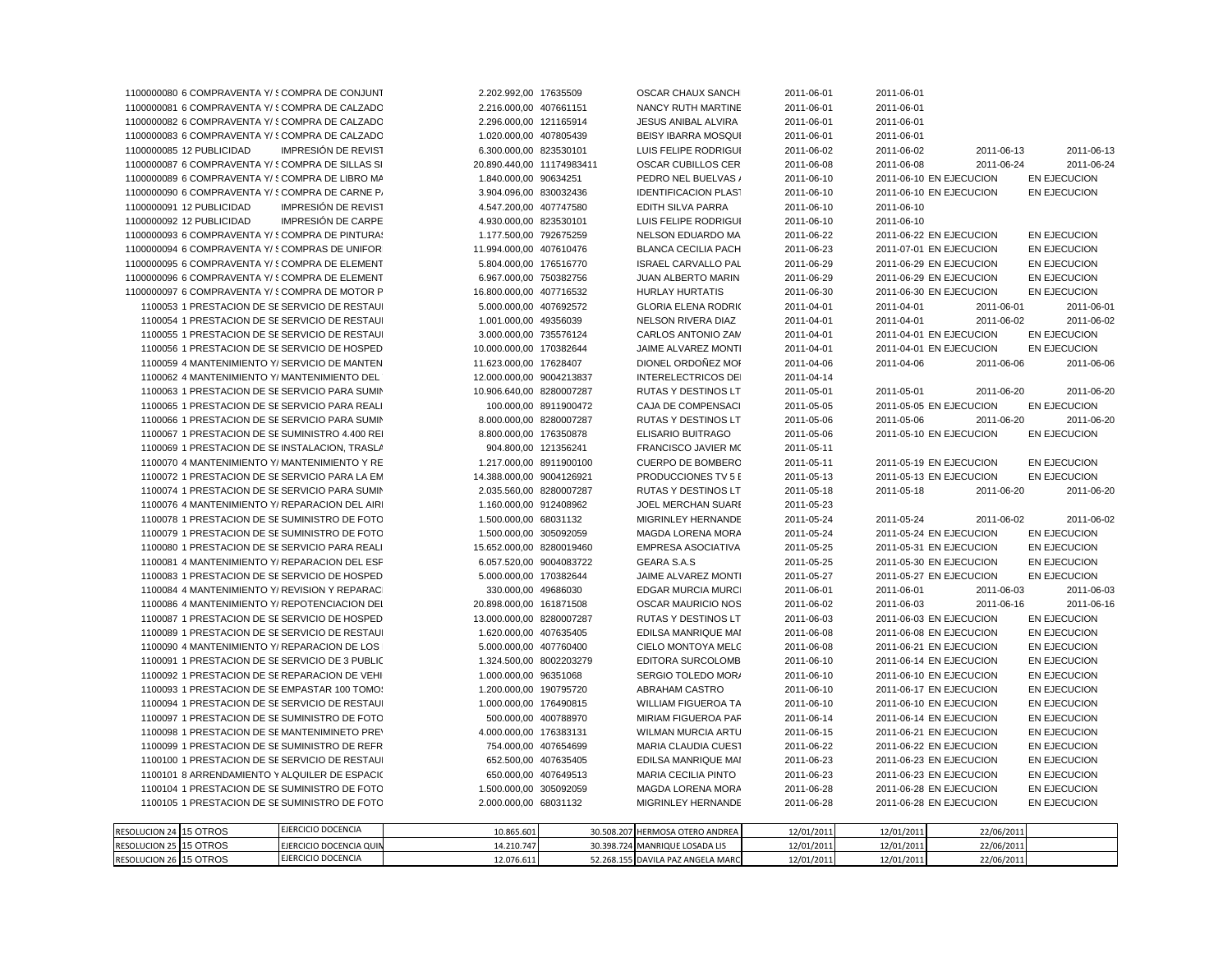| 1100000080 6 COMPRAVENTA Y/ 5 COMPRA DE CONJUNT        | 2.202.992,00 17635509     | OSCAR CHAUX SANCH               | 2011-06-01 | 2011-06-01                                     |
|--------------------------------------------------------|---------------------------|---------------------------------|------------|------------------------------------------------|
| 1100000081 6 COMPRAVENTA Y/ § COMPRA DE CALZADO        | 2.216.000,00 407661151    | NANCY RUTH MARTINE              | 2011-06-01 | 2011-06-01                                     |
| 1100000082 6 COMPRAVENTA Y/ 5 COMPRA DE CALZADO        | 2.296.000.00 121165914    | <b>JESUS ANIBAL ALVIRA</b>      | 2011-06-01 | 2011-06-01                                     |
| 1100000083 6 COMPRAVENTA Y/ SCOMPRA DE CALZADO         | 1.020.000,00 407805439    | <b>BEISY IBARRA MOSQUI</b>      | 2011-06-01 | 2011-06-01                                     |
| 1100000085 12 PUBLICIDAD<br><b>IMPRESIÓN DE REVIST</b> | 6.300.000,00 823530101    | LUIS FELIPE RODRIGUI            | 2011-06-02 | 2011-06-13<br>2011-06-02<br>2011-06-13         |
| 1100000087 6 COMPRAVENTA Y/ { COMPRA DE SILLAS SI      | 20.890.440,00 11174983411 | <b>OSCAR CUBILLOS CER</b>       | 2011-06-08 | 2011-06-08<br>2011-06-24<br>2011-06-24         |
| 1100000089 6 COMPRAVENTA Y/ SCOMPRA DE LIBRO MA        | 1.840.000,00 90634251     | PEDRO NEL BUELVAS /             | 2011-06-10 | 2011-06-10 EN EJECUCION<br><b>EN EJECUCION</b> |
| 1100000090 6 COMPRAVENTA Y/ SCOMPRA DE CARNE P/        | 3.904.096,00 830032436    | <b>IDENTIFICACION PLAST</b>     | 2011-06-10 | 2011-06-10 EN EJECUCION<br>EN EJECUCION        |
| 1100000091 12 PUBLICIDAD<br>IMPRESIÓN DE REVIST        | 4.547.200.00 407747580    | EDITH SILVA PARRA               | 2011-06-10 | 2011-06-10                                     |
| IMPRESIÓN DE CARPE<br>1100000092 12 PUBLICIDAD         | 4.930.000,00 823530101    | LUIS FELIPE RODRIGUI            | 2011-06-10 | 2011-06-10                                     |
| 1100000093 6 COMPRAVENTA Y/ SCOMPRA DE PINTURAS        | 1.177.500,00 792675259    | NELSON EDUARDO MA               | 2011-06-22 | 2011-06-22 EN EJECUCION<br>EN EJECUCION        |
| 1100000094 6 COMPRAVENTA Y/ {COMPRAS DE UNIFOR         | 11.994.000,00 407610476   | <b>BLANCA CECILIA PACH</b>      | 2011-06-23 | 2011-07-01 EN EJECUCION<br>EN EJECUCION        |
| 1100000095 6 COMPRAVENTA Y/ SCOMPRA DE ELEMENT         | 5.804.000,00 176516770    | <b>ISRAEL CARVALLO PAL</b>      | 2011-06-29 | 2011-06-29 EN EJECUCION<br>EN EJECUCION        |
| 1100000096 6 COMPRAVENTA Y/ SCOMPRA DE ELEMENT         | 6.967.000,00 750382756    | <b>JUAN ALBERTO MARIN</b>       | 2011-06-29 | 2011-06-29 EN EJECUCION<br>EN EJECUCION        |
| 1100000097 6 COMPRAVENTA Y/ SCOMPRA DE MOTOR P         | 16.800.000,00 407716532   | <b>HURLAY HURTATIS</b>          | 2011-06-30 | 2011-06-30 EN EJECUCION<br>EN EJECUCION        |
| 1100053 1 PRESTACION DE SESERVICIO DE RESTAUL          | 5.000.000,00 407692572    | <b>GLORIA ELENA RODRIC</b>      | 2011-04-01 | 2011-04-01<br>2011-06-01<br>2011-06-01         |
| 1100054 1 PRESTACION DE SESERVICIO DE RESTAUL          | 1.001.000,00 49356039     | NELSON RIVERA DIAZ              | 2011-04-01 | 2011-04-01<br>2011-06-02<br>2011-06-02         |
| 1100055 1 PRESTACION DE SESERVICIO DE RESTAUL          | 3.000.000.00 735576124    | <b>CARLOS ANTONIO ZAM</b>       | 2011-04-01 | 2011-04-01 EN EJECUCION<br><b>EN EJECUCION</b> |
| 1100056 1 PRESTACION DE SE SERVICIO DE HOSPED          | 10.000.000,00 170382644   | JAIME ALVAREZ MONTI             | 2011-04-01 | 2011-04-01 EN EJECUCION<br>EN EJECUCION        |
| 1100059 4 MANTENIMIENTO Y/ SERVICIO DE MANTEN          | 11.623.000,00 17628407    | DIONEL ORDOÑEZ MOI              | 2011-04-06 | 2011-04-06<br>2011-06-06<br>2011-06-06         |
| 1100062 4 MANTENIMIENTO Y/ MANTENIMIENTO DEL           | 12.000.000,00 9004213837  | <b>INTERELECTRICOS DEI</b>      | 2011-04-14 |                                                |
| 1100063 1 PRESTACION DE SESERVICIO PARA SUMIN          | 10.906.640,00 8280007287  | RUTAS Y DESTINOS LT             | 2011-05-01 | 2011-06-20<br>2011-05-01<br>2011-06-20         |
| 1100065 1 PRESTACION DE SE SERVICIO PARA REALI         | 100.000,00 8911900472     | CAJA DE COMPENSACI              | 2011-05-05 | 2011-05-05 EN EJECUCION<br>EN EJECUCION        |
| 1100066 1 PRESTACION DE SE SERVICIO PARA SUMIN         | 8.000.000,00 8280007287   | <b>RUTAS Y DESTINOS LT</b>      | 2011-05-06 | 2011-05-06<br>2011-06-20<br>2011-06-20         |
| 1100067 1 PRESTACION DE SE SUMINISTRO 4.400 REI        | 8.800.000,00 176350878    | ELISARIO BUITRAGO               | 2011-05-06 | 2011-05-10 EN EJECUCION<br>EN EJECUCION        |
| 1100069 1 PRESTACION DE SEINSTALACION. TRASLA          | 904.800,00 121356241      | FRANCISCO JAVIER MC             | 2011-05-11 |                                                |
| 1100070 4 MANTENIMIENTO Y/ MANTENIMIENTO Y RE          | 1.217.000,00 8911900100   | CUERPO DE BOMBERO               | 2011-05-11 | 2011-05-19 EN EJECUCION<br>EN EJECUCION        |
| 1100072 1 PRESTACION DE SE SERVICIO PARA LA EM         | 14.388.000,00 9004126921  | PRODUCCIONES TV 5 E             | 2011-05-13 | 2011-05-13 EN EJECUCION<br>EN EJECUCION        |
| 1100074 1 PRESTACION DE SE SERVICIO PARA SUMIN         | 2.035.560,00 8280007287   | RUTAS Y DESTINOS LT             | 2011-05-18 | 2011-05-18<br>2011-06-20<br>2011-06-20         |
| 1100076 4 MANTENIMIENTO Y/ REPARACION DEL AIRI         | 1.160.000,00 912408962    | <b>JOEL MERCHAN SUARE</b>       | 2011-05-23 |                                                |
| 1100078 1 PRESTACION DE SE SUMINISTRO DE FOTO          | 1.500.000,00 68031132     | MIGRINLEY HERNANDE              | 2011-05-24 | 2011-05-24<br>2011-06-02<br>2011-06-02         |
| 1100079 1 PRESTACION DE SE SUMINISTRO DE FOTO          | 1.500.000,00 305092059    | MAGDA LORENA MORA               | 2011-05-24 | 2011-05-24 EN EJECUCION<br>EN EJECUCION        |
| 1100080 1 PRESTACION DE SESERVICIO PARA REALI          | 15.652.000,00 8280019460  | EMPRESA ASOCIATIVA              | 2011-05-25 | 2011-05-31 EN EJECUCION<br>EN EJECUCION        |
| 1100081 4 MANTENIMIENTO Y/ REPARACION DEL ESF          | 6.057.520,00 9004083722   | <b>GEARA S.A.S</b>              | 2011-05-25 | 2011-05-30 EN EJECUCION<br>EN EJECUCION        |
| 1100083 1 PRESTACION DE SESERVICIO DE HOSPED           | 5.000.000,00 170382644    | JAIME ALVAREZ MONTI             | 2011-05-27 | 2011-05-27 EN EJECUCION<br><b>EN EJECUCION</b> |
| 1100084 4 MANTENIMIENTO Y/ REVISION Y REPARACI         | 330.000,00 49686030       | <b>EDGAR MURCIA MURCI</b>       | 2011-06-01 | 2011-06-01<br>2011-06-03<br>2011-06-03         |
| 1100086 4 MANTENIMIENTO Y/ REPOTENCIACION DEL          | 20.898.000,00 161871508   | <b>OSCAR MAURICIO NOS</b>       | 2011-06-02 | 2011-06-03<br>2011-06-16<br>2011-06-16         |
| 1100087 1 PRESTACION DE SE SERVICIO DE HOSPED          | 13.000.000,00 8280007287  | RUTAS Y DESTINOS LT             | 2011-06-03 | 2011-06-03 EN EJECUCION<br>EN EJECUCION        |
| 1100089 1 PRESTACION DE SESERVICIO DE RESTAUI          | 1.620.000,00 407635405    | EDILSA MANRIQUE MAI             | 2011-06-08 | 2011-06-08 EN EJECUCION<br>EN EJECUCION        |
| 1100090 4 MANTENIMIENTO Y/ REPARACION DE LOS           | 5.000.000,00 407760400    | CIELO MONTOYA MELC              | 2011-06-08 | 2011-06-21 EN EJECUCION<br>EN EJECUCION        |
| 1100091 1 PRESTACION DE SESERVICIO DE 3 PUBLIC         | 1.324.500,00 8002203279   | <b>EDITORA SURCOLOMB</b>        | 2011-06-10 | 2011-06-14 EN EJECUCION<br>EN EJECUCION        |
| 1100092 1 PRESTACION DE SEREPARACION DE VEHI           | 1.000.000,00 96351068     | SERGIO TOLEDO MOR/              | 2011-06-10 | 2011-06-10 EN EJECUCION<br>EN EJECUCION        |
| 1100093 1 PRESTACION DE SE EMPASTAR 100 TOMO:          | 1.200.000,00 190795720    | ABRAHAM CASTRO                  | 2011-06-10 | 2011-06-17 EN EJECUCION<br>EN EJECUCION        |
| 1100094 1 PRESTACION DE SESERVICIO DE RESTAUI          | 1.000.000,00 176490815    | <b>WILLIAM FIGUEROA TA</b>      | 2011-06-10 | 2011-06-10 EN EJECUCION<br>EN EJECUCION        |
| 1100097 1 PRESTACION DE SE SUMINISTRO DE FOTO          | 500.000,00 400788970      | MIRIAM FIGUEROA PAF             | 2011-06-14 | 2011-06-14 EN EJECUCION<br>EN EJECUCION        |
| 1100098 1 PRESTACION DE SEMANTENIMINETO PREY           | 4.000.000,00 176383131    | WILMAN MURCIA ARTU              | 2011-06-15 | 2011-06-21 EN EJECUCION<br>EN EJECUCION        |
| 1100099 1 PRESTACION DE SE SUMINISTRO DE REFR          | 754.000,00 407654699      | MARIA CLAUDIA CUEST             | 2011-06-22 | 2011-06-22 EN EJECUCION<br>EN EJECUCION        |
| 1100100 1 PRESTACION DE SE SERVICIO DE RESTAUL         | 652.500,00 407635405      | EDILSA MANRIQUE MAI             | 2011-06-23 | 2011-06-23 EN EJECUCION<br><b>EN EJECUCION</b> |
| 1100101 8 ARRENDAMIENTO Y ALQUILER DE ESPACIO          | 650.000,00 407649513      | <b>MARIA CECILIA PINTO</b>      | 2011-06-23 | 2011-06-23 EN EJECUCION<br>EN EJECUCION        |
| 1100104 1 PRESTACION DE SE SUMINISTRO DE FOTO          | 1.500.000,00 305092059    | MAGDA LORENA MORA               | 2011-06-28 | 2011-06-28 EN EJECUCION<br>EN EJECUCION        |
| 1100105 1 PRESTACION DE SE SUMINISTRO DE FOTO          | 2.000.000,00 68031132     | MIGRINLEY HERNANDE              | 2011-06-28 | 2011-06-28 EN EJECUCION<br>EN EJECUCION        |
|                                                        |                           |                                 |            |                                                |
| FIFRCICIO DOCENCIA<br><b>ECOLUCION 34 4E OTDOS</b>     | $10.055$ $0.01$           | 30 FOR 307 UEDMOSA OTEDO ANDREA | 12/01/2011 | 1201222<br>$220000000$                         |

| RESOLUCION 24 15 OTROS           | EJERCICIO DOCENCIA      | 10.865.601 | 30.508.207 | 17 HERMOSA OTERO ANDREA        | 12/01/2011 | 12/01/2011 | 22/06/2011 |  |
|----------------------------------|-------------------------|------------|------------|--------------------------------|------------|------------|------------|--|
| 15 OTROS<br><b>RESOLUCION 25</b> | EJERCICIO DOCENCIA QUIN | 14.210.747 |            | 30.398.724 MANRIQUE LOSADA LIS | 12/01/2011 | 12/01/2011 | 22/06/2011 |  |
| 15 OTROS<br><b>RESOLUCION 26</b> | EJERCICIO DOCENCIA      | 12.076.611 | 52.268.1!  | 55 DAVILA PAZ ANGELA MARCI     | 12/01/2011 | 12/01/2011 | 22/06/2011 |  |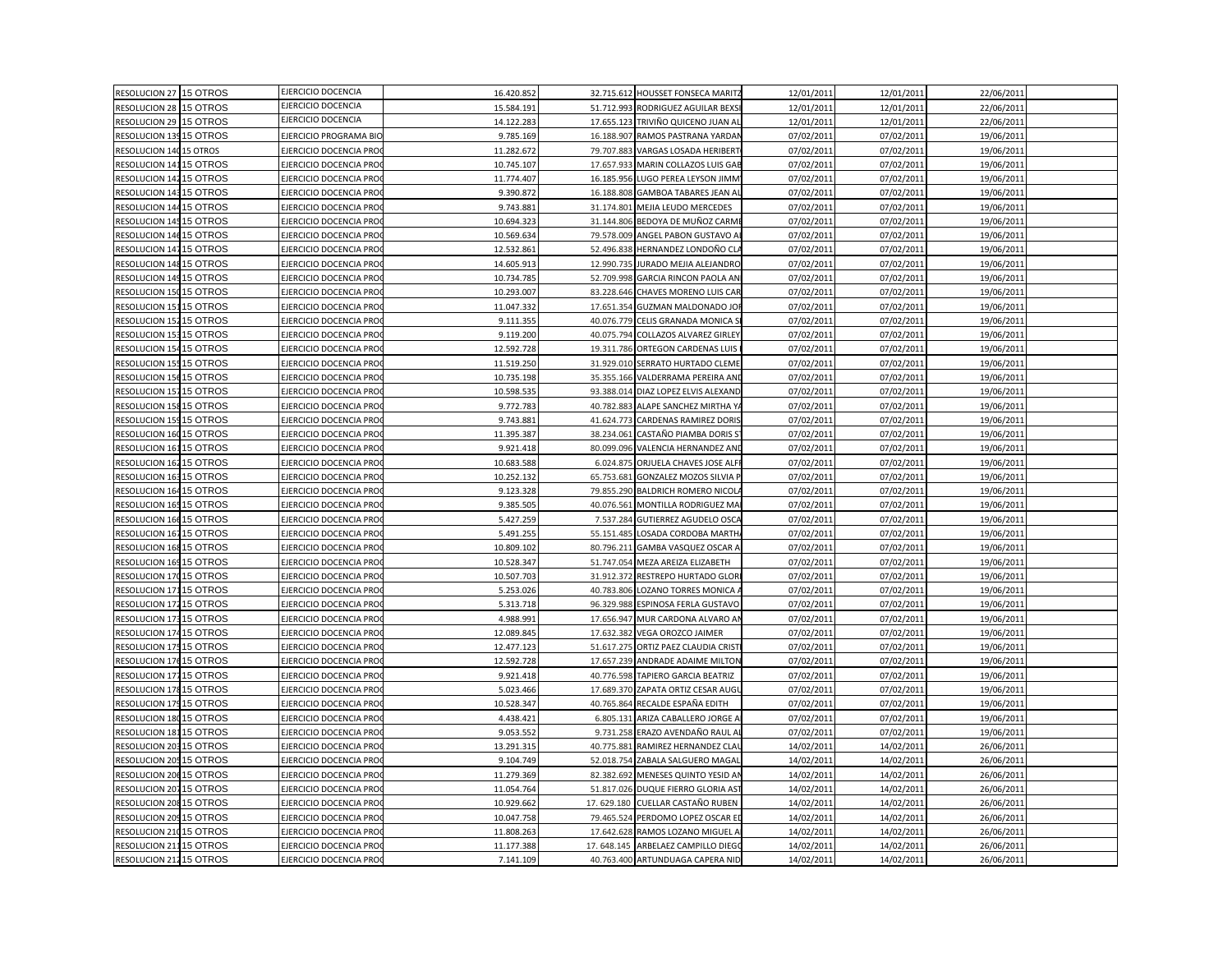| RESOLUCION 27 15 OTROS  |          | EJERCICIO DOCENCIA            | 16.420.852 |            | 32.715.612 HOUSSET FONSECA MARITZ  | 12/01/2011 | 12/01/2011 | 22/06/2011 |  |
|-------------------------|----------|-------------------------------|------------|------------|------------------------------------|------------|------------|------------|--|
| RESOLUCION 28 15 OTROS  |          | EJERCICIO DOCENCIA            | 15.584.19  |            | 51.712.993 RODRIGUEZ AGUILAR BEXS  | 12/01/201  | 12/01/2011 | 22/06/2011 |  |
| RESOLUCION 29 15 OTROS  |          | EJERCICIO DOCENCIA            | 14.122.283 |            | 17.655.123 TRIVIÑO QUICENO JUAN AL | 12/01/2011 | 12/01/2011 | 22/06/2011 |  |
| RESOLUCION 139 15 OTROS |          | EJERCICIO PROGRAMA BIO        | 9.785.169  | 16.188.907 | RAMOS PASTRANA YARDAM              | 07/02/2011 | 07/02/2011 | 19/06/2011 |  |
| RESOLUCION 140 15 OTROS |          | EJERCICIO DOCENCIA PRC        | 11.282.672 | 79.707.883 | VARGAS LOSADA HERIBERT             | 07/02/201  | 07/02/2011 | 19/06/2011 |  |
| RESOLUCION 14115 OTROS  |          | EJERCICIO DOCENCIA PRO        | 10.745.107 | 17.657.933 | MARIN COLLAZOS LUIS GAB            | 07/02/2011 | 07/02/2011 | 19/06/2011 |  |
| RESOLUCION 142 15 OTROS |          | EJERCICIO DOCENCIA PRO        | 11.774.407 | 16.185.956 | LUGO PEREA LEYSON JIMM             | 07/02/2011 | 07/02/2011 | 19/06/2011 |  |
| RESOLUCION 143          | 15 OTROS | EJERCICIO DOCENCIA PRC        | 9.390.872  | 16.188.808 | <b>GAMBOA TABARES JEAN AI</b>      | 07/02/2011 | 07/02/2011 | 19/06/2011 |  |
| RESOLUCION 144 15 OTROS |          | EJERCICIO DOCENCIA PRO        | 9.743.88   | 31.174.801 | MEJIA LEUDO MERCEDES               | 07/02/201  | 07/02/2011 | 19/06/2011 |  |
| RESOLUCION 145 15 OTROS |          | EJERCICIO DOCENCIA PRO        | 10.694.323 |            | 31.144.806 BEDOYA DE MUÑOZ CARMI   | 07/02/2011 | 07/02/2011 | 19/06/2011 |  |
| RESOLUCION 146 15 OTROS |          | EJERCICIO DOCENCIA PRO        | 10.569.634 | 79.578.009 | ANGEL PABON GUSTAVO A              | 07/02/2011 | 07/02/2011 | 19/06/2011 |  |
| RESOLUCION 147 15 OTROS |          | EJERCICIO DOCENCIA PRO        | 12.532.861 | 52.496.838 | HERNANDEZ LONDOÑO CLA              | 07/02/2011 | 07/02/2011 | 19/06/2011 |  |
| RESOLUCION 148 15 OTROS |          | EJERCICIO DOCENCIA PRO        | 14.605.913 | 12.990.735 | IURADO MEJIA ALEJANDRO             | 07/02/2011 | 07/02/2011 | 19/06/2011 |  |
| RESOLUCION 149 15 OTROS |          | EJERCICIO DOCENCIA PRO        | 10.734.785 | 52.709.998 | GARCIA RINCON PAOLA AN             | 07/02/2011 | 07/02/2011 | 19/06/2011 |  |
| RESOLUCION 150 15 OTROS |          | EJERCICIO DOCENCIA PRC        | 10.293.007 | 83.228.646 | CHAVES MORENO LUIS CAR             | 07/02/2011 | 07/02/2011 | 19/06/2011 |  |
| RESOLUCION 151          | 15 OTROS | EJERCICIO DOCENCIA PRC        | 11.047.332 | 17.651.354 | <b>GUZMAN MALDONADO JOI</b>        | 07/02/201  | 07/02/2011 | 19/06/2011 |  |
| RESOLUCION 152 15 OTROS |          | EJERCICIO DOCENCIA PRO        | 9.111.355  |            | 40.076.779 CELIS GRANADA MONICA S  | 07/02/2011 | 07/02/2011 | 19/06/2011 |  |
| RESOLUCION 15315 OTROS  |          | EJERCICIO DOCENCIA PRO        | 9.119.200  | 40.075.794 | <b>COLLAZOS ALVAREZ GIRLEY</b>     | 07/02/2011 | 07/02/2011 | 19/06/2011 |  |
| RESOLUCION 154 15 OTROS |          | EJERCICIO DOCENCIA PRC        | 12.592.728 | 19.311.786 | ORTEGON CARDENAS LUIS              | 07/02/201  | 07/02/2011 | 19/06/2011 |  |
| RESOLUCION 155 15 OTROS |          | EJERCICIO DOCENCIA PRO        | 11.519.250 | 31.929.010 | SERRATO HURTADO CLEME              | 07/02/2011 | 07/02/2011 | 19/06/2011 |  |
| RESOLUCION 15615 OTROS  |          | EJERCICIO DOCENCIA PRO        | 10.735.198 | 35.355.166 | VALDERRAMA PEREIRA AND             | 07/02/2011 | 07/02/2011 | 19/06/2011 |  |
| RESOLUCION 157          | 15 OTROS | EJERCICIO DOCENCIA PRC        | 10.598.53  | 93.388.014 | DIAZ LOPEZ ELVIS ALEXAND           | 07/02/2011 | 07/02/2011 | 19/06/2011 |  |
| RESOLUCION 158 15 OTROS |          | EJERCICIO DOCENCIA PRO        | 9.772.783  | 40.782.883 | ALAPE SANCHEZ MIRTHA YA            | 07/02/201  | 07/02/2011 | 19/06/2011 |  |
| RESOLUCION 15915 OTROS  |          | <b>EJERCICIO DOCENCIA PRO</b> | 9.743.881  | 41.624.773 | CARDENAS RAMIREZ DORIS             | 07/02/2011 | 07/02/2011 | 19/06/2011 |  |
| RESOLUCION 160          | 15 OTROS | EJERCICIO DOCENCIA PRO        | 11.395.387 | 38.234.061 | CASTAÑO PIAMBA DORIS S             | 07/02/2011 | 07/02/2011 | 19/06/2011 |  |
| RESOLUCION 161          | 15 OTROS | EJERCICIO DOCENCIA PRO        | 9.921.418  | 80.099.096 | VALENCIA HERNANDEZ AND             | 07/02/2011 | 07/02/2011 | 19/06/2011 |  |
| RESOLUCION 162 15 OTROS |          | EJERCICIO DOCENCIA PRC        | 10.683.588 | 6.024.875  | ORJUELA CHAVES JOSE ALFI           | 07/02/201  | 07/02/2011 | 19/06/2011 |  |
| RESOLUCION 163 15 OTROS |          | <b>EJERCICIO DOCENCIA PRO</b> | 10.252.132 | 65.753.681 | GONZALEZ MOZOS SILVIA P            | 07/02/2011 | 07/02/2011 | 19/06/2011 |  |
| RESOLUCION 164 15 OTROS |          | EJERCICIO DOCENCIA PRO        | 9.123.328  | 79.855.290 | BALDRICH ROMERO NICOL              | 07/02/2011 | 07/02/2011 | 19/06/2011 |  |
| <b>RESOLUCION 165</b>   | 15 OTROS | <b>EJERCICIO DOCENCIA PRC</b> | 9.385.50   | 40.076.561 | MONTILLA RODRIGUEZ MA              | 07/02/201  | 07/02/2011 | 19/06/2011 |  |
| RESOLUCION 166 15 OTROS |          | EJERCICIO DOCENCIA PRO        | 5.427.259  | 7.537.284  | <b>GUTIERREZ AGUDELO OSCA</b>      | 07/02/2011 | 07/02/2011 | 19/06/2011 |  |
| RESOLUCION 16715 OTROS  |          | EJERCICIO DOCENCIA PRO        | 5.491.255  | 55.151.485 | LOSADA CORDOBA MARTH               | 07/02/2011 | 07/02/2011 | 19/06/2011 |  |
| RESOLUCION 168 15 OTROS |          | EJERCICIO DOCENCIA PRC        | 10.809.102 | 80.796.211 | GAMBA VASQUEZ OSCAR A              | 07/02/201  | 07/02/2011 | 19/06/2011 |  |
| RESOLUCION 169 15 OTROS |          | EJERCICIO DOCENCIA PRO        | 10.528.347 | 51.747.054 | MEZA AREIZA ELIZABETH              | 07/02/2011 | 07/02/2011 | 19/06/2011 |  |
| RESOLUCION 170 15 OTROS |          | EJERCICIO DOCENCIA PRO        | 10.507.703 | 31.912.372 | RESTREPO HURTADO GLOR              | 07/02/2011 | 07/02/2011 | 19/06/2011 |  |
| RESOLUCION 171          | 15 OTROS | EJERCICIO DOCENCIA PRC        | 5.253.026  | 40.783.806 | LOZANO TORRES MONICA.              | 07/02/201  | 07/02/2011 | 19/06/2011 |  |
| RESOLUCION 17215 OTROS  |          | EJERCICIO DOCENCIA PRO        | 5.313.718  | 96.329.988 | ESPINOSA FERLA GUSTAVO             | 07/02/201  | 07/02/2011 | 19/06/2011 |  |
| RESOLUCION 173 15 OTROS |          | EJERCICIO DOCENCIA PRO        | 4.988.991  | 17.656.947 | MUR CARDONA ALVARO AN              | 07/02/2011 | 07/02/2011 | 19/06/2011 |  |
| RESOLUCION 174 15 OTROS |          | EJERCICIO DOCENCIA PRC        | 12.089.845 | 17.632.382 | VEGA OROZCO JAIMER                 | 07/02/2011 | 07/02/2011 | 19/06/2011 |  |
| RESOLUCION 175 15 OTROS |          | EJERCICIO DOCENCIA PRO        | 12.477.123 | 51.617.275 | ORTIZ PAEZ CLAUDIA CRIST           | 07/02/2011 | 07/02/2011 | 19/06/2011 |  |
| RESOLUCION 176 15 OTROS |          | EJERCICIO DOCENCIA PRC        | 12.592.728 | 17.657.239 | ANDRADE ADAIME MILTON              | 07/02/2011 | 07/02/2011 | 19/06/2011 |  |
| RESOLUCION 17715 OTROS  |          | EJERCICIO DOCENCIA PRO        | 9.921.418  |            | 40.776.598 TAPIERO GARCIA BEATRIZ  | 07/02/2011 | 07/02/2011 | 19/06/2011 |  |
| RESOLUCION 178 15 OTROS |          | EJERCICIO DOCENCIA PRC        | 5.023.466  | 17.689.370 | ZAPATA ORTIZ CESAR AUGI            | 07/02/2011 | 07/02/2011 | 19/06/2011 |  |
| RESOLUCION 179 15 OTROS |          | EJERCICIO DOCENCIA PRC        | 10.528.347 | 40.765.864 | RECALDE ESPAÑA EDITH               | 07/02/201  | 07/02/2011 | 19/06/2011 |  |
| RESOLUCION 18015 OTROS  |          | EJERCICIO DOCENCIA PRO        | 4.438.421  | 6.805.131  | ARIZA CABALLERO JORGE A            | 07/02/2011 | 07/02/2011 | 19/06/2011 |  |
| RESOLUCION 18115 OTROS  |          | EJERCICIO DOCENCIA PRO        | 9.053.552  | 9.731.258  | ERAZO AVENDAÑO RAUL AI             | 07/02/2011 | 07/02/2011 | 19/06/2011 |  |
| RESOLUCION 203 15 OTROS |          | EJERCICIO DOCENCIA PRC        | 13.291.315 | 40.775.881 | RAMIREZ HERNANDEZ CLA              | 14/02/2011 | 14/02/2011 | 26/06/2011 |  |
| RESOLUCION 205 15 OTROS |          | EJERCICIO DOCENCIA PRO        | 9.104.749  | 52.018.754 | ZABALA SALGUERO MAGAL              | 14/02/2011 | 14/02/2011 | 26/06/2011 |  |
| RESOLUCION 206 15 OTROS |          | EJERCICIO DOCENCIA PRO        | 11.279.369 | 82.382.692 | MENESES QUINTO YESID AN            | 14/02/2011 | 14/02/2011 | 26/06/2011 |  |
| RESOLUCION 207          | 15 OTROS | EJERCICIO DOCENCIA PRC        | 11.054.764 | 51.817.026 | DUQUE FIERRO GLORIA AS             | 14/02/201  | 14/02/2011 | 26/06/201  |  |
| RESOLUCION 208 15 OTROS |          | EJERCICIO DOCENCIA PRO        | 10.929.662 | 17.629.180 | CUELLAR CASTAÑO RUBEN              | 14/02/2011 | 14/02/2011 | 26/06/2011 |  |
| RESOLUCION 209 15 OTROS |          | EJERCICIO DOCENCIA PRO        | 10.047.758 |            | 79.465.524 PERDOMO LOPEZ OSCAR ED  | 14/02/2011 | 14/02/2011 | 26/06/2011 |  |
| RESOLUCION 210          | 15 OTROS | EJERCICIO DOCENCIA PRO        | 11.808.263 | 17.642.628 | AMOS LOZANO MIGUEL A               | 14/02/2011 | 14/02/2011 | 26/06/2011 |  |
| RESOLUCION 21115 OTROS  |          | EJERCICIO DOCENCIA PRO        | 11.177.388 | 17.648.145 | ARBELAEZ CAMPILLO DIEGO            | 14/02/2011 | 14/02/2011 | 26/06/2011 |  |
| RESOLUCION 21215 OTROS  |          | EJERCICIO DOCENCIA PRO        | 7.141.109  |            | 40.763.400 ARTUNDUAGA CAPERA NID   | 14/02/2011 | 14/02/2011 | 26/06/2011 |  |
|                         |          |                               |            |            |                                    |            |            |            |  |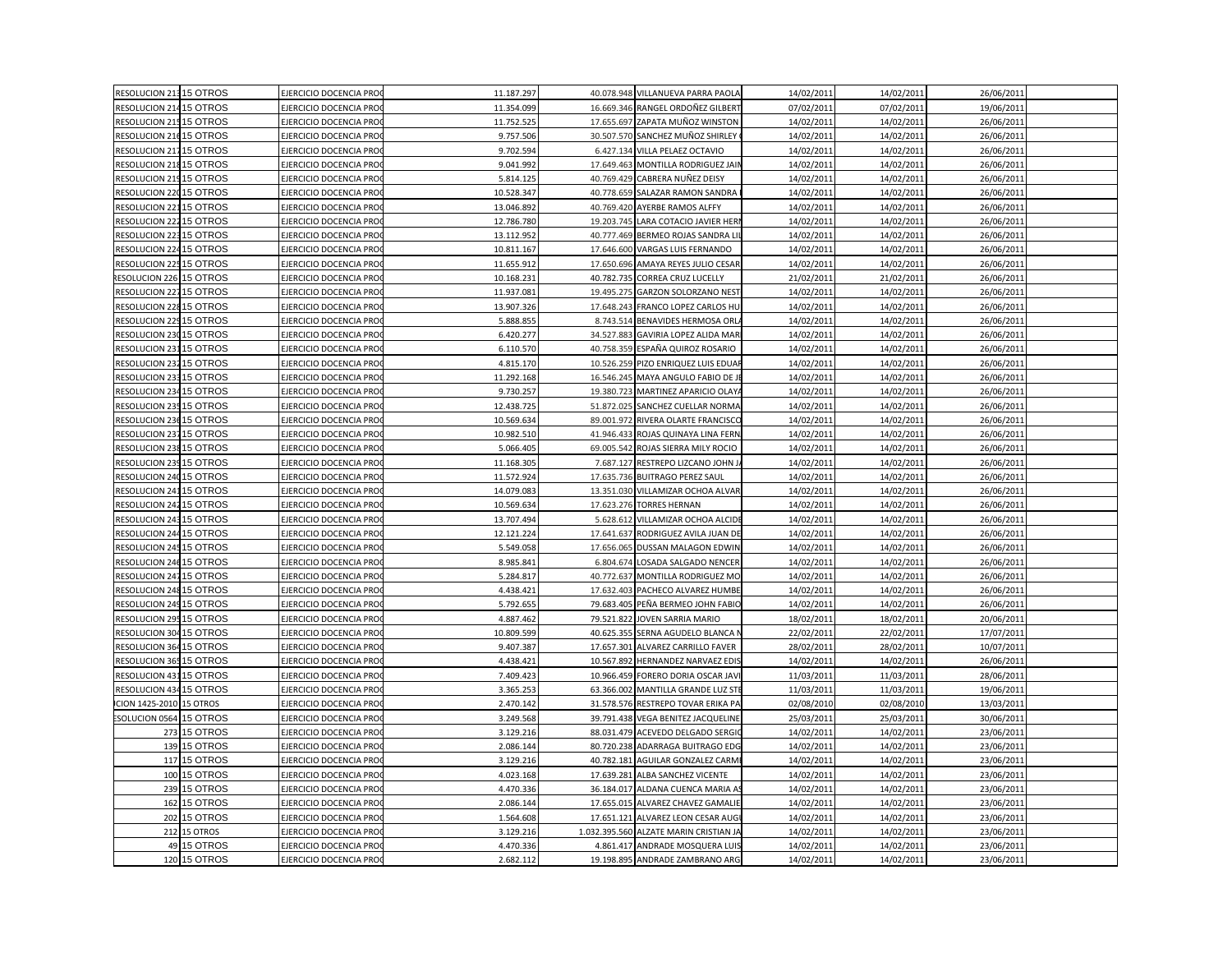| RESOLUCION 213 15 OTROS |              | EJERCICIO DOCENCIA PRO         | 11.187.297 | 40.078.948 VILLANUEVA PARRA PAOLA           | 14/02/2011 | 14/02/2011 | 26/06/201  |  |
|-------------------------|--------------|--------------------------------|------------|---------------------------------------------|------------|------------|------------|--|
| RESOLUCION 214 15 OTROS |              | EJERCICIO DOCENCIA PRO         | 11.354.099 | 16.669.346<br>RANGEL ORDOÑEZ GILBERT        | 07/02/201: | 07/02/2011 | 19/06/2011 |  |
| RESOLUCION 215 15 OTROS |              | <b>EJERCICIO DOCENCIA PRO</b>  | 11.752.525 | 17.655.697 ZAPATA MUÑOZ WINSTON             | 14/02/2011 | 14/02/2011 | 26/06/2011 |  |
| RESOLUCION 216 15 OTROS |              | EJERCICIO DOCENCIA PRO         | 9.757.506  | 30.507.570<br>SANCHEZ MUÑOZ SHIRLEY         | 14/02/2011 | 14/02/2011 | 26/06/201  |  |
| RESOLUCION 217 15 OTROS |              | EJERCICIO DOCENCIA PRO         | 9.702.594  | 6.427.134<br>VILLA PELAEZ OCTAVIO           | 14/02/2011 | 14/02/2011 | 26/06/201  |  |
| RESOLUCION 218 15 OTROS |              | EJERCICIO DOCENCIA PROC        | 9.041.992  | 17.649.463 MONTILLA RODRIGUEZ JAIR          | 14/02/2011 | 14/02/2011 | 26/06/2011 |  |
| RESOLUCION 219 15 OTROS |              | EJERCICIO DOCENCIA PRO         | 5.814.125  | 40.769.429<br>CABRERA NUÑEZ DEISY           | 14/02/2011 | 14/02/2011 | 26/06/201  |  |
| RESOLUCION 220 15 OTROS |              | EJERCICIO DOCENCIA PRO         | 10.528.347 | 40.778.659<br>SALAZAR RAMON SANDRA          | 14/02/2011 | 14/02/2011 | 26/06/201  |  |
| RESOLUCION 22115 OTROS  |              | EJERCICIO DOCENCIA PRO         | 13.046.892 | 40.769.420 AYERBE RAMOS ALFFY               | 14/02/2011 | 14/02/2011 | 26/06/201  |  |
| RESOLUCION 22215 OTROS  |              | <b>EJERCICIO DOCENCIA PRO</b>  | 12.786.780 | 19.203.745<br>LARA COTACIO JAVIER HERI      | 14/02/2011 | 14/02/2011 | 26/06/2011 |  |
| RESOLUCION 223 15 OTROS |              | EJERCICIO DOCENCIA PRO         | 13.112.952 | 40.777.469<br>BERMEO ROJAS SANDRA LI        | 14/02/2011 | 14/02/2011 | 26/06/201  |  |
| RESOLUCION 224 15 OTROS |              | EJERCICIO DOCENCIA PRO         | 10.811.167 | 17.646.600<br>VARGAS LUIS FERNANDO          | 14/02/2011 | 14/02/2011 | 26/06/201  |  |
| RESOLUCION 225 15 OTROS |              | <b>EJERCICIO DOCENCIA PRO</b>  | 11.655.912 | 17.650.696<br>AMAYA REYES JULIO CESAR       | 14/02/2011 | 14/02/2011 | 26/06/2011 |  |
| RESOLUCION 226 15 OTROS |              | <b>EJERCICIO DOCENCIA PRO</b>  | 10.168.231 | 40.782.73<br>CORREA CRUZ LUCELLY            | 21/02/2011 | 21/02/2011 | 26/06/2011 |  |
| RESOLUCION 227 15 OTROS |              | EJERCICIO DOCENCIA PRO         | 11.937.081 | 19.495.275<br><b>GARZON SOLORZANO NEST</b>  | 14/02/201  | 14/02/2011 | 26/06/201  |  |
| RESOLUCION 228 15 OTROS |              | JERCICIO DOCENCIA PRO          | 13.907.326 | 17.648.243<br>FRANCO LOPEZ CARLOS HU        | 14/02/2011 | 14/02/2011 | 26/06/201  |  |
| RESOLUCION 225 15 OTROS |              | EJERCICIO DOCENCIA PROQ        | 5.888.855  | 8.743.514 BENAVIDES HERMOSA ORL             | 14/02/2011 | 14/02/2011 | 26/06/2011 |  |
| RESOLUCION 230 15 OTROS |              | EJERCICIO DOCENCIA PRO         | 6.420.277  | 34.527.883<br>GAVIRIA LOPEZ ALIDA MAR       | 14/02/2011 | 14/02/2011 | 26/06/2011 |  |
| RESOLUCION 23115 OTROS  |              | EJERCICIO DOCENCIA PRO         | 6.110.570  | ESPAÑA QUIROZ ROSARIO<br>40.758.359         | 14/02/2011 | 14/02/2011 | 26/06/201  |  |
| RESOLUCION 232 15 OTROS |              | EJERCICIO DOCENCIA PRO         | 4.815.170  | 10.526.259 PIZO ENRIQUEZ LUIS EDUAI         | 14/02/2011 | 14/02/2011 | 26/06/2011 |  |
| RESOLUCION 233 15 OTROS |              | <b>EJERCICIO DOCENCIA PRO</b>  | 11.292.168 | 16.546.245<br>MAYA ANGULO FABIO DE J        | 14/02/2011 | 14/02/2011 | 26/06/2011 |  |
| RESOLUCION 234 15 OTROS |              | EJERCICIO DOCENCIA PRO         | 9.730.257  | 19.380.723<br>MARTINEZ APARICIO OLAY        | 14/02/201  | 14/02/2011 | 26/06/2011 |  |
| RESOLUCION 235 15 OTROS |              | <b>EJERCICIO DOCENCIA PRO</b>  | 12.438.725 | 51.872.025<br>SANCHEZ CUELLAR NORMA         | 14/02/2011 | 14/02/2011 | 26/06/2011 |  |
| RESOLUCION 236 15 OTROS |              | <b>EJERCICIO DOCENCIA PROQ</b> | 10.569.634 | 89.001.972 RIVERA OLARTE FRANCISCO          | 14/02/2011 | 14/02/2011 | 26/06/2011 |  |
| RESOLUCION 237 15 OTROS |              | EJERCICIO DOCENCIA PRO         | 10.982.510 | ROJAS QUINAYA LINA FERN<br>41.946.433       | 14/02/2011 | 14/02/2011 | 26/06/201  |  |
| RESOLUCION 238 15 OTROS |              | EJERCICIO DOCENCIA PRO         | 5.066.405  | 69.005.542<br>ROJAS SIERRA MILY ROCIO       | 14/02/2011 | 14/02/2011 | 26/06/201  |  |
| RESOLUCION 239 15 OTROS |              | EJERCICIO DOCENCIA PRO         | 11.168.305 | 7.687.127<br>RESTREPO LIZCANO JOHN J        | 14/02/2011 | 14/02/2011 | 26/06/201  |  |
| RESOLUCION 240 15 OTROS |              | <b>EJERCICIO DOCENCIA PRO</b>  | 11.572.924 | 17.635.736<br><b>BUITRAGO PEREZ SAUL</b>    | 14/02/2011 | 14/02/2011 | 26/06/2011 |  |
| RESOLUCION 24115 OTROS  |              | EJERCICIO DOCENCIA PRO         | 14.079.083 | 13.351.030<br>VILLAMIZAR OCHOA ALVAR        | 14/02/2011 | 14/02/2011 | 26/06/201  |  |
| RESOLUCION 242 15 OTROS |              | JERCICIO DOCENCIA PRO          | 10.569.634 | 17.623.276<br><b>TORRES HERNAN</b>          | 14/02/201  | 14/02/2011 | 26/06/201  |  |
| RESOLUCION 243 15 OTROS |              | <b>EJERCICIO DOCENCIA PROQ</b> | 13.707.494 | 5.628.612 VILLAMIZAR OCHOA ALCIDE           | 14/02/2011 | 14/02/2011 | 26/06/2011 |  |
| RESOLUCION 244 15 OTROS |              | EJERCICIO DOCENCIA PRO         | 12.121.224 | 17.641.637<br>RODRIGUEZ AVILA JUAN DE       | 14/02/2011 | 14/02/2011 | 26/06/2011 |  |
| RESOLUCION 245 15 OTROS |              | <b>EJERCICIO DOCENCIA PRO</b>  | 5.549.058  | 17.656.065<br>DUSSAN MALAGON EDWIN          | 14/02/201  | 14/02/2011 | 26/06/201  |  |
| RESOLUCION 246 15 OTROS |              | EJERCICIO DOCENCIA PRO         | 8.985.841  | 6.804.674<br>LOSADA SALGADO NENCER          | 14/02/2011 | 14/02/2011 | 26/06/2011 |  |
| RESOLUCION 247 15 OTROS |              | <b>EJERCICIO DOCENCIA PRO</b>  | 5.284.817  | 40.772.637<br>MONTILLA RODRIGUEZ MO         | 14/02/2011 | 14/02/2011 | 26/06/2011 |  |
| RESOLUCION 248 15 OTROS |              | EJERCICIO DOCENCIA PRO         | 4.438.421  | 17.632.403<br>PACHECO ALVAREZ HUMBE         | 14/02/201  | 14/02/2011 | 26/06/201  |  |
| RESOLUCION 249 15 OTROS |              | <b>EJERCICIO DOCENCIA PRO</b>  | 5.792.655  | 79.683.405 PEÑA BERMEO JOHN FABIO           | 14/02/2011 | 14/02/2011 | 26/06/201  |  |
| RESOLUCION 295 15 OTROS |              | <b>EJERCICIO DOCENCIA PRO</b>  | 4.887.462  | 79.521.822 JOVEN SARRIA MARIO               | 18/02/2011 | 18/02/2011 | 20/06/2011 |  |
| RESOLUCION 304 15 OTROS |              | EJERCICIO DOCENCIA PRO         | 10.809.599 | 40.625.355<br>SERNA AGUDELO BLANCA I        | 22/02/2011 | 22/02/2011 | 17/07/2011 |  |
| RESOLUCION 364 15 OTROS |              | EJERCICIO DOCENCIA PRO         | 9.407.387  | 17.657.301<br>ALVAREZ CARRILLO FAVER        | 28/02/2011 | 28/02/2011 | 10/07/2013 |  |
| RESOLUCION 365 15 OTROS |              | <b>EJERCICIO DOCENCIA PRO</b>  | 4.438.421  | 10.567.892<br><b>HERNANDEZ NARVAEZ EDIS</b> | 14/02/2011 | 14/02/2011 | 26/06/201  |  |
| RESOLUCION 43115 OTROS  |              | <b>EJERCICIO DOCENCIA PRO</b>  | 7.409.423  | 10.966.459 FORERO DORIA OSCAR JAV           | 11/03/2011 | 11/03/2011 | 28/06/2011 |  |
| RESOLUCION 434 15 OTROS |              | EJERCICIO DOCENCIA PRO         | 3.365.253  | 63.366.002<br><b>MANTILLA GRANDE LUZ ST</b> | 11/03/2011 | 11/03/2011 | 19/06/2011 |  |
| CION 1425-2010          | 15 OTROS     | EJERCICIO DOCENCIA PRO         | 2.470.142  | 31.578.576<br>RESTREPO TOVAR ERIKA P/       | 02/08/2010 | 02/08/2010 | 13/03/201  |  |
| SOLUCION 0564 15 OTROS  |              | EJERCICIO DOCENCIA PRO         | 3.249.568  | 39.791.438 VEGA BENITEZ JACQUELINE          | 25/03/2011 | 25/03/2011 | 30/06/2011 |  |
| 273                     | 15 OTROS     | JERCICIO DOCENCIA PRO          | 3.129.216  | 88.031.479 ACEVEDO DELGADO SERGI            | 14/02/2011 | 14/02/2011 | 23/06/2011 |  |
|                         | 139 15 OTROS | EJERCICIO DOCENCIA PRO         | 2.086.144  | 80.720.238<br>ADARRAGA BUITRAGO EDO         | 14/02/201  | 14/02/2011 | 23/06/201  |  |
|                         | 117 15 OTROS | EJERCICIO DOCENCIA PRO         | 3.129.216  | 40.782.181<br>AGUILAR GONZALEZ CARM         | 14/02/2011 | 14/02/2011 | 23/06/2011 |  |
|                         | 100 15 OTROS | EJERCICIO DOCENCIA PROC        | 4.023.168  | 17.639.281 ALBA SANCHEZ VICENTE             | 14/02/2011 | 14/02/2011 | 23/06/2011 |  |
|                         | 239 15 OTROS | EJERCICIO DOCENCIA PRO         | 4.470.336  | 36.184.017<br>ALDANA CUENCA MARIA A         | 14/02/2011 | 14/02/2011 | 23/06/2011 |  |
|                         | 162 15 OTROS | EJERCICIO DOCENCIA PRO         | 2.086.144  | 17.655.015 ALVAREZ CHAVEZ GAMALIE           | 14/02/2011 | 14/02/2011 | 23/06/2011 |  |
|                         | 202 15 OTROS | EJERCICIO DOCENCIA PRO         | 1.564.608  | 17.651.121 ALVAREZ LEON CESAR AUG           | 14/02/2011 | 14/02/2011 | 23/06/2011 |  |
|                         | 212 15 OTROS | JERCICIO DOCENCIA PRO          | 3.129.216  | 1.032.395.560 ALZATE MARIN CRISTIAN JA      | 14/02/2011 | 14/02/2011 | 23/06/201  |  |
|                         | 49 15 OTROS  | EJERCICIO DOCENCIA PROO        | 4.470.336  | 4.861.417 ANDRADE MOSQUERA LUIS             | 14/02/201  | 14/02/2011 | 23/06/2011 |  |
|                         | 120 15 OTROS | <b>EJERCICIO DOCENCIA PROQ</b> | 2.682.112  | 19.198.895 ANDRADE ZAMBRANO ARG             | 14/02/2011 | 14/02/2011 | 23/06/2011 |  |
|                         |              |                                |            |                                             |            |            |            |  |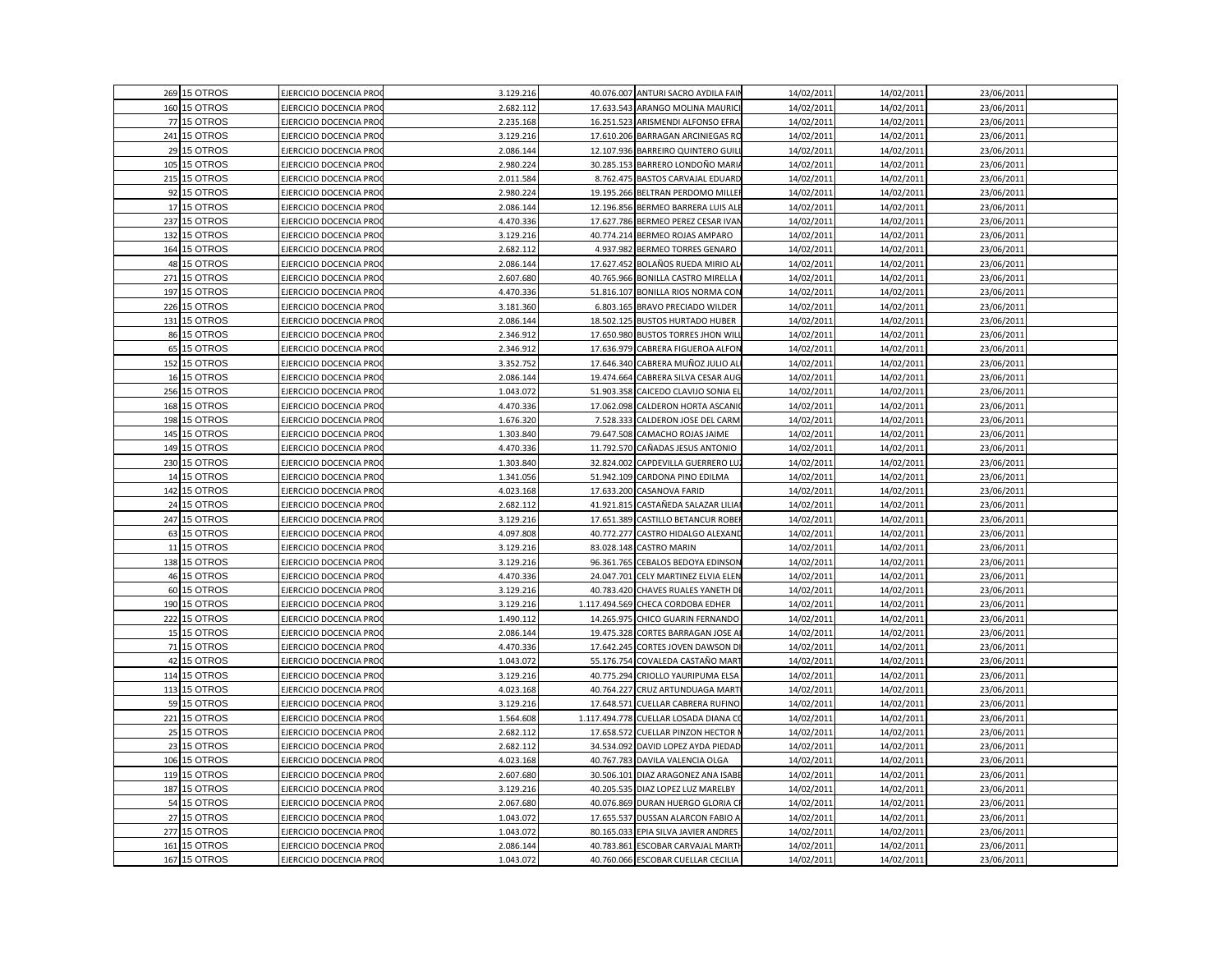|     | 269 15 OTROS | EJERCICIO DOCENCIA PRO        | 3.129.216 |            | 40.076.007 ANTURI SACRO AYDILA FAIN   | 14/02/2011 | 14/02/2011 | 23/06/2011 |  |
|-----|--------------|-------------------------------|-----------|------------|---------------------------------------|------------|------------|------------|--|
|     | 160 15 OTROS | EJERCICIO DOCENCIA PRO        | 2.682.112 |            | 17.633.543 ARANGO MOLINA MAURICI      | 14/02/2011 | 14/02/2011 | 23/06/2011 |  |
|     | 77 15 OTROS  | EJERCICIO DOCENCIA PRO        | 2.235.168 |            | 16.251.523 ARISMENDI ALFONSO EFRA     | 14/02/2011 | 14/02/2011 | 23/06/2011 |  |
| 241 | 15 OTROS     | EJERCICIO DOCENCIA PRO        | 3.129.216 |            | 17.610.206 BARRAGAN ARCINIEGAS RO     | 14/02/2011 | 14/02/2011 | 23/06/2011 |  |
|     | 29 15 OTROS  | EJERCICIO DOCENCIA PRO        | 2.086.144 |            | 12.107.936 BARREIRO QUINTERO GUIL     | 14/02/2011 | 14/02/2011 | 23/06/2011 |  |
| 105 | 15 OTROS     | EJERCICIO DOCENCIA PRO        | 2.980.224 |            | 30.285.153 BARRERO LONDOÑO MARI       | 14/02/2011 | 14/02/2011 | 23/06/2011 |  |
|     | 215 15 OTROS | <b>EJERCICIO DOCENCIA PRO</b> | 2.011.584 |            | 8.762.475 BASTOS CARVAJAL EDUARD      | 14/02/2011 | 14/02/2011 | 23/06/2011 |  |
| 92  | 15 OTROS     | EJERCICIO DOCENCIA PRO        | 2.980.224 |            | 19.195.266 BELTRAN PERDOMO MILLER     | 14/02/2011 | 14/02/2011 | 23/06/2011 |  |
| 17  | 15 OTROS     | EJERCICIO DOCENCIA PRO        | 2.086.144 |            | 12.196.856 BERMEO BARRERA LUIS ALE    | 14/02/2011 | 14/02/2011 | 23/06/2011 |  |
|     | 237 15 OTROS | EJERCICIO DOCENCIA PRO        | 4.470.336 |            | 17.627.786 BERMEO PEREZ CESAR IVAN    | 14/02/2011 | 14/02/2011 | 23/06/2011 |  |
|     | 132 15 OTROS | EJERCICIO DOCENCIA PRO        | 3.129.216 |            | 40.774.214 BERMEO ROJAS AMPARO        | 14/02/2011 | 14/02/2011 | 23/06/2011 |  |
|     | 164 15 OTROS | EJERCICIO DOCENCIA PRO        | 2.682.112 |            | 4.937.982 BERMEO TORRES GENARO        | 14/02/2011 | 14/02/2011 | 23/06/2011 |  |
|     | 48 15 OTROS  | EJERCICIO DOCENCIA PRO        | 2.086.144 |            | 17.627.452 BOLAÑOS RUEDA MIRIO AL     | 14/02/2011 | 14/02/2011 | 23/06/2011 |  |
| 271 | 15 OTROS     | EJERCICIO DOCENCIA PRO        | 2.607.680 |            | 40.765.966 BONILLA CASTRO MIRELLA     | 14/02/2011 | 14/02/2011 | 23/06/2011 |  |
| 197 | 15 OTROS     | EJERCICIO DOCENCIA PRO        | 4.470.336 |            | 51.816.107 BONILLA RIOS NORMA CON     | 14/02/2011 | 14/02/2011 | 23/06/2011 |  |
| 226 | 15 OTROS     | EJERCICIO DOCENCIA PRO        | 3.181.360 |            | 6.803.165 BRAVO PRECIADO WILDER       | 14/02/2011 | 14/02/2011 | 23/06/2011 |  |
|     | 131 15 OTROS | EJERCICIO DOCENCIA PRO        | 2.086.144 |            | 18.502.125 BUSTOS HURTADO HUBER       | 14/02/2011 | 14/02/2011 | 23/06/2011 |  |
|     | 86 15 OTROS  | EJERCICIO DOCENCIA PRO        | 2.346.912 |            | 17.650.980 BUSTOS TORRES JHON WILL    | 14/02/2011 | 14/02/2011 | 23/06/2011 |  |
| 65  | 15 OTROS     | EJERCICIO DOCENCIA PRO        | 2.346.912 |            | 17.636.979 CABRERA FIGUEROA ALFON     | 14/02/2011 | 14/02/2011 | 23/06/2011 |  |
|     | 152 15 OTROS | EJERCICIO DOCENCIA PRO        | 3.352.752 |            | 17.646.340 CABRERA MUÑOZ JULIO ALI    | 14/02/2011 | 14/02/2011 | 23/06/2011 |  |
|     | 16 15 OTROS  | EJERCICIO DOCENCIA PRO        | 2.086.144 |            | 19.474.664 CABRERA SILVA CESAR AUG    | 14/02/2011 | 14/02/2011 | 23/06/2011 |  |
| 256 | 15 OTROS     | EJERCICIO DOCENCIA PRO        | 1.043.072 |            | 51.903.358 CAICEDO CLAVIJO SONIA EL   | 14/02/2011 | 14/02/2011 | 23/06/2011 |  |
|     | 168 15 OTROS | EJERCICIO DOCENCIA PRO        | 4.470.336 |            | 17.062.098 CALDERON HORTA ASCANI      | 14/02/2011 | 14/02/2011 | 23/06/2011 |  |
|     | 198 15 OTROS | EJERCICIO DOCENCIA PRO        | 1.676.320 |            | 7.528.333 CALDERON JOSE DEL CARM      | 14/02/2011 | 14/02/2011 | 23/06/2011 |  |
|     | 145 15 OTROS | EJERCICIO DOCENCIA PRO        | 1.303.840 |            | 79.647.508 CAMACHO ROJAS JAIME        | 14/02/2011 | 14/02/2011 | 23/06/2011 |  |
|     | 149 15 OTROS | EJERCICIO DOCENCIA PRO        | 4.470.336 |            | 11.792.570 CAÑADAS JESUS ANTONIO      | 14/02/2011 | 14/02/2011 | 23/06/2011 |  |
|     | 230 15 OTROS | EJERCICIO DOCENCIA PRO        | 1.303.840 |            | 32.824.002 CAPDEVILLA GUERRERO LU     | 14/02/2011 | 14/02/2011 | 23/06/201  |  |
|     | 14 15 OTROS  | EJERCICIO DOCENCIA PRO        | 1.341.056 |            | 51.942.109 CARDONA PINO EDILMA        | 14/02/2011 | 14/02/2011 | 23/06/2011 |  |
|     | 142 15 OTROS | EJERCICIO DOCENCIA PRO        | 4.023.168 |            | 17.633.200 CASANOVA FARID             | 14/02/2011 | 14/02/2011 | 23/06/2011 |  |
|     | 24 15 OTROS  | EJERCICIO DOCENCIA PRO        | 2.682.112 |            | 41.921.815 CASTAÑEDA SALAZAR LILIA    | 14/02/2011 | 14/02/2011 | 23/06/2011 |  |
|     | 247 15 OTROS | EJERCICIO DOCENCIA PRO        | 3.129.216 |            | 17.651.389 CASTILLO BETANCUR ROBER    | 14/02/2011 | 14/02/2011 | 23/06/2011 |  |
|     | 63 15 OTROS  | EJERCICIO DOCENCIA PRO        | 4.097.808 |            | 40.772.277 CASTRO HIDALGO ALEXAND     | 14/02/2011 | 14/02/2011 | 23/06/2011 |  |
| 11  | 15 OTROS     | EJERCICIO DOCENCIA PRO        | 3.129.216 |            | 83.028.148 CASTRO MARIN               | 14/02/2011 | 14/02/2011 | 23/06/2011 |  |
|     | 138 15 OTROS | EJERCICIO DOCENCIA PRO        | 3.129.216 |            | 96.361.765 CEBALOS BEDOYA EDINSON     | 14/02/2011 | 14/02/2011 | 23/06/2011 |  |
|     | 46 15 OTROS  | EJERCICIO DOCENCIA PRO        | 4.470.336 |            | 24.047.701 CELY MARTINEZ ELVIA ELEN   | 14/02/2011 | 14/02/2011 | 23/06/2011 |  |
| 60  | 15 OTROS     | EJERCICIO DOCENCIA PRO        | 3.129.216 |            | 40.783.420 CHAVES RUALES YANETH DE    | 14/02/2011 | 14/02/2011 | 23/06/2011 |  |
|     | 190 15 OTROS | EJERCICIO DOCENCIA PRO        | 3.129.216 |            | 1.117.494.569 CHECA CORDOBA EDHER     | 14/02/2011 | 14/02/2011 | 23/06/2011 |  |
|     | 222 15 OTROS | EJERCICIO DOCENCIA PRO        | 1.490.112 | 14.265.975 | CHICO GUARIN FERNANDO                 | 14/02/2011 | 14/02/2011 | 23/06/2011 |  |
|     | 15 15 OTROS  | EJERCICIO DOCENCIA PRO        | 2.086.144 |            | 19.475.328 CORTES BARRAGAN JOSE A     | 14/02/2011 | 14/02/2011 | 23/06/2011 |  |
| 71  | 15 OTROS     | EJERCICIO DOCENCIA PRO        | 4.470.336 |            | 17.642.245 CORTES JOVEN DAWSON DI     | 14/02/2011 | 14/02/2011 | 23/06/2011 |  |
|     | 42 15 OTROS  | EJERCICIO DOCENCIA PRO        | 1.043.072 |            | 55.176.754 COVALEDA CASTAÑO MAR1      | 14/02/2011 | 14/02/2011 | 23/06/2011 |  |
|     | 114 15 OTROS | EJERCICIO DOCENCIA PRO        | 3.129.216 |            | 40.775.294 CRIOLLO YAURIPUMA ELSA     | 14/02/2011 | 14/02/2011 | 23/06/2011 |  |
|     | 113 15 OTROS | EJERCICIO DOCENCIA PRO        | 4.023.168 |            | 40.764.227 CRUZ ARTUNDUAGA MARTI      | 14/02/2011 | 14/02/2011 | 23/06/2011 |  |
| 59  | 15 OTROS     | EJERCICIO DOCENCIA PRO        | 3.129.216 | 17.648.571 | CUELLAR CABRERA RUFINO                | 14/02/2011 | 14/02/2011 | 23/06/201  |  |
| 221 | 15 OTROS     | EJERCICIO DOCENCIA PRO        | 1.564.608 |            | 1.117.494.778 CUELLAR LOSADA DIANA CO | 14/02/2011 | 14/02/2011 | 23/06/2011 |  |
| 25  | 15 OTROS     | EJERCICIO DOCENCIA PRO        | 2.682.112 |            | 17.658.572 CUELLAR PINZON HECTOR N    | 14/02/2011 | 14/02/2011 | 23/06/2011 |  |
|     | 23 15 OTROS  | EJERCICIO DOCENCIA PRO        | 2.682.112 |            | 34.534.092 DAVID LOPEZ AYDA PIEDAD    | 14/02/2011 | 14/02/2011 | 23/06/2011 |  |
|     | 106 15 OTROS | EJERCICIO DOCENCIA PRO        | 4.023.168 |            | 40.767.783 DAVILA VALENCIA OLGA       | 14/02/2011 | 14/02/2011 | 23/06/2011 |  |
|     | 119 15 OTROS | EJERCICIO DOCENCIA PRO        | 2.607.680 |            | 30.506.101 DIAZ ARAGONEZ ANA ISABE    | 14/02/2011 | 14/02/2011 | 23/06/2011 |  |
|     | 187 15 OTROS | EJERCICIO DOCENCIA PRO        | 3.129.216 |            | 40.205.535 DIAZ LOPEZ LUZ MARELBY     | 14/02/2011 | 14/02/2011 | 23/06/2011 |  |
|     | 54 15 OTROS  | EJERCICIO DOCENCIA PRO        | 2.067.680 |            | 40.076.869 DURAN HUERGO GLORIA CF     | 14/02/2011 | 14/02/2011 | 23/06/2011 |  |
| 27  | 15 OTROS     | EJERCICIO DOCENCIA PRO        | 1.043.072 |            | 17.655.537 DUSSAN ALARCON FABIO A     | 14/02/2011 | 14/02/2011 | 23/06/2011 |  |
| 277 | 15 OTROS     | EJERCICIO DOCENCIA PRO        | 1.043.072 |            | 80.165.033 EPIA SILVA JAVIER ANDRES   | 14/02/2011 | 14/02/2011 | 23/06/2011 |  |
| 161 | 15 OTROS     | EJERCICIO DOCENCIA PRO        | 2.086.144 |            | 40.783.861 ESCOBAR CARVAJAL MARTI     | 14/02/2011 | 14/02/2011 | 23/06/2011 |  |
|     | 167 15 OTROS | EJERCICIO DOCENCIA PRO        | 1.043.072 |            | 40.760.066 ESCOBAR CUELLAR CECILIA    | 14/02/2011 | 14/02/2011 | 23/06/2011 |  |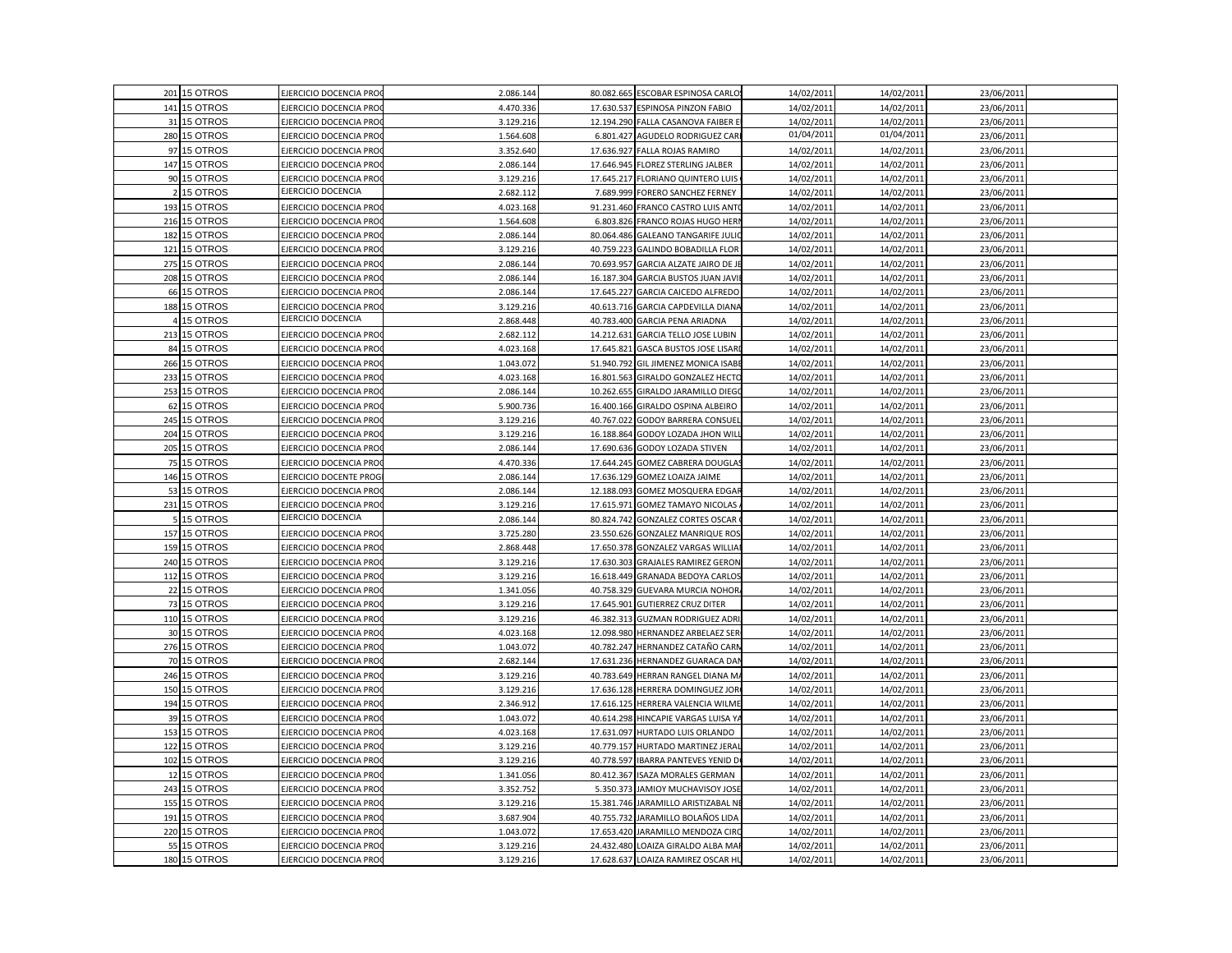|     | 201 15 OTROS | EJERCICIO DOCENCIA PRO       | 2.086.144 |            | 80.082.665 ESCOBAR ESPINOSA CARLO    | 14/02/2011 | 14/02/2011 | 23/06/2011 |  |
|-----|--------------|------------------------------|-----------|------------|--------------------------------------|------------|------------|------------|--|
|     | 141 15 OTROS | EJERCICIO DOCENCIA PRO       | 4.470.336 |            | 17.630.537 ESPINOSA PINZON FABIO     | 14/02/2011 | 14/02/2011 | 23/06/2011 |  |
|     | 31 15 OTROS  | EJERCICIO DOCENCIA PRO       | 3.129.216 |            | 12.194.290 FALLA CASANOVA FAIBER E   | 14/02/2011 | 14/02/2011 | 23/06/2011 |  |
|     | 280 15 OTROS | EJERCICIO DOCENCIA PRO       | 1.564.608 |            | 6.801.427 AGUDELO RODRIGUEZ CARI     | 01/04/2011 | 01/04/2011 | 23/06/2011 |  |
|     | 97 15 OTROS  | EJERCICIO DOCENCIA PRO       | 3.352.640 |            | 17.636.927 FALLA ROJAS RAMIRO        | 14/02/2011 | 14/02/2011 | 23/06/2011 |  |
|     | 147 15 OTROS | EJERCICIO DOCENCIA PRO       | 2.086.144 |            | 17.646.945 FLOREZ STERLING JALBER    | 14/02/2011 | 14/02/2011 | 23/06/2011 |  |
|     | 90 15 OTROS  | <b>JERCICIO DOCENCIA PRO</b> | 3.129.216 |            | 17.645.217 FLORIANO QUINTERO LUIS    | 14/02/2011 | 14/02/2011 | 23/06/2011 |  |
|     | 15 OTROS     | EJERCICIO DOCENCIA           | 2.682.112 |            | 7.689.999 FORERO SANCHEZ FERNEY      | 14/02/2011 | 14/02/2011 | 23/06/2011 |  |
| 193 | 15 OTROS     | EJERCICIO DOCENCIA PRO       | 4.023.168 |            | 91.231.460 FRANCO CASTRO LUIS ANTO   | 14/02/2011 | 14/02/2011 | 23/06/2011 |  |
|     | 216 15 OTROS | EJERCICIO DOCENCIA PRO       | 1.564.608 |            | 6.803.826 FRANCO ROJAS HUGO HERN     | 14/02/2011 | 14/02/2011 | 23/06/2011 |  |
|     | 182 15 OTROS | EJERCICIO DOCENCIA PRO       | 2.086.144 |            | 80.064.486 GALEANO TANGARIFE JULIC   | 14/02/2011 | 14/02/2011 | 23/06/2011 |  |
|     | 121 15 OTROS | EJERCICIO DOCENCIA PRO       | 3.129.216 |            | 40.759.223 GALINDO BOBADILLA FLOR    | 14/02/2011 | 14/02/2011 | 23/06/2011 |  |
| 275 | 15 OTROS     | EJERCICIO DOCENCIA PRO       | 2.086.144 |            | 70.693.957 GARCIA ALZATE JAIRO DE JE | 14/02/2011 | 14/02/2011 | 23/06/2011 |  |
|     | 208 15 OTROS | EJERCICIO DOCENCIA PRO       | 2.086.144 |            | 16.187.304 GARCIA BUSTOS JUAN JAVIE  | 14/02/2011 | 14/02/2011 | 23/06/2011 |  |
| 66  | 15 OTROS     | EJERCICIO DOCENCIA PRO       | 2.086.144 |            | 17.645.227 GARCIA CAICEDO ALFREDO    | 14/02/2011 | 14/02/2011 | 23/06/2011 |  |
|     | 188 15 OTROS | EJERCICIO DOCENCIA PRO       | 3.129.216 | 40.613.716 | <b>GARCIA CAPDEVILLA DIANA</b>       | 14/02/2011 | 14/02/2011 | 23/06/2011 |  |
|     | 4 15 OTROS   | EJERCICIO DOCENCIA           | 2.868.448 |            | 40.783.400 GARCIA PENA ARIADNA       | 14/02/2011 | 14/02/2011 | 23/06/2011 |  |
|     | 213 15 OTROS | EJERCICIO DOCENCIA PRO       | 2.682.112 | 14.212.631 | <b>GARCIA TELLO JOSE LUBIN</b>       | 14/02/2011 | 14/02/2011 | 23/06/2011 |  |
|     | 84 15 OTROS  | EJERCICIO DOCENCIA PRO       | 4.023.168 | 17.645.821 | <b>GASCA BUSTOS JOSE LISAR</b>       | 14/02/2011 | 14/02/2011 | 23/06/2011 |  |
|     | 266 15 OTROS | EJERCICIO DOCENCIA PRO       | 1.043.072 |            | 51.940.792 GIL JIMENEZ MONICA ISABE  | 14/02/2011 | 14/02/2011 | 23/06/2011 |  |
|     | 233 15 OTROS | EJERCICIO DOCENCIA PRO       | 4.023.168 |            | 16.801.563 GIRALDO GONZALEZ HECTO    | 14/02/2011 | 14/02/2011 | 23/06/2011 |  |
|     | 253 15 OTROS | EJERCICIO DOCENCIA PRO       | 2.086.144 | 10.262.655 | GIRALDO JARAMILLO DIEGO              | 14/02/2011 | 14/02/2011 | 23/06/2011 |  |
|     | 62 15 OTROS  | EJERCICIO DOCENCIA PRO       | 5.900.736 |            | 16.400.166 GIRALDO OSPINA ALBEIRO    | 14/02/2011 | 14/02/2011 | 23/06/2011 |  |
|     | 245 15 OTROS | EJERCICIO DOCENCIA PRO       | 3.129.216 |            | 40.767.022 GODOY BARRERA CONSUEL     | 14/02/2011 | 14/02/2011 | 23/06/2011 |  |
|     | 204 15 OTROS | EJERCICIO DOCENCIA PRO       | 3.129.216 |            | 16.188.864 GODOY LOZADA JHON WILL    | 14/02/2011 | 14/02/2011 | 23/06/2011 |  |
|     | 205 15 OTROS | EJERCICIO DOCENCIA PRO       | 2.086.144 |            | 17.690.636 GODOY LOZADA STIVEN       | 14/02/2011 | 14/02/2011 | 23/06/2011 |  |
| 75  | 15 OTROS     | EJERCICIO DOCENCIA PRO       | 4.470.336 | 17.644.245 | <b>GOMEZ CABRERA DOUGLAS</b>         | 14/02/2011 | 14/02/2011 | 23/06/201  |  |
|     | 146 15 OTROS | EJERCICIO DOCENTE PROG       | 2.086.144 |            | 17.636.129 GOMEZ LOAIZA JAIME        | 14/02/2011 | 14/02/2011 | 23/06/2011 |  |
|     | 53 15 OTROS  | EJERCICIO DOCENCIA PRO       | 2.086.144 |            | 12.188.093 GOMEZ MOSQUERA EDGAR      | 14/02/2011 | 14/02/2011 | 23/06/2011 |  |
| 231 | 15 OTROS     | EJERCICIO DOCENCIA PRO       | 3.129.216 | 17.615.971 | <b>GOMEZ TAMAYO NICOLAS</b>          | 14/02/2011 | 14/02/2011 | 23/06/2011 |  |
|     | 5 15 OTROS   | EJERCICIO DOCENCIA           | 2.086.144 |            | 80.824.742 GONZALEZ CORTES OSCAR     | 14/02/2011 | 14/02/2011 | 23/06/2011 |  |
|     | 157 15 OTROS | EJERCICIO DOCENCIA PRO       | 3.725.280 |            | 23.550.626 GONZALEZ MANRIQUE ROS     | 14/02/2011 | 14/02/2011 | 23/06/2011 |  |
| 159 | 15 OTROS     | EJERCICIO DOCENCIA PRO       | 2.868.448 |            | 17.650.378 GONZALEZ VARGAS WILLIA    | 14/02/2011 | 14/02/2011 | 23/06/2011 |  |
|     | 240 15 OTROS | EJERCICIO DOCENCIA PRO       | 3.129.216 |            | 17.630.303 GRAJALES RAMIREZ GERON    | 14/02/2011 | 14/02/2011 | 23/06/2011 |  |
|     | 112 15 OTROS | EJERCICIO DOCENCIA PRO       | 3.129.216 |            | 16.618.449 GRANADA BEDOYA CARLOS     | 14/02/2011 | 14/02/2011 | 23/06/2011 |  |
|     | 22 15 OTROS  | EJERCICIO DOCENCIA PRO       | 1.341.056 | 40.758.329 | GUEVARA MURCIA NOHOR                 | 14/02/2011 | 14/02/2011 | 23/06/2011 |  |
| 73  | 15 OTROS     | EJERCICIO DOCENCIA PRO       | 3.129.216 | 17.645.901 | <b>GUTIERREZ CRUZ DITER</b>          | 14/02/2011 | 14/02/2011 | 23/06/2011 |  |
|     | 110 15 OTROS | EJERCICIO DOCENCIA PRO       | 3.129.216 |            | 46.382.313 GUZMAN RODRIGUEZ ADRI     | 14/02/2011 | 14/02/2011 | 23/06/2011 |  |
|     | 30 15 OTROS  | EJERCICIO DOCENCIA PRO       | 4.023.168 |            | 12.098.980 HERNANDEZ ARBELAEZ SER    | 14/02/2011 | 14/02/2011 | 23/06/2011 |  |
|     | 276 15 OTROS | EJERCICIO DOCENCIA PRO       | 1.043.072 |            | 40.782.247 HERNANDEZ CATAÑO CARN     | 14/02/2011 | 14/02/2011 | 23/06/2011 |  |
|     | 70 15 OTROS  | EJERCICIO DOCENCIA PRO       | 2.682.144 |            | 17.631.236 HERNANDEZ GUARACA DAI     | 14/02/2011 | 14/02/2011 | 23/06/2011 |  |
|     | 246 15 OTROS | EJERCICIO DOCENCIA PRO       | 3.129.216 |            | 40.783.649 HERRAN RANGEL DIANA M/    | 14/02/2011 | 14/02/2011 | 23/06/2011 |  |
| 150 | 15 OTROS     | EJERCICIO DOCENCIA PRO       | 3.129.216 |            | 17.636.128 HERRERA DOMINGUEZ JOR     | 14/02/2011 | 14/02/2011 | 23/06/2011 |  |
|     | 194 15 OTROS | EJERCICIO DOCENCIA PRO       | 2.346.912 |            | 17.616.125 HERRERA VALENCIA WILME    | 14/02/2011 | 14/02/2011 | 23/06/201  |  |
|     | 39 15 OTROS  | EJERCICIO DOCENCIA PRO       | 1.043.072 |            | 40.614.298 HINCAPIE VARGAS LUISA YA  | 14/02/2011 | 14/02/2011 | 23/06/2011 |  |
| 153 | 15 OTROS     | EJERCICIO DOCENCIA PRO       | 4.023.168 |            | 17.631.097 HURTADO LUIS ORLANDO      | 14/02/2011 | 14/02/2011 | 23/06/2011 |  |
|     | 122 15 OTROS | EJERCICIO DOCENCIA PRO       | 3.129.216 |            | 40.779.157 HURTADO MARTINEZ JERA     | 14/02/2011 | 14/02/2011 | 23/06/2011 |  |
|     | 102 15 OTROS | EJERCICIO DOCENCIA PRO       | 3.129.216 |            | 40.778.597 IBARRA PANTEVES YENID DO  | 14/02/2011 | 14/02/2011 | 23/06/2011 |  |
|     | 12 15 OTROS  | EJERCICIO DOCENCIA PRO       | 1.341.056 |            | 80.412.367 ISAZA MORALES GERMAN      | 14/02/2011 | 14/02/2011 | 23/06/2011 |  |
|     | 243 15 OTROS | EJERCICIO DOCENCIA PRO       | 3.352.752 |            | 5.350.373 JAMIOY MUCHAVISOY JOSE     | 14/02/2011 | 14/02/2011 | 23/06/2011 |  |
|     | 155 15 OTROS | EJERCICIO DOCENCIA PRO       | 3.129.216 |            | 15.381.746 JARAMILLO ARISTIZABAL NE  | 14/02/2011 | 14/02/2011 | 23/06/2011 |  |
| 191 | 15 OTROS     | EJERCICIO DOCENCIA PRO       | 3.687.904 |            | 40.755.732 JARAMILLO BOLAÑOS LIDA    | 14/02/2011 | 14/02/2011 | 23/06/2011 |  |
|     | 220 15 OTROS | EJERCICIO DOCENCIA PRO       | 1.043.072 |            | 17.653.420 JARAMILLO MENDOZA CIRC    | 14/02/2011 | 14/02/2011 | 23/06/2011 |  |
| 55  | 15 OTROS     | EJERCICIO DOCENCIA PRO       | 3.129.216 |            | 24.432.480 LOAIZA GIRALDO ALBA MAF   | 14/02/2011 | 14/02/2011 | 23/06/2011 |  |
|     | 180 15 OTROS | EJERCICIO DOCENCIA PRO       | 3.129.216 |            | 17.628.637 LOAIZA RAMIREZ OSCAR HU   | 14/02/2011 | 14/02/2011 | 23/06/2011 |  |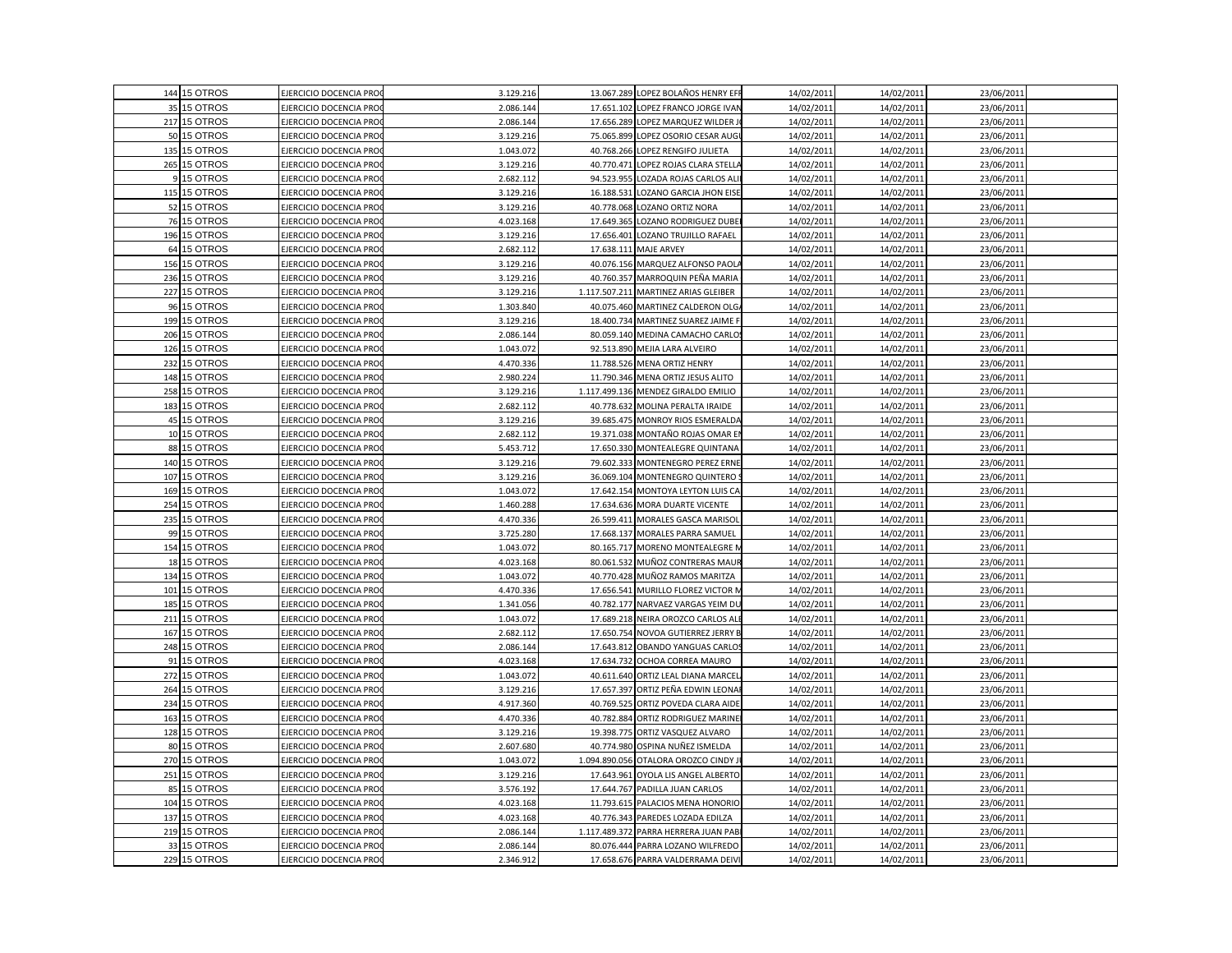|     | 144 15 OTROS | EJERCICIO DOCENCIA PRO        | 3.129.216 |            | 13.067.289 LOPEZ BOLAÑOS HENRY EFF    | 14/02/2011 | 14/02/2011 | 23/06/2011 |  |
|-----|--------------|-------------------------------|-----------|------------|---------------------------------------|------------|------------|------------|--|
|     | 35 15 OTROS  | EJERCICIO DOCENCIA PRO        | 2.086.144 |            | 17.651.102 LOPEZ FRANCO JORGE IVAN    | 14/02/2011 | 14/02/2011 | 23/06/2011 |  |
|     | 217 15 OTROS | EJERCICIO DOCENCIA PRO        | 2.086.144 |            | 17.656.289 LOPEZ MARQUEZ WILDER JO    | 14/02/2011 | 14/02/2011 | 23/06/2011 |  |
|     | 50 15 OTROS  | EJERCICIO DOCENCIA PRO        | 3.129.216 |            | 75.065.899 LOPEZ OSORIO CESAR AUGI    | 14/02/2011 | 14/02/2011 | 23/06/2011 |  |
|     | 135 15 OTROS | EJERCICIO DOCENCIA PRO        | 1.043.072 |            | 40.768.266 LOPEZ RENGIFO JULIETA      | 14/02/2011 | 14/02/2011 | 23/06/2011 |  |
|     | 265 15 OTROS | EJERCICIO DOCENCIA PRO        | 3.129.216 |            | 40.770.471 LOPEZ ROJAS CLARA STELLA   | 14/02/2011 | 14/02/2011 | 23/06/2011 |  |
|     | 15 OTROS     | <b>EJERCICIO DOCENCIA PRO</b> | 2.682.112 |            | 94.523.955 LOZADA ROJAS CARLOS ALI    | 14/02/2011 | 14/02/2011 | 23/06/2011 |  |
|     | 115 15 OTROS | EJERCICIO DOCENCIA PRO        | 3.129.216 |            | 16.188.531 LOZANO GARCIA JHON EISE    | 14/02/2011 | 14/02/2011 | 23/06/2011 |  |
|     | 52 15 OTROS  | EJERCICIO DOCENCIA PRO        | 3.129.216 |            | 40.778.068 LOZANO ORTIZ NORA          | 14/02/2011 | 14/02/2011 | 23/06/2011 |  |
|     | 76 15 OTROS  | EJERCICIO DOCENCIA PRO        | 4.023.168 |            | 17.649.365 LOZANO RODRIGUEZ DUBEI     | 14/02/2011 | 14/02/2011 | 23/06/2011 |  |
|     | 196 15 OTROS | EJERCICIO DOCENCIA PRO        | 3.129.216 |            | 17.656.401 LOZANO TRUJILLO RAFAEL     | 14/02/2011 | 14/02/2011 | 23/06/2011 |  |
|     | 64 15 OTROS  | EJERCICIO DOCENCIA PRO        | 2.682.112 |            | 17.638.111 MAJE ARVEY                 | 14/02/2011 | 14/02/2011 | 23/06/2011 |  |
|     | 156 15 OTROS | EJERCICIO DOCENCIA PRO        | 3.129.216 |            | 40.076.156 MARQUEZ ALFONSO PAOLA      | 14/02/2011 | 14/02/2011 | 23/06/2011 |  |
|     | 236 15 OTROS | EJERCICIO DOCENCIA PRO        | 3.129.216 |            | 40.760.357 MARROQUIN PEÑA MARIA       | 14/02/2011 | 14/02/2011 | 23/06/2011 |  |
| 227 | 15 OTROS     | EJERCICIO DOCENCIA PRO        | 3.129.216 |            | 1.117.507.211 MARTINEZ ARIAS GLEIBER  | 14/02/2011 | 14/02/2011 | 23/06/2011 |  |
| 96  | 15 OTROS     | EJERCICIO DOCENCIA PRO        | 1.303.840 |            | 40.075.460 MARTINEZ CALDERON OLG/     | 14/02/2011 | 14/02/2011 | 23/06/2011 |  |
|     | 199 15 OTROS | EJERCICIO DOCENCIA PRO        | 3.129.216 |            | 18.400.734 MARTINEZ SUAREZ JAIME F    | 14/02/2011 | 14/02/2011 | 23/06/2011 |  |
|     | 206 15 OTROS | EJERCICIO DOCENCIA PRO        | 2.086.144 |            | 80.059.140 MEDINA CAMACHO CARLO:      | 14/02/2011 | 14/02/2011 | 23/06/2011 |  |
| 126 | 15 OTROS     | EJERCICIO DOCENCIA PRO        | 1.043.072 |            | 92.513.890 MEJIA LARA ALVEIRO         | 14/02/2011 | 14/02/2011 | 23/06/2011 |  |
|     | 232 15 OTROS | EJERCICIO DOCENCIA PRO        | 4.470.336 |            | 11.788.526 MENA ORTIZ HENRY           | 14/02/2011 | 14/02/2011 | 23/06/2011 |  |
|     | 148 15 OTROS | EJERCICIO DOCENCIA PRO        | 2.980.224 |            | 11.790.346 MENA ORTIZ JESUS ALITO     | 14/02/2011 | 14/02/2011 | 23/06/2011 |  |
| 258 | 15 OTROS     | EJERCICIO DOCENCIA PRO        | 3.129.216 |            | 1.117.499.136 MENDEZ GIRALDO EMILIO   | 14/02/2011 | 14/02/2011 | 23/06/2011 |  |
|     | 183 15 OTROS | EJERCICIO DOCENCIA PRO        | 2.682.112 |            | 40.778.632 MOLINA PERALTA IRAIDE      | 14/02/2011 | 14/02/2011 | 23/06/2011 |  |
|     | 45 15 OTROS  | EJERCICIO DOCENCIA PRO        | 3.129.216 |            | 39.685.475 MONROY RIOS ESMERALDA      | 14/02/2011 | 14/02/2011 | 23/06/2011 |  |
|     | 10 15 OTROS  | EJERCICIO DOCENCIA PRO        | 2.682.112 |            | 19.371.038 MONTAÑO ROJAS OMAR EN      | 14/02/2011 | 14/02/2011 | 23/06/2011 |  |
|     | 88 15 OTROS  | EJERCICIO DOCENCIA PRO        | 5.453.712 |            | 17.650.330 MONTEALEGRE QUINTANA       | 14/02/2011 | 14/02/2011 | 23/06/2011 |  |
| 140 | 15 OTROS     | EJERCICIO DOCENCIA PRO        | 3.129.216 |            | 79.602.333 MONTENEGRO PEREZ ERNE      | 14/02/2011 | 14/02/2011 | 23/06/2011 |  |
|     | 107 15 OTROS | EJERCICIO DOCENCIA PRO        | 3.129.216 |            | 36.069.104 MONTENEGRO QUINTERO S      | 14/02/2011 | 14/02/2011 | 23/06/2011 |  |
| 169 | 15 OTROS     | EJERCICIO DOCENCIA PRO        | 1.043.072 |            | 17.642.154 MONTOYA LEYTON LUIS CA     | 14/02/2011 | 14/02/2011 | 23/06/2011 |  |
| 254 | 15 OTROS     | EJERCICIO DOCENCIA PRO        | 1.460.288 |            | 17.634.636 MORA DUARTE VICENTE        | 14/02/2011 | 14/02/2011 | 23/06/2011 |  |
|     | 235 15 OTROS | EJERCICIO DOCENCIA PRO        | 4.470.336 |            | 26.599.411 MORALES GASCA MARISOL      | 14/02/2011 | 14/02/2011 | 23/06/2011 |  |
|     | 99 15 OTROS  | EJERCICIO DOCENCIA PRO        | 3.725.280 |            | 17.668.137 MORALES PARRA SAMUEL       | 14/02/2011 | 14/02/2011 | 23/06/2011 |  |
| 154 | 15 OTROS     | EJERCICIO DOCENCIA PRO        | 1.043.072 |            | 80.165.717 MORENO MONTEALEGRE N       | 14/02/2011 | 14/02/2011 | 23/06/2011 |  |
|     | 18 15 OTROS  | EJERCICIO DOCENCIA PRO        | 4.023.168 |            | 80.061.532 MUÑOZ CONTRERAS MAUR       | 14/02/2011 | 14/02/2011 | 23/06/2011 |  |
|     | 134 15 OTROS | EJERCICIO DOCENCIA PRO        | 1.043.072 |            | 40.770.428 MUÑOZ RAMOS MARITZA        | 14/02/2011 | 14/02/2011 | 23/06/2011 |  |
| 101 | 15 OTROS     | EJERCICIO DOCENCIA PRO        | 4.470.336 | 17.656.541 | MURILLO FLOREZ VICTOR M               | 14/02/2011 | 14/02/2011 | 23/06/2011 |  |
| 185 | 15 OTROS     | EJERCICIO DOCENCIA PRO        | 1.341.056 |            | 40.782.177 NARVAEZ VARGAS YEIM DU     | 14/02/2011 | 14/02/2011 | 23/06/2011 |  |
| 211 | 15 OTROS     | EJERCICIO DOCENCIA PRO        | 1.043.072 |            | 17.689.218 NEIRA OROZCO CARLOS ALE    | 14/02/2011 | 14/02/2011 | 23/06/2011 |  |
|     | 167 15 OTROS | EJERCICIO DOCENCIA PRO        | 2.682.112 |            | 17.650.754 NOVOA GUTIERREZ JERRY B    | 14/02/2011 | 14/02/2011 | 23/06/2011 |  |
|     | 248 15 OTROS | EJERCICIO DOCENCIA PRO        | 2.086.144 |            | 17.643.812 OBANDO YANGUAS CARLOS      | 14/02/2011 | 14/02/2011 | 23/06/2011 |  |
| 91  | 15 OTROS     | EJERCICIO DOCENCIA PRO        | 4.023.168 |            | 17.634.732 OCHOA CORREA MAURO         | 14/02/2011 | 14/02/2011 | 23/06/2011 |  |
|     | 272 15 OTROS | EJERCICIO DOCENCIA PRO        | 1.043.072 |            | 40.611.640 ORTIZ LEAL DIANA MARCEL    | 14/02/2011 | 14/02/2011 | 23/06/2011 |  |
| 264 | 15 OTROS     | EJERCICIO DOCENCIA PRO        | 3.129.216 |            | 17.657.397 ORTIZ PEÑA EDWIN LEONAR    | 14/02/2011 | 14/02/2011 | 23/06/2011 |  |
| 234 | 15 OTROS     | EJERCICIO DOCENCIA PRO        | 4.917.360 |            | 40.769.525 ORTIZ POVEDA CLARA AIDE    | 14/02/2011 | 14/02/2011 | 23/06/201  |  |
|     | 163 15 OTROS | EJERCICIO DOCENCIA PRO        | 4.470.336 |            | 40.782.884 ORTIZ RODRIGUEZ MARINE     | 14/02/2011 | 14/02/2011 | 23/06/2011 |  |
| 128 | 15 OTROS     | EJERCICIO DOCENCIA PRO        | 3.129.216 |            | 19.398.775 ORTIZ VASQUEZ ALVARO       | 14/02/2011 | 14/02/2011 | 23/06/2011 |  |
|     | 80 15 OTROS  | EJERCICIO DOCENCIA PRO        | 2.607.680 |            | 40.774.980 OSPINA NUÑEZ ISMELDA       | 14/02/2011 | 14/02/2011 | 23/06/2011 |  |
|     | 270 15 OTROS | EJERCICIO DOCENCIA PRO        | 1.043.072 |            | 1.094.890.056 OTALORA OROZCO CINDY J  | 14/02/2011 | 14/02/2011 | 23/06/2011 |  |
|     | 251 15 OTROS | EJERCICIO DOCENCIA PRO        | 3.129.216 |            | 17.643.961 OYOLA LIS ANGEL ALBERTO    | 14/02/2011 | 14/02/2011 | 23/06/2011 |  |
| 85  | 15 OTROS     | EJERCICIO DOCENCIA PRO        | 3.576.192 |            | 17.644.767 PADILLA JUAN CARLOS        | 14/02/2011 | 14/02/2011 | 23/06/2011 |  |
|     | 104 15 OTROS | EJERCICIO DOCENCIA PRO        | 4.023.168 |            | 11.793.615 PALACIOS MENA HONORIO      | 14/02/2011 | 14/02/2011 | 23/06/2011 |  |
| 137 | 15 OTROS     | EJERCICIO DOCENCIA PRO        | 4.023.168 |            | 40.776.343 PAREDES LOZADA EDILZA      | 14/02/2011 | 14/02/2011 | 23/06/2011 |  |
|     | 219 15 OTROS | EJERCICIO DOCENCIA PRO        | 2.086.144 |            | 1.117.489.372 PARRA HERRERA JUAN PABI | 14/02/2011 | 14/02/2011 | 23/06/2011 |  |
| 33  | 15 OTROS     | EJERCICIO DOCENCIA PRO        | 2.086.144 |            | 80.076.444 PARRA LOZANO WILFREDO      | 14/02/2011 | 14/02/2011 | 23/06/2011 |  |
|     | 229 15 OTROS | EJERCICIO DOCENCIA PRO        | 2.346.912 |            | 17.658.676 PARRA VALDERRAMA DEIVI     | 14/02/2011 | 14/02/2011 | 23/06/2011 |  |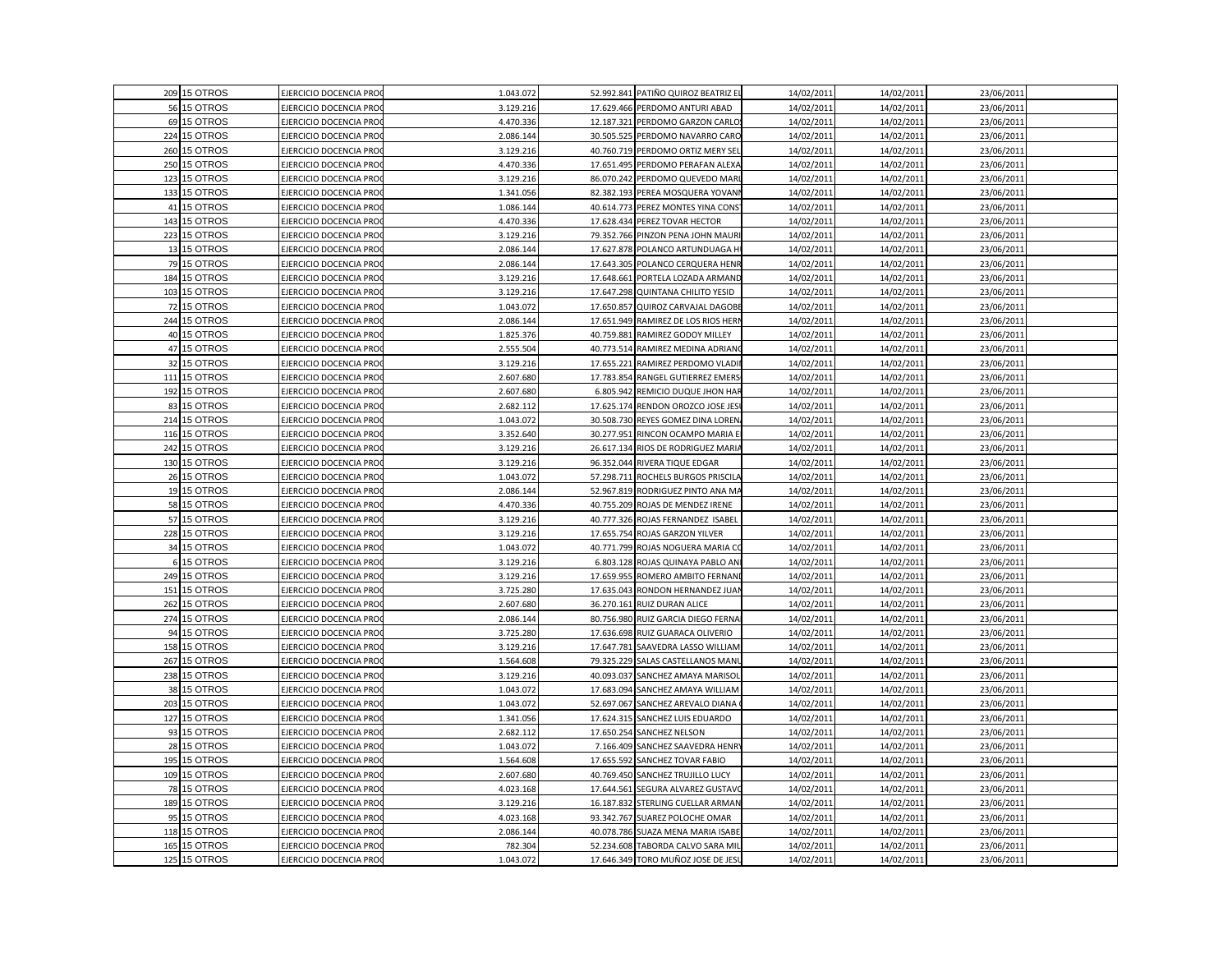|     | 209 15 OTROS | EJERCICIO DOCENCIA PRO        | 1.043.072 |            | 52.992.841 PATIÑO QUIROZ BEATRIZ EL | 14/02/2011 | 14/02/2011 | 23/06/2011 |  |
|-----|--------------|-------------------------------|-----------|------------|-------------------------------------|------------|------------|------------|--|
|     | 56 15 OTROS  | EJERCICIO DOCENCIA PRO        | 3.129.216 |            | 17.629.466 PERDOMO ANTURI ABAD      | 14/02/2011 | 14/02/2011 | 23/06/2011 |  |
|     | 69 15 OTROS  | EJERCICIO DOCENCIA PRO        | 4.470.336 |            | 12.187.321 PERDOMO GARZON CARLO!    | 14/02/2011 | 14/02/2011 | 23/06/2011 |  |
|     | 224 15 OTROS | EJERCICIO DOCENCIA PRO        | 2.086.144 |            | 30.505.525 PERDOMO NAVARRO CARO     | 14/02/2011 | 14/02/2011 | 23/06/2011 |  |
|     | 260 15 OTROS | EJERCICIO DOCENCIA PRO        | 3.129.216 |            | 40.760.719 PERDOMO ORTIZ MERY SEL   | 14/02/201  | 14/02/2011 | 23/06/2011 |  |
|     | 250 15 OTROS | EJERCICIO DOCENCIA PRO        | 4.470.336 | 17.651.495 | PERDOMO PERAFAN ALEXA               | 14/02/2011 | 14/02/2011 | 23/06/2011 |  |
| 123 | 15 OTROS     | EJERCICIO DOCENCIA PRO        | 3.129.216 |            | 86.070.242 PERDOMO QUEVEDO MARI     | 14/02/2011 | 14/02/2011 | 23/06/2011 |  |
|     | 133 15 OTROS | EJERCICIO DOCENCIA PRO        | 1.341.056 |            | 82.382.193 PEREA MOSQUERA YOVANI    | 14/02/2011 | 14/02/2011 | 23/06/2011 |  |
| 41  | 15 OTROS     | EJERCICIO DOCENCIA PRO        | 1.086.144 |            | 40.614.773 PEREZ MONTES YINA CONS   | 14/02/2011 | 14/02/2011 | 23/06/2011 |  |
|     | 143 15 OTROS | EJERCICIO DOCENCIA PRO        | 4.470.336 |            | 17.628.434 PEREZ TOVAR HECTOR       | 14/02/2011 | 14/02/2011 | 23/06/2011 |  |
|     | 223 15 OTROS | EJERCICIO DOCENCIA PRO        | 3.129.216 | 79.352.766 | PINZON PENA JOHN MAURI              | 14/02/2011 | 14/02/2011 | 23/06/2011 |  |
|     | 13 15 OTROS  | EJERCICIO DOCENCIA PRO        | 2.086.144 |            | 17.627.878 POLANCO ARTUNDUAGA H     | 14/02/2011 | 14/02/2011 | 23/06/2011 |  |
|     | 79 15 OTROS  | EJERCICIO DOCENCIA PRO        | 2.086.144 |            | 17.643.305 POLANCO CERQUERA HENR    | 14/02/2011 | 14/02/2011 | 23/06/2011 |  |
|     | 184 15 OTROS | EJERCICIO DOCENCIA PRO        | 3.129.216 | 17.648.661 | PORTELA LOZADA ARMAND               | 14/02/2011 | 14/02/2011 | 23/06/2011 |  |
| 103 | 15 OTROS     | EJERCICIO DOCENCIA PRO        | 3.129.216 | 17.647.298 | QUINTANA CHILITO YESID              | 14/02/2011 | 14/02/2011 | 23/06/2011 |  |
|     | 72 15 OTROS  | EJERCICIO DOCENCIA PRO        | 1.043.072 | 17.650.857 | QUIROZ CARVAJAL DAGOBE              | 14/02/201  | 14/02/2011 | 23/06/2011 |  |
|     | 244 15 OTROS | EJERCICIO DOCENCIA PRO        | 2.086.144 |            | 17.651.949 RAMIREZ DE LOS RIOS HERN | 14/02/2011 | 14/02/2011 | 23/06/2011 |  |
|     | 40 15 OTROS  | EJERCICIO DOCENCIA PRO        | 1.825.376 | 40.759.881 | RAMIREZ GODOY MILLEY                | 14/02/2011 | 14/02/2011 | 23/06/2011 |  |
|     | 47 15 OTROS  | EJERCICIO DOCENCIA PRO        | 2.555.504 |            | 40.773.514 RAMIREZ MEDINA ADRIAN    | 14/02/2011 | 14/02/2011 | 23/06/2011 |  |
|     | 32 15 OTROS  | EJERCICIO DOCENCIA PRO        | 3.129.216 | 17.655.221 | RAMIREZ PERDOMO VLADII              | 14/02/2011 | 14/02/2011 | 23/06/2011 |  |
| 111 | 15 OTROS     | EJERCICIO DOCENCIA PRO        | 2.607.680 | 17.783.854 | RANGEL GUTIERREZ EMERS              | 14/02/2011 | 14/02/2011 | 23/06/2011 |  |
|     | 192 15 OTROS | EJERCICIO DOCENCIA PRC        | 2.607.680 | 6.805.942  | REMICIO DUQUE JHON HAF              | 14/02/2011 | 14/02/2011 | 23/06/2011 |  |
|     | 83 15 OTROS  | EJERCICIO DOCENCIA PRO        | 2.682.112 |            | 17.625.174 RENDON OROZCO JOSE JES   | 14/02/2011 | 14/02/2011 | 23/06/2011 |  |
|     | 214 15 OTROS | EJERCICIO DOCENCIA PRO        | 1.043.072 |            | 30.508.730 REYES GOMEZ DINA LOREN.  | 14/02/2011 | 14/02/2011 | 23/06/2011 |  |
|     | 116 15 OTROS | EJERCICIO DOCENCIA PRO        | 3.352.640 | 30.277.951 | RINCON OCAMPO MARIA E               | 14/02/2011 | 14/02/2011 | 23/06/2011 |  |
|     | 242 15 OTROS | EJERCICIO DOCENCIA PRO        | 3.129.216 | 26.617.134 | RIOS DE RODRIGUEZ MARIA             | 14/02/2011 | 14/02/2011 | 23/06/2011 |  |
|     | 130 15 OTROS | EJERCICIO DOCENCIA PRO        | 3.129.216 |            | 96.352.044 RIVERA TIQUE EDGAR       | 14/02/2011 | 14/02/2011 | 23/06/2011 |  |
|     | 26 15 OTROS  | <b>EJERCICIO DOCENCIA PRO</b> | 1.043.072 | 57.298.711 | ROCHELS BURGOS PRISCILA             | 14/02/2011 | 14/02/2011 | 23/06/2011 |  |
|     | 19 15 OTROS  | EJERCICIO DOCENCIA PRO        | 2.086.144 |            | 52.967.819 RODRIGUEZ PINTO ANA MA   | 14/02/2011 | 14/02/2011 | 23/06/2011 |  |
|     | 58 15 OTROS  | EJERCICIO DOCENCIA PRO        | 4.470.336 | 40.755.209 | ROJAS DE MENDEZ IRENE               | 14/02/201  | 14/02/2011 | 23/06/2011 |  |
|     | 57 15 OTROS  | EJERCICIO DOCENCIA PRO        | 3.129.216 |            | 40.777.326 ROJAS FERNANDEZ ISABEL   | 14/02/2011 | 14/02/2011 | 23/06/2011 |  |
|     | 228 15 OTROS | EJERCICIO DOCENCIA PRO        | 3.129.216 |            | 17.655.754 ROJAS GARZON YILVER      | 14/02/2011 | 14/02/2011 | 23/06/2011 |  |
|     | 34 15 OTROS  | EJERCICIO DOCENCIA PRO        | 1.043.072 |            | 40.771.799 ROJAS NOGUERA MARIA C    | 14/02/2011 | 14/02/2011 | 23/06/2011 |  |
|     | 6 15 OTROS   | EJERCICIO DOCENCIA PRO        | 3.129.216 | 6.803.128  | ROJAS QUINAYA PABLO AN              | 14/02/2011 | 14/02/2011 | 23/06/2011 |  |
|     | 249 15 OTROS | <b>JERCICIO DOCENCIA PRO</b>  | 3.129.216 | 17.659.955 | ROMERO AMBITO FERNANI               | 14/02/2011 | 14/02/2011 | 23/06/2011 |  |
| 151 | 15 OTROS     | EJERCICIO DOCENCIA PRO        | 3.725.280 |            | 17.635.043 RONDON HERNANDEZ JUAI    | 14/02/2011 | 14/02/2011 | 23/06/2011 |  |
|     | 262 15 OTROS | EJERCICIO DOCENCIA PRO        | 2.607.680 | 36.270.161 | RUIZ DURAN ALICE                    | 14/02/2011 | 14/02/2011 | 23/06/2011 |  |
|     | 274 15 OTROS | EJERCICIO DOCENCIA PRO        | 2.086.144 |            | 80.756.980 RUIZ GARCIA DIEGO FERNA  | 14/02/2011 | 14/02/2011 | 23/06/2011 |  |
|     | 94 15 OTROS  | EJERCICIO DOCENCIA PRO        | 3.725.280 | 17.636.698 | RUIZ GUARACA OLIVERIO               | 14/02/2011 | 14/02/2011 | 23/06/2011 |  |
|     | 158 15 OTROS | EJERCICIO DOCENCIA PRO        | 3.129.216 | 17.647.781 | SAAVEDRA LASSO WILLIAM              | 14/02/2011 | 14/02/2011 | 23/06/2011 |  |
|     | 267 15 OTROS | EJERCICIO DOCENCIA PRO        | 1.564.608 |            | 79.325.229 SALAS CASTELLANOS MANU   | 14/02/2011 | 14/02/2011 | 23/06/2011 |  |
|     | 238 15 OTROS | EJERCICIO DOCENCIA PRO        | 3.129.216 | 40.093.037 | SANCHEZ AMAYA MARISOL               | 14/02/2011 | 14/02/2011 | 23/06/2011 |  |
|     | 38 15 OTROS  | EJERCICIO DOCENCIA PRC        | 1.043.07  | 17.683.094 | SANCHEZ AMAYA WILLIAM               | 14/02/2011 | 14/02/2011 | 23/06/2011 |  |
| 203 | 15 OTROS     | EJERCICIO DOCENCIA PRO        | 1.043.072 | 52.697.067 | SANCHEZ AREVALO DIANA               | 14/02/201  | 14/02/2011 | 23/06/2011 |  |
|     | 127 15 OTROS | EJERCICIO DOCENCIA PRO        | 1.341.056 |            | 17.624.315 SANCHEZ LUIS EDUARDO     | 14/02/2011 | 14/02/2011 | 23/06/2011 |  |
|     | 93 15 OTROS  | EJERCICIO DOCENCIA PRO        | 2.682.112 |            | 17.650.254 SANCHEZ NELSON           | 14/02/2011 | 14/02/2011 | 23/06/2011 |  |
|     | 28 15 OTROS  | EJERCICIO DOCENCIA PRO        | 1.043.072 |            | 7.166.409 SANCHEZ SAAVEDRA HENRY    | 14/02/2011 | 14/02/2011 | 23/06/2011 |  |
| 195 | 15 OTROS     | EJERCICIO DOCENCIA PRO        | 1.564.608 | 17.655.592 | SANCHEZ TOVAR FABIO                 | 14/02/2011 | 14/02/2011 | 23/06/2011 |  |
|     | 109 15 OTROS | EJERCICIO DOCENCIA PRO        | 2.607.680 |            | 40.769.450 SANCHEZ TRUJILLO LUCY    | 14/02/2011 | 14/02/2011 | 23/06/2011 |  |
|     | 78 15 OTROS  | EJERCICIO DOCENCIA PRC        | 4.023.168 | 17.644.561 | SEGURA ALVAREZ GUSTAV               | 14/02/2011 | 14/02/2011 | 23/06/2011 |  |
|     | 189 15 OTROS | EJERCICIO DOCENCIA PRO        | 3.129.216 | 16.187.832 | STERLING CUELLAR ARMAN              | 14/02/2011 | 14/02/2011 | 23/06/2011 |  |
|     | 95 15 OTROS  | EJERCICIO DOCENCIA PRO        | 4.023.168 |            | 93.342.767 SUAREZ POLOCHE OMAR      | 14/02/2011 | 14/02/2011 | 23/06/2011 |  |
| 118 | 15 OTROS     | EJERCICIO DOCENCIA PRO        | 2.086.144 | 40.078.786 | SUAZA MENA MARIA ISABE              | 14/02/2011 | 14/02/2011 | 23/06/2011 |  |
| 165 | 15 OTROS     | EJERCICIO DOCENCIA PRO        | 782.304   |            | 52.234.608 TABORDA CALVO SARA MIL   | 14/02/2011 | 14/02/2011 | 23/06/2011 |  |
|     | 125 15 OTROS | EJERCICIO DOCENCIA PRO        | 1.043.072 |            | 17.646.349 TORO MUÑOZ JOSE DE JESU  | 14/02/2011 | 14/02/2011 | 23/06/2011 |  |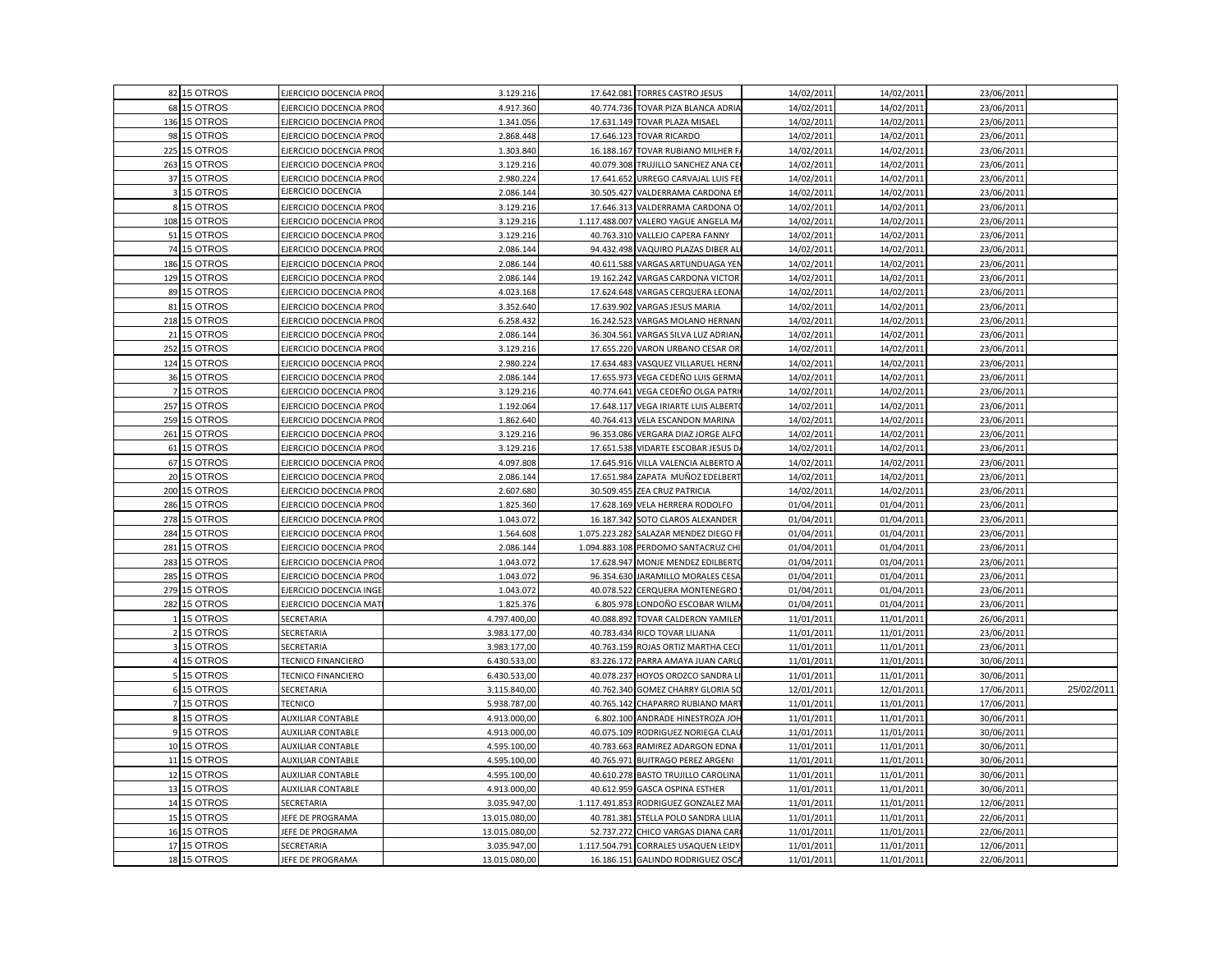|     | 82 15 OTROS  | EJERCICIO DOCENCIA PRO        | 3.129.216     |               | 17.642.081 TORRES CASTRO JESUS       | 14/02/2011 | 14/02/2011 | 23/06/2011 |            |
|-----|--------------|-------------------------------|---------------|---------------|--------------------------------------|------------|------------|------------|------------|
|     | 68 15 OTROS  | EJERCICIO DOCENCIA PRO        | 4.917.360     |               | 40.774.736 TOVAR PIZA BLANCA ADRIA   | 14/02/2011 | 14/02/2011 | 23/06/2011 |            |
|     | 136 15 OTROS | EJERCICIO DOCENCIA PRO        | 1.341.056     |               | 17.631.149 TOVAR PLAZA MISAEL        | 14/02/2011 | 14/02/2011 | 23/06/2011 |            |
|     | 98 15 OTROS  | EJERCICIO DOCENCIA PRO        | 2.868.448     |               | 17.646.123 TOVAR RICARDO             | 14/02/2011 | 14/02/2011 | 23/06/2011 |            |
| 225 | 15 OTROS     | EJERCICIO DOCENCIA PRO        | 1.303.840     |               | 16.188.167 TOVAR RUBIANO MILHER F    | 14/02/201  | 14/02/2011 | 23/06/2011 |            |
|     | 263 15 OTROS | EJERCICIO DOCENCIA PRO        | 3.129.216     |               | 40.079.308 TRUJILLO SANCHEZ ANA CE   | 14/02/2011 | 14/02/2011 | 23/06/2011 |            |
|     | 37 15 OTROS  | EJERCICIO DOCENCIA PRO        | 2.980.224     | 17.641.652    | URREGO CARVAJAL LUIS FEI             | 14/02/2011 | 14/02/2011 | 23/06/2011 |            |
|     | 3 15 OTROS   | EJERCICIO DOCENCIA            | 2.086.144     |               | 30.505.427 VALDERRAMA CARDONA EI     | 14/02/2011 | 14/02/2011 | 23/06/2011 |            |
|     | 8 15 OTROS   | EJERCICIO DOCENCIA PRO        | 3.129.216     |               | 17.646.313 VALDERRAMA CARDONA O      | 14/02/2011 | 14/02/2011 | 23/06/2011 |            |
|     | 108 15 OTROS | <b>EJERCICIO DOCENCIA PRO</b> | 3.129.216     |               | 1.117.488.007 VALERO YAGUE ANGELA MA | 14/02/2011 | 14/02/2011 | 23/06/2011 |            |
| 51  | 15 OTROS     | EJERCICIO DOCENCIA PRO        | 3.129.216     |               | 40.763.310 VALLEJO CAPERA FANNY      | 14/02/2011 | 14/02/2011 | 23/06/2011 |            |
|     | 74 15 OTROS  | EJERCICIO DOCENCIA PRO        | 2.086.144     | 94.432.498    | VAQUIRO PLAZAS DIBER AL              | 14/02/201  | 14/02/2011 | 23/06/2011 |            |
|     | 186 15 OTROS | EJERCICIO DOCENCIA PRO        | 2.086.144     |               | 40.611.588 VARGAS ARTUNDUAGA YEN     | 14/02/2011 | 14/02/2011 | 23/06/2011 |            |
|     | 129 15 OTROS | EJERCICIO DOCENCIA PRO        | 2.086.144     |               | 19.162.242 VARGAS CARDONA VICTOR     | 14/02/2011 | 14/02/2011 | 23/06/2011 |            |
|     | 89 15 OTROS  | EJERCICIO DOCENCIA PRO        | 4.023.168     |               | 17.624.648 VARGAS CERQUERA LEONA     | 14/02/2011 | 14/02/2011 | 23/06/2011 |            |
|     | 81 15 OTROS  | EJERCICIO DOCENCIA PRO        | 3.352.640     |               | 17.639.902 VARGAS JESUS MARIA        | 14/02/2011 | 14/02/2011 | 23/06/2011 |            |
|     | 218 15 OTROS | EJERCICIO DOCENCIA PRO        | 6.258.432     | 16.242.523    | VARGAS MOLANO HERNAN                 | 14/02/2011 | 14/02/2011 | 23/06/2011 |            |
| 21  | 15 OTROS     | EJERCICIO DOCENCIA PRO        | 2.086.144     | 36.304.561    | VARGAS SILVA LUZ ADRIAN.             | 14/02/2011 | 14/02/2011 | 23/06/2011 |            |
| 252 | 15 OTROS     | EJERCICIO DOCENCIA PRO        | 3.129.216     | 17.655.220    | VARON URBANO CESAR OR                | 14/02/201  | 14/02/2011 | 23/06/2011 |            |
|     | 124 15 OTROS | EJERCICIO DOCENCIA PRO        | 2.980.224     |               | 17.634.483 VASQUEZ VILLARUEL HERNA   | 14/02/2011 | 14/02/2011 | 23/06/2011 |            |
|     | 36 15 OTROS  | EJERCICIO DOCENCIA PRO        | 2.086.144     |               | 17.655.973 VEGA CEDEÑO LUIS GERMA    | 14/02/2011 | 14/02/2011 | 23/06/2011 |            |
|     | 7 15 OTROS   | EJERCICIO DOCENCIA PRO        | 3.129.216     | 40.774.641    | VEGA CEDEÑO OLGA PATRI               | 14/02/2011 | 14/02/2011 | 23/06/2011 |            |
|     | 257 15 OTROS | EJERCICIO DOCENCIA PRO        | 1.192.064     |               | 17.648.117 VEGA IRIARTE LUIS ALBERTO | 14/02/2011 | 14/02/2011 | 23/06/2011 |            |
|     | 259 15 OTROS | EJERCICIO DOCENCIA PRO        | 1.862.640     |               | 40.764.413 VELA ESCANDON MARINA      | 14/02/2011 | 14/02/2011 | 23/06/2011 |            |
| 261 | 15 OTROS     | EJERCICIO DOCENCIA PRO        | 3.129.216     |               | 96.353.086 VERGARA DIAZ JORGE ALFO   | 14/02/2011 | 14/02/2011 | 23/06/2011 |            |
| 61  | 15 OTROS     | EJERCICIO DOCENCIA PRO        | 3.129.216     |               | 17.651.538 VIDARTE ESCOBAR JESUS DA  | 14/02/2011 | 14/02/2011 | 23/06/2011 |            |
|     | 67 15 OTROS  | EJERCICIO DOCENCIA PRO        | 4.097.808     |               | 17.645.916 VILLA VALENCIA ALBERTO A  | 14/02/2011 | 14/02/2011 | 23/06/2011 |            |
|     | 20 15 OTROS  | EJERCICIO DOCENCIA PRO        | 2.086.144     |               | 17.651.984 ZAPATA MUÑOZ EDELBERT     | 14/02/2011 | 14/02/2011 | 23/06/2011 |            |
|     | 200 15 OTROS | EJERCICIO DOCENCIA PRO        | 2.607.680     |               | 30.509.455 ZEA CRUZ PATRICIA         | 14/02/2011 | 14/02/2011 | 23/06/2011 |            |
| 286 | 15 OTROS     | EJERCICIO DOCENCIA PRO        | 1.825.360     |               | 17.628.169 VELA HERRERA RODOLFO      | 01/04/2011 | 01/04/2011 | 23/06/2011 |            |
|     | 278 15 OTROS | EJERCICIO DOCENCIA PRO        | 1.043.072     |               | 16.187.342 SOTO CLAROS ALEXANDER     | 01/04/2011 | 01/04/2011 | 23/06/2011 |            |
| 284 | 15 OTROS     | EJERCICIO DOCENCIA PRO        | 1.564.608     | 1.075.223.282 | SALAZAR MENDEZ DIEGO FI              | 01/04/2011 | 01/04/2011 | 23/06/2011 |            |
| 281 | 15 OTROS     | EJERCICIO DOCENCIA PRO        | 2.086.144     |               | 1.094.883.108 PERDOMO SANTACRUZ CHI  | 01/04/201  | 01/04/2011 | 23/06/2011 |            |
|     | 283 15 OTROS | EJERCICIO DOCENCIA PRO        | 1.043.072     |               | 17.628.947 MONJE MENDEZ EDILBERTO    | 01/04/2011 | 01/04/2011 | 23/06/2011 |            |
| 285 | 15 OTROS     | EJERCICIO DOCENCIA PRO        | 1.043.072     |               | 96.354.630 JARAMILLO MORALES CESA    | 01/04/2011 | 01/04/2011 | 23/06/2011 |            |
| 279 | 15 OTROS     | EJERCICIO DOCENCIA INGE       | 1.043.072     |               | 40.078.522 CERQUERA MONTENEGRO       | 01/04/2011 | 01/04/2011 | 23/06/2011 |            |
| 282 | 15 OTROS     | EJERCICIO DOCENCIA MAT        | 1.825.376     | 6.805.978     | LONDOÑO ESCOBAR WILM/                | 01/04/2011 | 01/04/2011 | 23/06/2011 |            |
|     | 15 OTROS     | SECRETARIA                    | 4.797.400,00  |               | 40.088.892 TOVAR CALDERON YAMILEN    | 11/01/2011 | 11/01/2011 | 26/06/2011 |            |
|     | 15 OTROS     | SECRETARIA                    | 3.983.177,00  | 40.783.434    | RICO TOVAR LILIANA                   | 11/01/2011 | 11/01/2011 | 23/06/2011 |            |
|     | 15 OTROS     | SECRETARIA                    | 3.983.177,00  | 40.763.159    | ROJAS ORTIZ MARTHA CECI              | 11/01/2011 | 11/01/2011 | 23/06/2011 |            |
|     | 4 15 OTROS   | TECNICO FINANCIERO            | 6.430.533,00  |               | 83.226.172 PARRA AMAYA JUAN CARLO    | 11/01/2011 | 11/01/2011 | 30/06/2011 |            |
|     | 15 OTROS     | TECNICO FINANCIERO            | 6.430.533,00  | 40.078.237    | HOYOS OROZCO SANDRA LI               | 11/01/2011 | 11/01/2011 | 30/06/2011 |            |
|     | 6 15 OTROS   | <b>SECRETARIA</b>             | 3.115.840,00  |               | 40.762.340 GOMEZ CHARRY GLORIA SO    | 12/01/2011 | 12/01/2011 | 17/06/2011 | 25/02/2011 |
|     | 7 15 OTROS   | <b>TECNICO</b>                | 5.938.787,00  |               | 40.765.142 CHAPARRO RUBIANO MART     | 11/01/2011 | 11/01/2011 | 17/06/2011 |            |
|     | 8 15 OTROS   | <b>AUXILIAR CONTABLE</b>      | 4.913.000,00  |               | 6.802.100 ANDRADE HINESTROZA JOH     | 11/01/2011 | 11/01/2011 | 30/06/2011 |            |
|     | 9 15 OTROS   | <b>AUXILIAR CONTABLE</b>      | 4.913.000,00  |               | 40.075.109 RODRIGUEZ NORIEGA CLAU    | 11/01/2011 | 11/01/2011 | 30/06/2011 |            |
|     | 10 15 OTROS  | <b>AUXILIAR CONTABLE</b>      | 4.595.100,00  |               | 40.783.663 RAMIREZ ADARGON EDNA      | 11/01/201  | 11/01/2011 | 30/06/2011 |            |
|     | 11 15 OTROS  | AUXILIAR CONTABLE             | 4.595.100,00  |               | 40.765.971 BUITRAGO PEREZ ARGENI     | 11/01/2011 | 11/01/2011 | 30/06/2011 |            |
|     | 12 15 OTROS  | <b>AUXILIAR CONTABLE</b>      | 4.595.100,00  |               | 40.610.278 BASTO TRUJILLO CAROLINA   | 11/01/2011 | 11/01/2011 | 30/06/2011 |            |
|     | 13 15 OTROS  | <b>AUXILIAR CONTABLE</b>      | 4.913.000,00  |               | 40.612.959 GASCA OSPINA ESTHER       | 11/01/2011 | 11/01/2011 | 30/06/2011 |            |
|     | 14 15 OTROS  | SECRETARIA                    | 3.035.947,00  | 1.117.491.853 | RODRIGUEZ GONZALEZ MA                | 11/01/2011 | 11/01/2011 | 12/06/2011 |            |
|     | 15 15 OTROS  | JEFE DE PROGRAMA              | 13.015.080,00 |               | 40.781.381 STELLA POLO SANDRA LILIA  | 11/01/2011 | 11/01/2011 | 22/06/2011 |            |
|     | 16 15 OTROS  | JEFE DE PROGRAMA              | 13.015.080,00 | 52.737.272    | CHICO VARGAS DIANA CAR               | 11/01/2011 | 11/01/2011 | 22/06/2011 |            |
|     | 17 15 OTROS  | SECRETARIA                    | 3.035.947,00  | 1.117.504.791 | CORRALES USAQUEN LEIDY               | 11/01/2011 | 11/01/2011 | 12/06/2011 |            |
|     | 18 15 OTROS  | JEFE DE PROGRAMA              | 13.015.080,00 | 16.186.151    | GALINDO RODRIGUEZ OSCA               | 11/01/2011 | 11/01/2011 | 22/06/2011 |            |
|     |              |                               |               |               |                                      |            |            |            |            |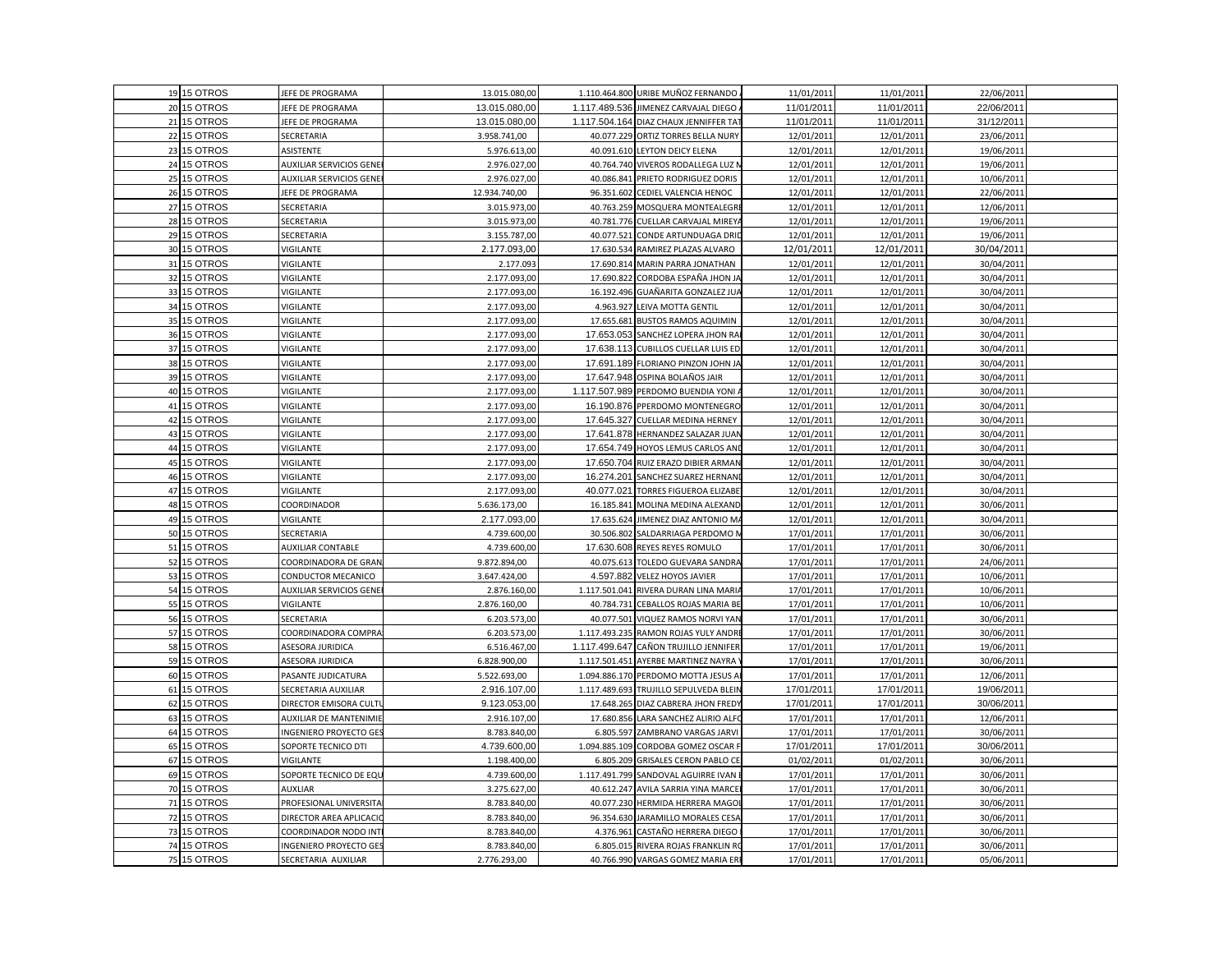|    | 19 15 OTROS | JEFE DE PROGRAMA               | 13.015.080,00 |               | 1.110.464.800 URIBE MUÑOZ FERNANDO.    | 11/01/2011 | 11/01/2011 | 22/06/2011 |  |
|----|-------------|--------------------------------|---------------|---------------|----------------------------------------|------------|------------|------------|--|
|    | 20 15 OTROS | JEFE DE PROGRAMA               | 13.015.080,00 |               | 1.117.489.536 JIMENEZ CARVAJAL DIEGO   | 11/01/2011 | 11/01/2011 | 22/06/2011 |  |
|    | 21 15 OTROS | JEFE DE PROGRAMA               | 13.015.080,00 |               | 1.117.504.164 DIAZ CHAUX JENNIFFER TAT | 11/01/2011 | 11/01/2011 | 31/12/2011 |  |
|    | 22 15 OTROS | SECRETARIA                     | 3.958.741,00  |               | 40.077.229 ORTIZ TORRES BELLA NURY     | 12/01/2011 | 12/01/2011 | 23/06/2011 |  |
|    | 23 15 OTROS | ASISTENTE                      | 5.976.613,00  |               | 40.091.610 LEYTON DEICY ELENA          | 12/01/201  | 12/01/2011 | 19/06/2011 |  |
|    | 24 15 OTROS | <b>AUXILIAR SERVICIOS GENE</b> | 2.976.027,00  |               | 40.764.740 VIVEROS RODALLEGA LUZ N     | 12/01/2011 | 12/01/2011 | 19/06/2011 |  |
|    | 25 15 OTROS | <b>AUXILIAR SERVICIOS GENE</b> | 2.976.027,00  | 40.086.841    | PRIETO RODRIGUEZ DORIS                 | 12/01/2011 | 12/01/2011 | 10/06/2011 |  |
|    | 26 15 OTROS | JEFE DE PROGRAMA               | 12.934.740,00 |               | 96.351.602 CEDIEL VALENCIA HENOC       | 12/01/2011 | 12/01/2011 | 22/06/2011 |  |
|    | 27 15 OTROS | SECRETARIA                     | 3.015.973,00  |               | 40.763.259 MOSQUERA MONTEALEGRI        | 12/01/2011 | 12/01/2011 | 12/06/2011 |  |
|    | 28 15 OTROS | SECRETARIA                     | 3.015.973,00  |               | 40.781.776 CUELLAR CARVAJAL MIREYA     | 12/01/2011 | 12/01/2011 | 19/06/2011 |  |
|    | 29 15 OTROS | SECRETARIA                     | 3.155.787,00  | 40.077.521    | CONDE ARTUNDUAGA DRIE                  | 12/01/2011 | 12/01/2011 | 19/06/2011 |  |
|    | 30 15 OTROS | VIGILANTE                      | 2.177.093,00  |               | 17.630.534 RAMIREZ PLAZAS ALVARO       | 12/01/2011 | 12/01/2011 | 30/04/2011 |  |
|    | 31 15 OTROS | VIGILANTE                      | 2.177.093     |               | 17.690.814 MARIN PARRA JONATHAN        | 12/01/2011 | 12/01/2011 | 30/04/2011 |  |
|    | 32 15 OTROS | <b>/IGILANTE</b>               | 2.177.093,00  | 17.690.822    | CORDOBA ESPAÑA JHON JA                 | 12/01/2011 | 12/01/2011 | 30/04/2011 |  |
| 33 | 15 OTROS    | VIGILANTE                      | 2.177.093,00  | 16.192.496    | GUAÑARITA GONZALEZ JUA                 | 12/01/2011 | 12/01/2011 | 30/04/2011 |  |
|    | 34 15 OTROS | VIGILANTE                      | 2.177.093,00  | 4.963.927     | LEIVA MOTTA GENTIL                     | 12/01/2011 | 12/01/2011 | 30/04/2011 |  |
|    | 35 15 OTROS | VIGILANTE                      | 2.177.093,00  |               | 17.655.681 BUSTOS RAMOS AQUIMIN        | 12/01/2011 | 12/01/2011 | 30/04/2011 |  |
|    | 36 15 OTROS | VIGILANTE                      | 2.177.093,00  |               | 17.653.053 SANCHEZ LOPERA JHON RA      | 12/01/2011 | 12/01/2011 | 30/04/2011 |  |
|    | 37 15 OTROS | VIGILANTE                      | 2.177.093,00  |               | 17.638.113 CUBILLOS CUELLAR LUIS ED    | 12/01/2011 | 12/01/2011 | 30/04/2011 |  |
|    | 38 15 OTROS | VIGILANTE                      | 2.177.093,00  |               | 17.691.189 FLORIANO PINZON JOHN JA     | 12/01/2011 | 12/01/2011 | 30/04/2011 |  |
|    | 39 15 OTROS | <b>/IGILANTE</b>               | 2.177.093,00  |               | 17.647.948 OSPINA BOLAÑOS JAIR         | 12/01/2011 | 12/01/2011 | 30/04/2011 |  |
|    | 40 15 OTROS | VIGILANTE                      | 2.177.093,00  |               | 1.117.507.989 PERDOMO BUENDIA YONI     | 12/01/2011 | 12/01/2011 | 30/04/2011 |  |
|    | 41 15 OTROS | VIGILANTE                      | 2.177.093,00  |               | 16.190.876 PPERDOMO MONTENEGRO         | 12/01/2011 | 12/01/2011 | 30/04/2011 |  |
|    | 42 15 OTROS | VIGILANTE                      | 2.177.093,00  | 17.645.327    | <b>CUELLAR MEDINA HERNEY</b>           | 12/01/2011 | 12/01/2011 | 30/04/2011 |  |
|    | 43 15 OTROS | VIGILANTE                      | 2.177.093,00  | 17.641.878    | HERNANDEZ SALAZAR JUAN                 | 12/01/2011 | 12/01/2011 | 30/04/2011 |  |
|    | 44 15 OTROS | VIGILANTE                      | 2.177.093,00  |               | 17.654.749 HOYOS LEMUS CARLOS AND      | 12/01/2011 | 12/01/2011 | 30/04/2011 |  |
|    | 45 15 OTROS | VIGILANTE                      | 2.177.093,00  |               | 17.650.704 RUIZ ERAZO DIBIER ARMAN     | 12/01/2011 | 12/01/2011 | 30/04/2011 |  |
|    | 46 15 OTROS | VIGILANTE                      | 2.177.093,00  | 16.274.201    | SANCHEZ SUAREZ HERNANI                 | 12/01/2011 | 12/01/2011 | 30/04/2011 |  |
|    | 47 15 OTROS | VIGILANTE                      | 2.177.093,00  | 40.077.021    | TORRES FIGUEROA ELIZABE                | 12/01/2011 | 12/01/2011 | 30/04/2011 |  |
|    | 48 15 OTROS | COORDINADOR                    | 5.636.173,00  | 16.185.841    | MOLINA MEDINA ALEXAND                  | 12/01/201  | 12/01/2011 | 30/06/2011 |  |
|    | 49 15 OTROS | VIGILANTE                      | 2.177.093,00  |               | 17.635.624 JIMENEZ DIAZ ANTONIO MA     | 12/01/2011 | 12/01/2011 | 30/04/2011 |  |
|    | 50 15 OTROS | SECRETARIA                     | 4.739.600,00  |               | 30.506.802 SALDARRIAGA PERDOMO N       | 17/01/2011 | 17/01/2011 | 30/06/2011 |  |
|    | 51 15 OTROS | <b>AUXILIAR CONTABLE</b>       | 4.739.600,00  |               | 17.630.608 REYES REYES ROMULO          | 17/01/2011 | 17/01/2011 | 30/06/2011 |  |
|    | 52 15 OTROS | COORDINADORA DE GRAN           | 9.872.894,00  |               | 40.075.613 TOLEDO GUEVARA SANDRA       | 17/01/2011 | 17/01/2011 | 24/06/2011 |  |
|    | 53 15 OTROS | CONDUCTOR MECANICO             | 3.647.424,00  |               | 4.597.882 VELEZ HOYOS JAVIER           | 17/01/2011 | 17/01/2011 | 10/06/2011 |  |
|    | 54 15 OTROS | <b>AUXILIAR SERVICIOS GENE</b> | 2.876.160,00  |               | 1.117.501.041 RIVERA DURAN LINA MARIA  | 17/01/2011 | 17/01/2011 | 10/06/2011 |  |
|    | 55 15 OTROS | VIGILANTE                      | 2.876.160,00  | 40.784.731    | CEBALLOS ROJAS MARIA BE                | 17/01/201  | 17/01/2011 | 10/06/2011 |  |
|    | 56 15 OTROS | SECRETARIA                     | 6.203.573,00  |               | 40.077.501 VIQUEZ RAMOS NORVI YAN      | 17/01/2011 | 17/01/2011 | 30/06/2011 |  |
|    | 57 15 OTROS | COORDINADORA COMPRA            | 6.203.573,00  | 1.117.493.235 | RAMON ROJAS YULY ANDRE                 | 17/01/2011 | 17/01/2011 | 30/06/2011 |  |
|    | 58 15 OTROS | ASESORA JURIDICA               | 6.516.467,00  |               | 1.117.499.647 CAÑON TRUJILLO JENNIFER  | 17/01/2011 | 17/01/2011 | 19/06/2011 |  |
|    | 59 15 OTROS | ASESORA JURIDICA               | 6.828.900,00  | 1.117.501.451 | AYERBE MARTINEZ NAYRA '                | 17/01/2011 | 17/01/2011 | 30/06/2011 |  |
|    | 60 15 OTROS | PASANTE JUDICATURA             | 5.522.693,00  |               | 1.094.886.170 PERDOMO MOTTA JESUS A    | 17/01/2011 | 17/01/2011 | 12/06/2011 |  |
| 61 | 15 OTROS    | SECRETARIA AUXILIAR            | 2.916.107,00  |               | 1.117.489.693 TRUJILLO SEPULVEDA BLEIN | 17/01/2011 | 17/01/2011 | 19/06/2011 |  |
|    | 62 15 OTROS | DIRECTOR EMISORA CULT          | 9.123.053,00  | 17.648.265    | DIAZ CABRERA JHON FREDY                | 17/01/2011 | 17/01/2011 | 30/06/2011 |  |
|    | 63 15 OTROS | <b>AUXILIAR DE MANTENIMIE</b>  | 2.916.107,00  |               | 17.680.856 LARA SANCHEZ ALIRIO ALFO    | 17/01/2011 | 17/01/2011 | 12/06/2011 |  |
|    | 64 15 OTROS | INGENIERO PROYECTO GE:         | 8.783.840,00  |               | 6.805.597 ZAMBRANO VARGAS JARVI        | 17/01/2011 | 17/01/2011 | 30/06/2011 |  |
|    | 65 15 OTROS | SOPORTE TECNICO DTI            | 4.739.600,00  |               | 1.094.885.109 CORDOBA GOMEZ OSCAR F    | 17/01/2011 | 17/01/2011 | 30/06/2011 |  |
|    | 67 15 OTROS | VIGILANTE                      | 1.198.400,00  |               | 6.805.209 GRISALES CERON PABLO CE      | 01/02/2011 | 01/02/2011 | 30/06/2011 |  |
|    | 69 15 OTROS | SOPORTE TECNICO DE EQU         | 4.739.600,00  |               | 1.117.491.799 SANDOVAL AGUIRRE IVAN I  | 17/01/2011 | 17/01/2011 | 30/06/2011 |  |
|    | 70 15 OTROS | AUXLIAR                        | 3.275.627,00  | 40.612.247    | AVILA SARRIA YINA MARCE                | 17/01/2011 | 17/01/2011 | 30/06/2011 |  |
|    | 71 15 OTROS | PROFESIONAL UNIVERSITA         | 8.783.840,00  |               | 40.077.230 HERMIDA HERRERA MAGOI       | 17/01/2011 | 17/01/2011 | 30/06/2011 |  |
|    | 72 15 OTROS | DIRECTOR AREA APLICACIO        | 8.783.840,00  |               | 96.354.630 JARAMILLO MORALES CESA      | 17/01/2011 | 17/01/2011 | 30/06/2011 |  |
|    | 73 15 OTROS | COORDINADOR NODO INT           | 8.783.840,00  | 4.376.961     | CASTAÑO HERRERA DIEGO                  | 17/01/2011 | 17/01/2011 | 30/06/2011 |  |
|    | 74 15 OTROS | INGENIERO PROYECTO GES         | 8.783.840,00  |               | 6.805.015 RIVERA ROJAS FRANKLIN RO     | 17/01/2011 | 17/01/2011 | 30/06/2011 |  |
|    | 75 15 OTROS | SECRETARIA AUXILIAR            | 2.776.293,00  |               | 40.766.990 VARGAS GOMEZ MARIA ERI      | 17/01/2011 | 17/01/2011 | 05/06/2011 |  |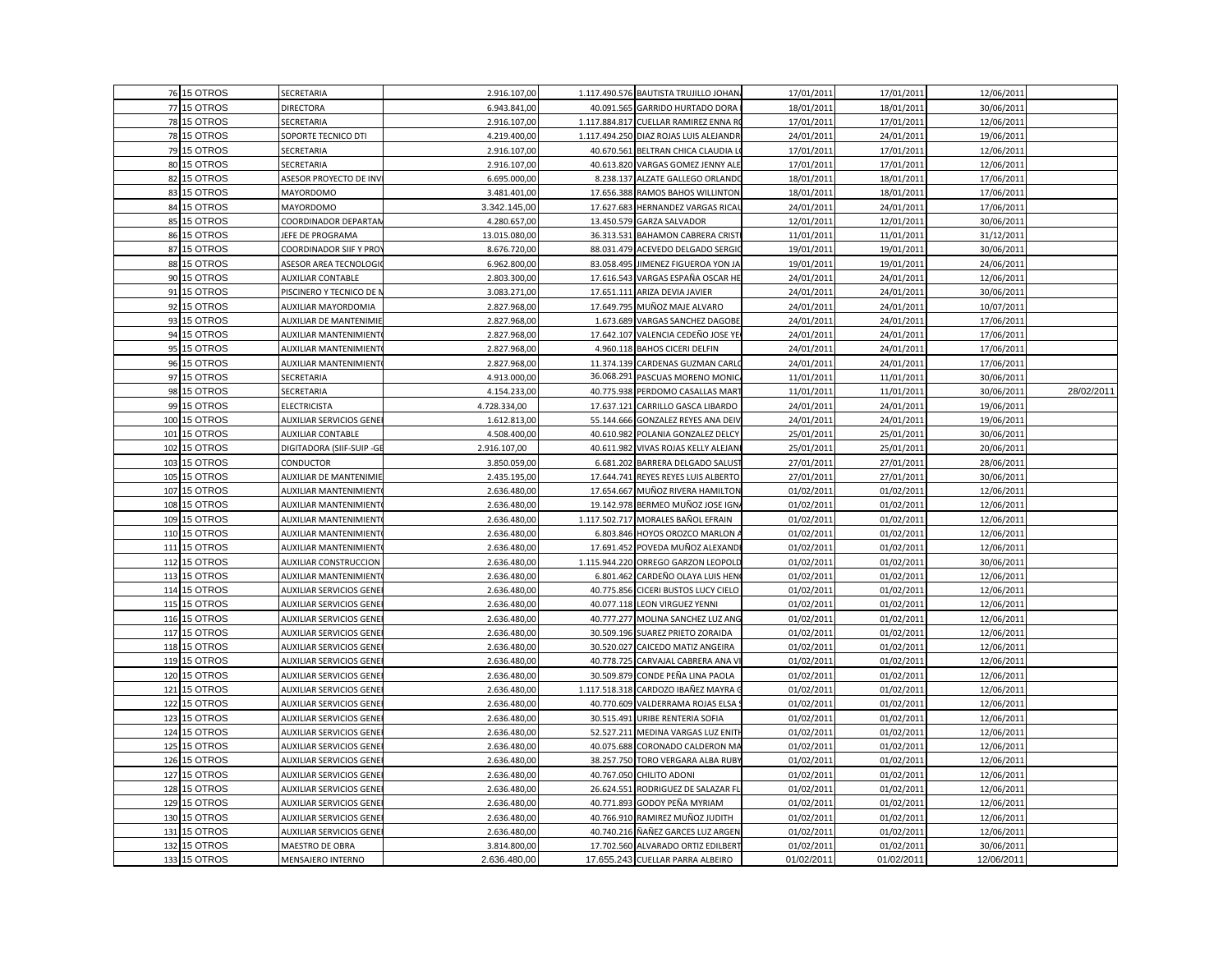|     | 76 15 OTROS  | SECRETARIA                     | 2.916.107,00  |            | 1.117.490.576 BAUTISTA TRUJILLO JOHAN  | 17/01/2011 | 17/01/2011 | 12/06/2011 |            |
|-----|--------------|--------------------------------|---------------|------------|----------------------------------------|------------|------------|------------|------------|
|     | 77 15 OTROS  | <b>DIRECTORA</b>               | 6.943.841,00  |            | 40.091.565 GARRIDO HURTADO DORA        | 18/01/2011 | 18/01/2011 | 30/06/2011 |            |
|     | 78 15 OTROS  | SECRETARIA                     | 2.916.107,00  |            | 1.117.884.817 CUELLAR RAMIREZ ENNA RO  | 17/01/2011 | 17/01/2011 | 12/06/2011 |            |
|     | 78 15 OTROS  | SOPORTE TECNICO DTI            | 4.219.400,00  |            | 1.117.494.250 DIAZ ROJAS LUIS ALEJANDR | 24/01/2011 | 24/01/2011 | 19/06/2011 |            |
|     | 79 15 OTROS  | SECRETARIA                     | 2.916.107,00  |            | 40.670.561 BELTRAN CHICA CLAUDIA L     | 17/01/2011 | 17/01/2011 | 12/06/2011 |            |
|     | 80 15 OTROS  | SECRETARIA                     | 2.916.107,00  |            | 40.613.820 VARGAS GOMEZ JENNY ALE      | 17/01/2011 | 17/01/2011 | 12/06/2011 |            |
|     | 82 15 OTROS  | ASESOR PROYECTO DE INV         | 6.695.000,00  |            | 8.238.137 ALZATE GALLEGO ORLANDO       | 18/01/2011 | 18/01/2011 | 17/06/2011 |            |
|     | 83 15 OTROS  | <b>MAYORDOMO</b>               | 3.481.401,00  |            | 17.656.388 RAMOS BAHOS WILLINTON       | 18/01/2011 | 18/01/2011 | 17/06/2011 |            |
|     | 84 15 OTROS  | <b>MAYORDOMO</b>               | 3.342.145,00  |            | 17.627.683 HERNANDEZ VARGAS RICAL      | 24/01/2011 | 24/01/2011 | 17/06/2011 |            |
|     | 85 15 OTROS  | COORDINADOR DEPARTAM           | 4.280.657,00  |            | 13.450.579 GARZA SALVADOR              | 12/01/2011 | 12/01/2011 | 30/06/2011 |            |
|     | 86 15 OTROS  | JEFE DE PROGRAMA               | 13.015.080,00 |            | 36.313.531 BAHAMON CABRERA CRIST       | 11/01/2011 | 11/01/2011 | 31/12/2011 |            |
|     | 87 15 OTROS  | <b>COORDINADOR SIIF Y PROY</b> | 8.676.720,00  |            | 88.031.479 ACEVEDO DELGADO SERGIO      | 19/01/2011 | 19/01/2011 | 30/06/2011 |            |
|     | 88 15 OTROS  | ASESOR AREA TECNOLOGI          | 6.962.800,00  |            | 83.058.495 JIMENEZ FIGUEROA YON JA     | 19/01/2011 | 19/01/2011 | 24/06/2011 |            |
|     | 90 15 OTROS  | <b>AUXILIAR CONTABLE</b>       | 2.803.300,00  | 17.616.543 | VARGAS ESPAÑA OSCAR HE                 | 24/01/2011 | 24/01/2011 | 12/06/2011 |            |
| 91  | 15 OTROS     | PISCINERO Y TECNICO DE I       | 3.083.271,00  | 17.651.111 | ARIZA DEVIA JAVIER                     | 24/01/2011 | 24/01/2011 | 30/06/2011 |            |
|     | 92 15 OTROS  | AUXILIAR MAYORDOMIA            | 2.827.968,00  |            | 17.649.795 MUÑOZ MAJE ALVARO           | 24/01/2011 | 24/01/2011 | 10/07/201  |            |
|     | 93 15 OTROS  | <b>AUXILIAR DE MANTENIMIE</b>  | 2.827.968,00  |            | 1.673.689 VARGAS SANCHEZ DAGOBE        | 24/01/2011 | 24/01/2011 | 17/06/2011 |            |
| 94  | 15 OTROS     | AUXILIAR MANTENIMIENT          | 2.827.968,00  |            | 17.642.107 VALENCIA CEDEÑO JOSE YE     | 24/01/2011 | 24/01/2011 | 17/06/2011 |            |
|     | 95 15 OTROS  | <b>AUXILIAR MANTENIMIENT</b>   | 2.827.968,00  |            | 4.960.118 BAHOS CICERI DELFIN          | 24/01/2011 | 24/01/2011 | 17/06/2011 |            |
|     | 96 15 OTROS  | AUXILIAR MANTENIMIENT          | 2.827.968,00  |            | 11.374.139 CARDENAS GUZMAN CARLO       | 24/01/2011 | 24/01/2011 | 17/06/2011 |            |
| 97  | 15 OTROS     | SECRETARIA                     | 4.913.000,00  |            | 36.068.291 PASCUAS MORENO MONIC        | 11/01/2011 | 11/01/2011 | 30/06/2011 |            |
|     | 98 15 OTROS  | SECRETARIA                     | 4.154.233,00  |            | 40.775.938 PERDOMO CASALLAS MAR        | 11/01/2011 | 11/01/2011 | 30/06/201  | 28/02/2011 |
|     | 99 15 OTROS  | <b>ELECTRICISTA</b>            | 4.728.334,00  |            | 17.637.121 CARRILLO GASCA LIBARDO      | 24/01/2011 | 24/01/2011 | 19/06/2011 |            |
|     | 100 15 OTROS | <b>AUXILIAR SERVICIOS GENE</b> | 1.612.813,00  |            | 55.144.666 GONZALEZ REYES ANA DEIV     | 24/01/2011 | 24/01/2011 | 19/06/2011 |            |
| 101 | 15 OTROS     | <b>AUXILIAR CONTABLE</b>       | 4.508.400,00  |            | 40.610.982 POLANIA GONZALEZ DELCY      | 25/01/2011 | 25/01/2011 | 30/06/2011 |            |
| 102 | 15 OTROS     | DIGITADORA (SIIF-SUIP -GI      | 2.916.107,00  |            | 40.611.982 VIVAS ROJAS KELLY ALEJANI   | 25/01/2011 | 25/01/2011 | 20/06/2011 |            |
| 103 | 15 OTROS     | CONDUCTOR                      | 3.850.059,00  |            | 6.681.202 BARRERA DELGADO SALUST       | 27/01/2011 | 27/01/2011 | 28/06/2011 |            |
| 105 | 15 OTROS     | <b>AUXILIAR DE MANTENIMIE</b>  | 2.435.195,00  |            | 17.644.741 REYES REYES LUIS ALBERTO    | 27/01/2011 | 27/01/2011 | 30/06/2011 |            |
| 107 | 15 OTROS     | AUXILIAR MANTENIMIENT          | 2.636.480,00  |            | 17.654.667 MUÑOZ RIVERA HAMILTON       | 01/02/2011 | 01/02/2011 | 12/06/2011 |            |
| 108 | 15 OTROS     | AUXILIAR MANTENIMIENT          | 2.636.480,00  |            | 19.142.978 BERMEO MUÑOZ JOSE IGN       | 01/02/2011 | 01/02/2011 | 12/06/2011 |            |
|     | 109 15 OTROS | AUXILIAR MANTENIMIENT          | 2.636.480,00  |            | 1.117.502.717 MORALES BAÑOL EFRAIN     | 01/02/2011 | 01/02/2011 | 12/06/2011 |            |
|     | 110 15 OTROS | AUXILIAR MANTENIMIENT          | 2.636.480,00  |            | 6.803.846 HOYOS OROZCO MARLON A        | 01/02/2011 | 01/02/2011 | 12/06/2011 |            |
| 111 | 15 OTROS     | <b>AUXILIAR MANTENIMIENT</b>   | 2.636.480,00  |            | 17.691.452 POVEDA MUÑOZ ALEXAND        | 01/02/2011 | 01/02/2011 | 12/06/2011 |            |
|     | 112 15 OTROS | <b>AUXILIAR CONSTRUCCION</b>   | 2.636.480,00  |            | 1.115.944.220 ORREGO GARZON LEOPOLD    | 01/02/2011 | 01/02/2011 | 30/06/2011 |            |
| 113 | 15 OTROS     | <b>NUXILIAR MANTENIMIENT</b>   | 2.636.480,00  |            | 6.801.462 CARDEÑO OLAYA LUIS HEN       | 01/02/2011 | 01/02/2011 | 12/06/2011 |            |
|     | 114 15 OTROS | <b>AUXILIAR SERVICIOS GENI</b> | 2.636.480,00  |            | 40.775.856 CICERI BUSTOS LUCY CIELO    | 01/02/2011 | 01/02/2011 | 12/06/2011 |            |
| 115 | 15 OTROS     | <b>AUXILIAR SERVICIOS GENE</b> | 2.636.480,00  |            | 40.077.118 LEON VIRGUEZ YENNI          | 01/02/2011 | 01/02/2011 | 12/06/2011 |            |
|     | 116 15 OTROS | <b>AUXILIAR SERVICIOS GENE</b> | 2.636.480,00  |            | 40.777.277 MOLINA SANCHEZ LUZ ANG      | 01/02/2011 | 01/02/2011 | 12/06/2011 |            |
|     | 117 15 OTROS | <b>AUXILIAR SERVICIOS GENE</b> | 2.636.480,00  |            | 30.509.196 SUAREZ PRIETO ZORAIDA       | 01/02/2011 | 01/02/2011 | 12/06/2011 |            |
|     | 118 15 OTROS | <b>AUXILIAR SERVICIOS GENE</b> | 2.636.480,00  |            | 30.520.027 CAICEDO MATIZ ANGEIRA       | 01/02/2011 | 01/02/2011 | 12/06/2011 |            |
|     | 119 15 OTROS | <b>AUXILIAR SERVICIOS GENE</b> | 2.636.480,00  |            | 40.778.725 CARVAJAL CABRERA ANA V      | 01/02/2011 | 01/02/2011 | 12/06/2011 |            |
|     | 120 15 OTROS | AUXILIAR SERVICIOS GENE        | 2.636.480,00  |            | 30.509.879 CONDE PEÑA LINA PAOLA       | 01/02/2011 | 01/02/2011 | 12/06/2011 |            |
| 121 | 15 OTROS     | <b>AUXILIAR SERVICIOS GENE</b> | 2.636.480,00  |            | 1.117.518.318 CARDOZO IBAÑEZ MAYRA O   | 01/02/2011 | 01/02/2011 | 12/06/2011 |            |
| 122 | 15 OTROS     | <b>AUXILIAR SERVICIOS GENE</b> | 2.636.480,00  | 40.770.609 | VALDERRAMA ROJAS ELSA:                 | 01/02/2011 | 01/02/2011 | 12/06/201  |            |
|     | 123 15 OTROS | <b>AUXILIAR SERVICIOS GENE</b> | 2.636.480,00  |            | 30.515.491 URIBE RENTERIA SOFIA        | 01/02/2011 | 01/02/2011 | 12/06/2011 |            |
| 124 | 15 OTROS     | <b>AUXILIAR SERVICIOS GENE</b> | 2.636.480,00  |            | 52.527.211 MEDINA VARGAS LUZ ENITH     | 01/02/2011 | 01/02/2011 | 12/06/2011 |            |
|     | 125 15 OTROS | <b>AUXILIAR SERVICIOS GENE</b> | 2.636.480,00  |            | 40.075.688 CORONADO CALDERON MA        | 01/02/2011 | 01/02/2011 | 12/06/2011 |            |
|     | 126 15 OTROS | <b>AUXILIAR SERVICIOS GENE</b> | 2.636.480,00  |            | 38.257.750 TORO VERGARA ALBA RUBY      | 01/02/2011 | 01/02/2011 | 12/06/2011 |            |
|     | 127 15 OTROS | <b>AUXILIAR SERVICIOS GENE</b> | 2.636.480,00  |            | 40.767.050 CHILITO ADONI               | 01/02/2011 | 01/02/2011 | 12/06/2011 |            |
|     | 128 15 OTROS | <b>AUXILIAR SERVICIOS GENE</b> | 2.636.480,00  |            | 26.624.551 RODRIGUEZ DE SALAZAR FL     | 01/02/2011 | 01/02/2011 | 12/06/2011 |            |
|     | 129 15 OTROS | <b>AUXILIAR SERVICIOS GENE</b> | 2.636.480,00  |            | 40.771.893 GODOY PEÑA MYRIAM           | 01/02/2011 | 01/02/2011 | 12/06/2011 |            |
|     | 130 15 OTROS | <b>AUXILIAR SERVICIOS GENE</b> | 2.636.480,00  |            | 40.766.910 RAMIREZ MUÑOZ JUDITH        | 01/02/2011 | 01/02/2011 | 12/06/2011 |            |
| 131 | 15 OTROS     | <b>AUXILIAR SERVICIOS GENE</b> | 2.636.480,00  |            | 40.740.216 NANEZ GARCES LUZ ARGEN      | 01/02/2011 | 01/02/2011 | 12/06/2011 |            |
| 132 | 15 OTROS     | MAESTRO DE OBRA                | 3.814.800,00  |            | 17.702.560 ALVARADO ORTIZ EDILBERT     | 01/02/2011 | 01/02/2011 | 30/06/2011 |            |
|     | 133 15 OTROS | MENSAJERO INTERNO              | 2.636.480,00  |            | 17.655.243 CUELLAR PARRA ALBEIRO       | 01/02/2011 | 01/02/2011 | 12/06/2011 |            |
|     |              |                                |               |            |                                        |            |            |            |            |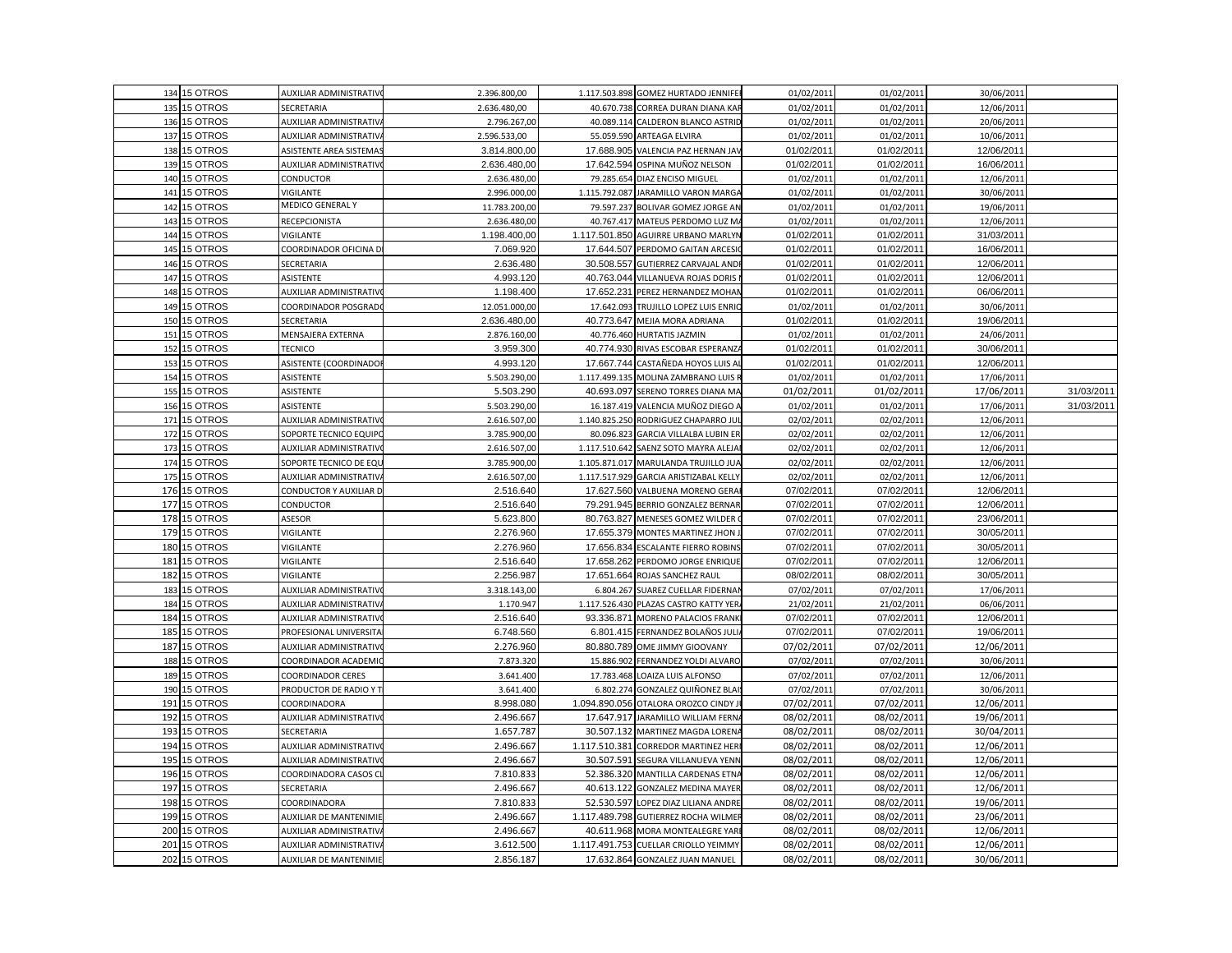|     | 134 15 OTROS | AUXILIAR ADMINISTRATIV        | 2.396.800,00  |               | 1.117.503.898 GOMEZ HURTADO JENNIFEI   | 01/02/2011 | 01/02/2011 | 30/06/2011 |            |
|-----|--------------|-------------------------------|---------------|---------------|----------------------------------------|------------|------------|------------|------------|
|     | 135 15 OTROS | SECRETARIA                    | 2.636.480,00  |               | 40.670.738 CORREA DURAN DIANA KAR      | 01/02/2011 | 01/02/2011 | 12/06/2011 |            |
|     | 136 15 OTROS | AUXILIAR ADMINISTRATIV        | 2.796.267,00  |               | 40.089.114 CALDERON BLANCO ASTRID      | 01/02/2011 | 01/02/2011 | 20/06/2011 |            |
| 137 | 15 OTROS     | AUXILIAR ADMINISTRATIV        | 2.596.533,00  | 55.059.590    | ARTEAGA ELVIRA                         | 01/02/2011 | 01/02/2011 | 10/06/2011 |            |
|     | 138 15 OTROS | ASISTENTE AREA SISTEMA        | 3.814.800,00  |               | 17.688.905 VALENCIA PAZ HERNAN JAV     | 01/02/2011 | 01/02/2011 | 12/06/2011 |            |
|     | 139 15 OTROS | AUXILIAR ADMINISTRATIV        | 2.636.480,00  | 17.642.594    | OSPINA MUÑOZ NELSON                    | 01/02/2011 | 01/02/2011 | 16/06/2011 |            |
|     | 140 15 OTROS | CONDUCTOR                     | 2.636.480,00  | 79.285.654    | DIAZ ENCISO MIGUEL                     | 01/02/2011 | 01/02/2011 | 12/06/2011 |            |
| 141 | 15 OTROS     | VIGILANTE                     | 2.996.000,00  |               | 1.115.792.087 JARAMILLO VARON MARGA    | 01/02/2011 | 01/02/2011 | 30/06/2011 |            |
| 142 | 15 OTROS     | <b>MEDICO GENERAL Y</b>       | 11.783.200,00 | 79.597.237    | BOLIVAR GOMEZ JORGE AN                 | 01/02/2011 | 01/02/2011 | 19/06/2011 |            |
|     | 143 15 OTROS | RECEPCIONISTA                 | 2.636.480,00  |               | 40.767.417 MATEUS PERDOMO LUZ MA       | 01/02/2011 | 01/02/2011 | 12/06/2011 |            |
| 144 | 15 OTROS     | VIGILANTE                     | 1.198.400,00  | 1.117.501.850 | AGUIRRE URBANO MARLYN                  | 01/02/2011 | 01/02/2011 | 31/03/2011 |            |
| 145 | 15 OTROS     | COORDINADOR OFICINA D         | 7.069.920     |               | 17.644.507 PERDOMO GAITAN ARCESIO      | 01/02/2011 | 01/02/2011 | 16/06/2011 |            |
|     | 146 15 OTROS | SECRETARIA                    | 2.636.480     | 30.508.557    | <b>GUTIERREZ CARVAJAL ANDR</b>         | 01/02/2011 | 01/02/2011 | 12/06/2011 |            |
|     | 147 15 OTROS | ASISTENTE                     | 4.993.120     |               | 40.763.044 VILLANUEVA ROJAS DORIS I    | 01/02/2011 | 01/02/2011 | 12/06/2011 |            |
| 148 | 15 OTROS     | AUXILIAR ADMINISTRATIV        | 1.198.400     |               | 17.652.231 PEREZ HERNANDEZ MOHAN       | 01/02/2011 | 01/02/2011 | 06/06/2011 |            |
|     | 149 15 OTROS | COORDINADOR POSGRAD           | 12.051.000,00 |               | 17.642.093 TRUJILLO LOPEZ LUIS ENRIC   | 01/02/2011 | 01/02/2011 | 30/06/2011 |            |
|     | 150 15 OTROS | SECRETARIA                    | 2.636.480,00  |               | 40.773.647 MEJIA MORA ADRIANA          | 01/02/2011 | 01/02/2011 | 19/06/2011 |            |
| 151 | 15 OTROS     | MENSAJERA EXTERNA             | 2.876.160,00  |               | 40.776.460 HURTATIS JAZMIN             | 01/02/2011 | 01/02/2011 | 24/06/2011 |            |
| 152 | 15 OTROS     | <b>TECNICO</b>                | 3.959.300     |               | 40.774.930 RIVAS ESCOBAR ESPERANZA     | 01/02/2011 | 01/02/2011 | 30/06/2011 |            |
|     | 153 15 OTROS | ASISTENTE (COORDINADO         | 4.993.120     |               | 17.667.744 CASTAÑEDA HOYOS LUIS AL     | 01/02/2011 | 01/02/2011 | 12/06/2011 |            |
| 154 | 15 OTROS     | ASISTENTE                     | 5.503.290,00  | 1.117.499.135 | MOLINA ZAMBRANO LUIS R                 | 01/02/2011 | 01/02/2011 | 17/06/2011 |            |
|     | 155 15 OTROS | ASISTENTE                     | 5.503.290     |               | 40.693.097 SERENO TORRES DIANA MA      | 01/02/2011 | 01/02/2011 | 17/06/2011 | 31/03/2011 |
|     | 156 15 OTROS | ASISTENTE                     | 5.503.290,00  |               | 16.187.419 VALENCIA MUÑOZ DIEGO A      | 01/02/2011 | 01/02/2011 | 17/06/2011 | 31/03/2011 |
|     | 171 15 OTROS | AUXILIAR ADMINISTRATIV        | 2.616.507,00  |               | 1.140.825.250 RODRIGUEZ CHAPARRO JUL   | 02/02/2011 | 02/02/2011 | 12/06/2011 |            |
|     | 172 15 OTROS | SOPORTE TECNICO EQUIPI        | 3.785.900,00  | 80.096.823    | <b>GARCIA VILLALBA LUBIN ER</b>        | 02/02/2011 | 02/02/2011 | 12/06/2011 |            |
|     | 173 15 OTROS | AUXILIAR ADMINISTRATIV        | 2.616.507,00  |               | 1.117.510.642 SAENZ SOTO MAYRA ALEJAI  | 02/02/2011 | 02/02/2011 | 12/06/2011 |            |
|     | 174 15 OTROS | SOPORTE TECNICO DE EQU        | 3.785.900,00  | 1.105.871.017 | MARULANDA TRUJILLO JUA                 | 02/02/2011 | 02/02/2011 | 12/06/2011 |            |
|     | 175 15 OTROS | AUXILIAR ADMINISTRATIV        | 2.616.507,00  |               | 1.117.517.929 GARCIA ARISTIZABAL KELLY | 02/02/2011 | 02/02/2011 | 12/06/2011 |            |
|     | 176 15 OTROS | CONDUCTOR Y AUXILIAR D        | 2.516.640     |               | 17.627.560 VALBUENA MORENO GERAI       | 07/02/2011 | 07/02/2011 | 12/06/2011 |            |
| 177 | 15 OTROS     | CONDUCTOR                     | 2.516.640     |               | 79.291.945 BERRIO GONZALEZ BERNAR      | 07/02/2011 | 07/02/2011 | 12/06/2011 |            |
|     | 178 15 OTROS | ASESOR                        | 5.623.800     |               | 80.763.827 MENESES GOMEZ WILDER O      | 07/02/2011 | 07/02/2011 | 23/06/2011 |            |
|     | 179 15 OTROS | VIGILANTE                     | 2.276.960     |               | 17.655.379 MONTES MARTINEZ JHON.       | 07/02/2011 | 07/02/2011 | 30/05/2011 |            |
| 180 | 15 OTROS     | VIGILANTE                     | 2.276.960     | 17.656.834    | <b>ESCALANTE FIERRO ROBINS</b>         | 07/02/2011 | 07/02/2011 | 30/05/2011 |            |
| 181 | 15 OTROS     | VIGILANTE                     | 2.516.640     |               | 17.658.262 PERDOMO JORGE ENRIQUE       | 07/02/2011 | 07/02/2011 | 12/06/2011 |            |
| 182 | 15 OTROS     | VIGILANTE                     | 2.256.987     |               | 17.651.664 ROJAS SANCHEZ RAUL          | 08/02/2011 | 08/02/2011 | 30/05/2011 |            |
| 183 | 15 OTROS     | AUXILIAR ADMINISTRATIV        | 3.318.143,00  | 6.804.267     | SUAREZ CUELLAR FIDERNA                 | 07/02/2011 | 07/02/2011 | 17/06/2011 |            |
| 184 | 15 OTROS     | AUXILIAR ADMINISTRATIV        | 1.170.947     |               | 1.117.526.430 PLAZAS CASTRO KATTY YER  | 21/02/2011 | 21/02/2011 | 06/06/2011 |            |
|     | 184 15 OTROS | AUXILIAR ADMINISTRATIV        | 2.516.640     | 93.336.871    | MORENO PALACIOS FRANK                  | 07/02/2011 | 07/02/2011 | 12/06/2011 |            |
| 185 | 15 OTROS     | PROFESIONAL UNIVERSIT/        | 6.748.560     |               | 6.801.415 FERNANDEZ BOLAÑOS JULI       | 07/02/2011 | 07/02/2011 | 19/06/2011 |            |
| 187 | 15 OTROS     | AUXILIAR ADMINISTRATIV        | 2.276.960     |               | 80.880.789 OME JIMMY GIOOVANY          | 07/02/2011 | 07/02/2011 | 12/06/2011 |            |
| 188 | 15 OTROS     | COORDINADOR ACADEMI           | 7.873.320     |               | 15.886.902 FERNANDEZ YOLDI ALVARO      | 07/02/2011 | 07/02/2011 | 30/06/2011 |            |
| 189 | 15 OTROS     | COORDINADOR CERES             | 3.641.400     |               | 17.783.468 LOAIZA LUIS ALFONSO         | 07/02/2011 | 07/02/2011 | 12/06/2011 |            |
| 190 | 15 OTROS     | PRODUCTOR DE RADIO Y T        | 3.641.400     | 6.802.274     | GONZALEZ QUIÑONEZ BLAI                 | 07/02/2011 | 07/02/2011 | 30/06/2011 |            |
| 191 | 15 OTROS     | COORDINADORA                  | 8.998.080     |               | 1.094.890.056 OTALORA OROZCO CINDY JI  | 07/02/2011 | 07/02/2011 | 12/06/2011 |            |
|     | 192 15 OTROS | AUXILIAR ADMINISTRATIV        | 2.496.667     |               | 17.647.917 JARAMILLO WILLIAM FERNA     | 08/02/2011 | 08/02/2011 | 19/06/2011 |            |
| 193 | 15 OTROS     | SECRETARIA                    | 1.657.787     | 30.507.132    | MARTINEZ MAGDA LORENA                  | 08/02/2011 | 08/02/2011 | 30/04/2011 |            |
|     | 194 15 OTROS | AUXILIAR ADMINISTRATIV        | 2.496.667     |               | 1.117.510.381 CORREDOR MARTINEZ HERI   | 08/02/2011 | 08/02/2011 | 12/06/2011 |            |
|     | 195 15 OTROS | AUXILIAR ADMINISTRATIV        | 2.496.667     |               | 30.507.591 SEGURA VILLANUEVA YENN      | 08/02/2011 | 08/02/2011 | 12/06/2011 |            |
| 196 | 15 OTROS     | COORDINADORA CASOS C          | 7.810.833     |               | 52.386.320 MANTILLA CARDENAS ETNA      | 08/02/2011 | 08/02/2011 | 12/06/2011 |            |
| 197 | 15 OTROS     | SECRETARIA                    | 2.496.667     | 40.613.122    | <b>GONZALEZ MEDINA MAYER</b>           | 08/02/2011 | 08/02/2011 | 12/06/2011 |            |
| 198 | 15 OTROS     | COORDINADORA                  | 7.810.833     |               | 52.530.597 LOPEZ DIAZ LILIANA ANDRE    | 08/02/2011 | 08/02/2011 | 19/06/2011 |            |
|     | 199 15 OTROS | <b>AUXILIAR DE MANTENIMIE</b> | 2.496.667     |               | 1.117.489.798 GUTIERREZ ROCHA WILMER   | 08/02/2011 | 08/02/2011 | 23/06/2011 |            |
| 200 | 15 OTROS     | AUXILIAR ADMINISTRATIV        | 2.496.667     |               | 40.611.968 MORA MONTEALEGRE YARI       | 08/02/2011 | 08/02/2011 | 12/06/2011 |            |
| 201 | 15 OTROS     | AUXILIAR ADMINISTRATIV        | 3.612.500     |               | 1.117.491.753 CUELLAR CRIOLLO YEIMMY   | 08/02/2011 | 08/02/2011 | 12/06/2011 |            |
|     | 202 15 OTROS | <b>AUXILIAR DE MANTENIMIE</b> | 2.856.187     |               | 17.632.864 GONZALEZ JUAN MANUEL        | 08/02/2011 | 08/02/2011 | 30/06/2011 |            |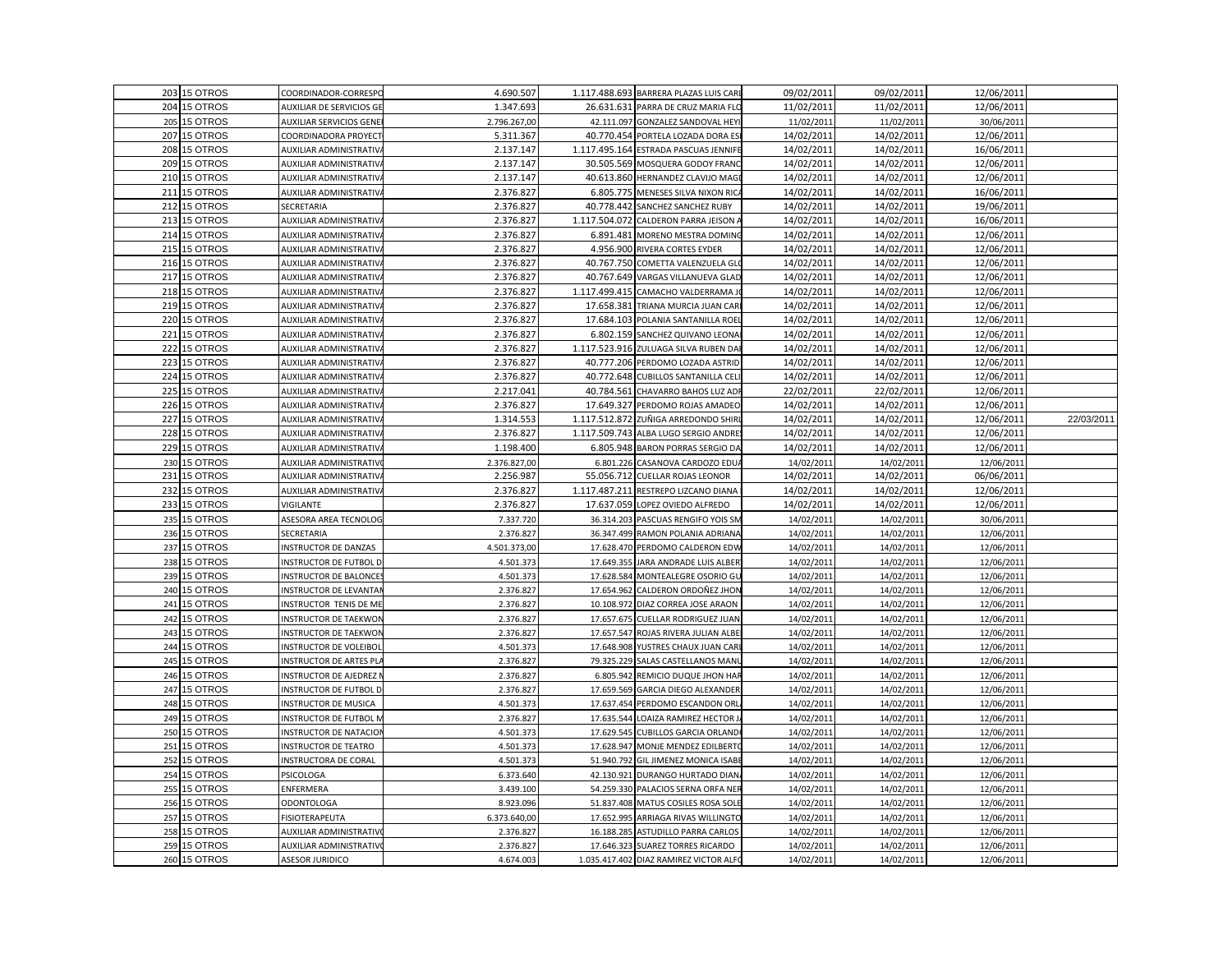|     | 203 15 OTROS | COORDINADOR-CORRESPC           | 4.690.507    |               | 1.117.488.693 BARRERA PLAZAS LUIS CARI | 09/02/2011 | 09/02/2011 | 12/06/2011 |            |
|-----|--------------|--------------------------------|--------------|---------------|----------------------------------------|------------|------------|------------|------------|
|     | 204 15 OTROS | AUXILIAR DE SERVICIOS GE       | 1.347.693    |               | 26.631.631 PARRA DE CRUZ MARIA FLO     | 11/02/2011 | 11/02/2011 | 12/06/2011 |            |
|     | 205 15 OTROS | <b>AUXILIAR SERVICIOS GENE</b> | 2.796.267,00 |               | 42.111.097 GONZALEZ SANDOVAL HEYI      | 11/02/2011 | 11/02/2011 | 30/06/2011 |            |
|     | 207 15 OTROS | COORDINADORA PROYECT           | 5.311.367    |               | 40.770.454 PORTELA LOZADA DORA ES      | 14/02/2011 | 14/02/2011 | 12/06/2011 |            |
| 208 | 15 OTROS     | AUXILIAR ADMINISTRATIV         | 2.137.147    |               | 1.117.495.164 ESTRADA PASCUAS JENNIFE  | 14/02/2011 | 14/02/2011 | 16/06/2011 |            |
|     | 209 15 OTROS | AUXILIAR ADMINISTRATIV         | 2.137.147    |               | 30.505.569 MOSQUERA GODOY FRANC        | 14/02/2011 | 14/02/2011 | 12/06/2011 |            |
| 210 | 15 OTROS     | <b>NUXILIAR ADMINISTRATIV</b>  | 2.137.147    |               | 40.613.860 HERNANDEZ CLAVIJO MAGI      | 14/02/2011 | 14/02/2011 | 12/06/2011 |            |
|     | 211 15 OTROS | AUXILIAR ADMINISTRATIV         | 2.376.827    |               | 6.805.775 MENESES SILVA NIXON RICA     | 14/02/2011 | 14/02/2011 | 16/06/2011 |            |
|     | 212 15 OTROS | SECRETARIA                     | 2.376.827    |               | 40.778.442 SANCHEZ SANCHEZ RUBY        | 14/02/2011 | 14/02/2011 | 19/06/2011 |            |
|     | 213 15 OTROS | AUXILIAR ADMINISTRATIV         | 2.376.827    |               | 1.117.504.072 CALDERON PARRA JEISON A  | 14/02/2011 | 14/02/2011 | 16/06/2011 |            |
|     | 214 15 OTROS | AUXILIAR ADMINISTRATIV         | 2.376.827    | 6.891.481     | MORENO MESTRA DOMING                   | 14/02/2011 | 14/02/2011 | 12/06/2011 |            |
|     | 215 15 OTROS | AUXILIAR ADMINISTRATIV         | 2.376.827    |               | 4.956.900 RIVERA CORTES EYDER          | 14/02/2011 | 14/02/2011 | 12/06/2011 |            |
|     | 216 15 OTROS | AUXILIAR ADMINISTRATIV         | 2.376.827    |               | 40.767.750 COMETTA VALENZUELA GLO      | 14/02/2011 | 14/02/2011 | 12/06/2011 |            |
|     | 217 15 OTROS | <b>AUXILIAR ADMINISTRATIV</b>  | 2.376.827    |               | 40.767.649 VARGAS VILLANUEVA GLAD      | 14/02/2011 | 14/02/2011 | 12/06/2011 |            |
|     | 218 15 OTROS | AUXILIAR ADMINISTRATIV         | 2.376.827    |               | 1.117.499.415 CAMACHO VALDERRAMA JO    | 14/02/2011 | 14/02/2011 | 12/06/2011 |            |
|     | 219 15 OTROS | AUXILIAR ADMINISTRATIV         | 2.376.827    |               | 17.658.381 TRIANA MURCIA JUAN CARI     | 14/02/2011 | 14/02/2011 | 12/06/2011 |            |
|     | 220 15 OTROS | AUXILIAR ADMINISTRATIV         | 2.376.827    |               | 17.684.103 POLANIA SANTANILLA ROEL     | 14/02/2011 | 14/02/2011 | 12/06/2011 |            |
| 221 | 15 OTROS     | AUXILIAR ADMINISTRATIV         | 2.376.827    |               | 6.802.159 SANCHEZ QUIVANO LEONA        | 14/02/2011 | 14/02/2011 | 12/06/2011 |            |
| 222 | 15 OTROS     | AUXILIAR ADMINISTRATIV         | 2.376.827    |               | 1.117.523.916 ZULUAGA SILVA RUBEN DAF  | 14/02/2011 | 14/02/2011 | 12/06/2011 |            |
|     | 223 15 OTROS | AUXILIAR ADMINISTRATIV         | 2.376.827    |               | 40.777.206 PERDOMO LOZADA ASTRID       | 14/02/2011 | 14/02/2011 | 12/06/2011 |            |
| 224 | 15 OTROS     | <b>NUXILIAR ADMINISTRATIV</b>  | 2.376.827    |               | 40.772.648 CUBILLOS SANTANILLA CELI    | 14/02/2011 | 14/02/2011 | 12/06/2011 |            |
|     | 225 15 OTROS | AUXILIAR ADMINISTRATIV         | 2.217.041    | 40.784.561    | CHAVARRO BAHOS LUZ ADI                 | 22/02/2011 | 22/02/2011 | 12/06/2011 |            |
|     | 226 15 OTROS | AUXILIAR ADMINISTRATIV         | 2.376.827    |               | 17.649.327 PERDOMO ROJAS AMADEO        | 14/02/2011 | 14/02/2011 | 12/06/2011 |            |
|     | 227 15 OTROS | AUXILIAR ADMINISTRATIV         | 1.314.553    |               | 1.117.512.872 ZUÑIGA ARREDONDO SHIRI   | 14/02/2011 | 14/02/2011 | 12/06/2011 | 22/03/2011 |
|     | 228 15 OTROS | AUXILIAR ADMINISTRATIV         | 2.376.827    | 1.117.509.743 | ALBA LUGO SERGIO ANDRE                 | 14/02/2011 | 14/02/2011 | 12/06/2011 |            |
|     | 229 15 OTROS | AUXILIAR ADMINISTRATIV         | 1.198.400    |               | 6.805.948 BARON PORRAS SERGIO DA       | 14/02/2011 | 14/02/2011 | 12/06/2011 |            |
|     | 230 15 OTROS | AUXILIAR ADMINISTRATIV         | 2.376.827,00 |               | 6.801.226 CASANOVA CARDOZO EDUA        | 14/02/2011 | 14/02/2011 | 12/06/2011 |            |
| 231 | 15 OTROS     | AUXILIAR ADMINISTRATIV         | 2.256.987    | 55.056.712    | CUELLAR ROJAS LEONOR                   | 14/02/2011 | 14/02/2011 | 06/06/2011 |            |
|     | 232 15 OTROS | AUXILIAR ADMINISTRATIV         | 2.376.827    |               | 1.117.487.211 RESTREPO LIZCANO DIANA   | 14/02/2011 | 14/02/2011 | 12/06/2011 |            |
|     | 233 15 OTROS | VIGILANTE                      | 2.376.827    |               | 17.637.059 LOPEZ OVIEDO ALFREDO        | 14/02/2011 | 14/02/2011 | 12/06/2011 |            |
|     | 235 15 OTROS | ASESORA AREA TECNOLOG          | 7.337.720    |               | 36.314.203 PASCUAS RENGIFO YOIS SM     | 14/02/2011 | 14/02/2011 | 30/06/2011 |            |
|     | 236 15 OTROS | SECRETARIA                     | 2.376.827    |               | 36.347.499 RAMON POLANIA ADRIANA       | 14/02/2011 | 14/02/2011 | 12/06/2011 |            |
| 237 | 15 OTROS     | INSTRUCTOR DE DANZAS           | 4.501.373,00 |               | 17.628.470 PERDOMO CALDERON EDW        | 14/02/2011 | 14/02/2011 | 12/06/2011 |            |
|     | 238 15 OTROS | INSTRUCTOR DE FUTBOL D         | 4.501.373    |               | 17.649.355 JARA ANDRADE LUIS ALBER     | 14/02/2011 | 14/02/2011 | 12/06/2011 |            |
|     | 239 15 OTROS | <b>NSTRUCTOR DE BALONCE</b>    | 4.501.373    |               | 17.628.584 MONTEALEGRE OSORIO GU       | 14/02/2011 | 14/02/2011 | 12/06/2011 |            |
|     | 240 15 OTROS | INSTRUCTOR DE LEVANTA          | 2.376.827    |               | 17.654.962 CALDERON ORDOÑEZ JHON       | 14/02/2011 | 14/02/2011 | 12/06/2011 |            |
| 241 | 15 OTROS     | INSTRUCTOR TENIS DE ME         | 2.376.827    | 10.108.972    | DIAZ CORREA JOSE ARAON                 | 14/02/2011 | 14/02/2011 | 12/06/2011 |            |
|     | 242 15 OTROS | <b>NSTRUCTOR DE TAEKWOI</b>    | 2.376.827    |               | 17.657.675 CUELLAR RODRIGUEZ JUAN      | 14/02/2011 | 14/02/2011 | 12/06/2011 |            |
| 243 | 15 OTROS     | <b>INSTRUCTOR DE TAEKWOI</b>   | 2.376.82     | 17.657.547    | ROJAS RIVERA JULIAN ALBE               | 14/02/2011 | 14/02/2011 | 12/06/2011 |            |
|     | 244 15 OTROS | INSTRUCTOR DE VOLEIBOI         | 4.501.373    |               | 17.648.908 YUSTRES CHAUX JUAN CAR      | 14/02/2011 | 14/02/2011 | 12/06/2011 |            |
|     | 245 15 OTROS | <b>INSTRUCTOR DE ARTES PL</b>  | 2.376.827    |               | 79.325.229 SALAS CASTELLANOS MANU      | 14/02/2011 | 14/02/2011 | 12/06/2011 |            |
|     | 246 15 OTROS | NSTRUCTOR DE AJEDREZ           | 2.376.827    |               | 6.805.942 REMICIO DUQUE JHON HAR       | 14/02/2011 | 14/02/2011 | 12/06/2011 |            |
|     | 247 15 OTROS | INSTRUCTOR DE FUTBOL D         | 2.376.827    |               | 17.659.569 GARCIA DIEGO ALEXANDER      | 14/02/2011 | 14/02/2011 | 12/06/2011 |            |
|     | 248 15 OTROS | <b>INSTRUCTOR DE MUSICA</b>    | 4.501.373    |               | 17.637.454 PERDOMO ESCANDON ORL        | 14/02/2011 | 14/02/2011 | 12/06/2011 |            |
|     | 249 15 OTROS | INSTRUCTOR DE FUTBOL N         | 2.376.827    |               | 17.635.544 LOAIZA RAMIREZ HECTOR J.    | 14/02/2011 | 14/02/2011 | 12/06/2011 |            |
|     | 250 15 OTROS | INSTRUCTOR DE NATACIO          | 4.501.37     | 17.629.545    | <b>CUBILLOS GARCIA ORLAND</b>          | 14/02/2011 | 14/02/2011 | 12/06/2011 |            |
| 251 | 15 OTROS     | <b>INSTRUCTOR DE TEATRO</b>    | 4.501.373    |               | 17.628.947 MONJE MENDEZ EDILBERTO      | 14/02/201  | 14/02/2011 | 12/06/2011 |            |
|     | 252 15 OTROS | INSTRUCTORA DE CORAL           | 4.501.373    |               | 51.940.792 GIL JIMENEZ MONICA ISABE    | 14/02/2011 | 14/02/2011 | 12/06/2011 |            |
|     | 254 15 OTROS | PSICOLOGA                      | 6.373.640    |               | 42.130.921 DURANGO HURTADO DIAN        | 14/02/2011 | 14/02/2011 | 12/06/2011 |            |
|     | 255 15 OTROS | ENFERMERA                      | 3.439.100    |               | 54.259.330 PALACIOS SERNA ORFA NER     | 14/02/2011 | 14/02/2011 | 12/06/2011 |            |
|     | 256 15 OTROS | <b>ODONTOLOGA</b>              | 8.923.096    |               | 51.837.408 MATUS COSILES ROSA SOLE     | 14/02/2011 | 14/02/2011 | 12/06/2011 |            |
|     | 257 15 OTROS | FISIOTERAPEUTA                 | 6.373.640,00 |               | 17.652.995 ARRIAGA RIVAS WILLINGTO     | 14/02/2011 | 14/02/2011 | 12/06/2011 |            |
| 258 | 15 OTROS     | AUXILIAR ADMINISTRATIV         | 2.376.827    | 16.188.285    | <b>ASTUDILLO PARRA CARLOS</b>          | 14/02/2011 | 14/02/2011 | 12/06/2011 |            |
|     | 259 15 OTROS | AUXILIAR ADMINISTRATIV         | 2.376.827    |               | 17.646.323 SUAREZ TORRES RICARDO       | 14/02/2011 | 14/02/2011 | 12/06/2011 |            |
|     |              |                                |              |               |                                        |            |            |            |            |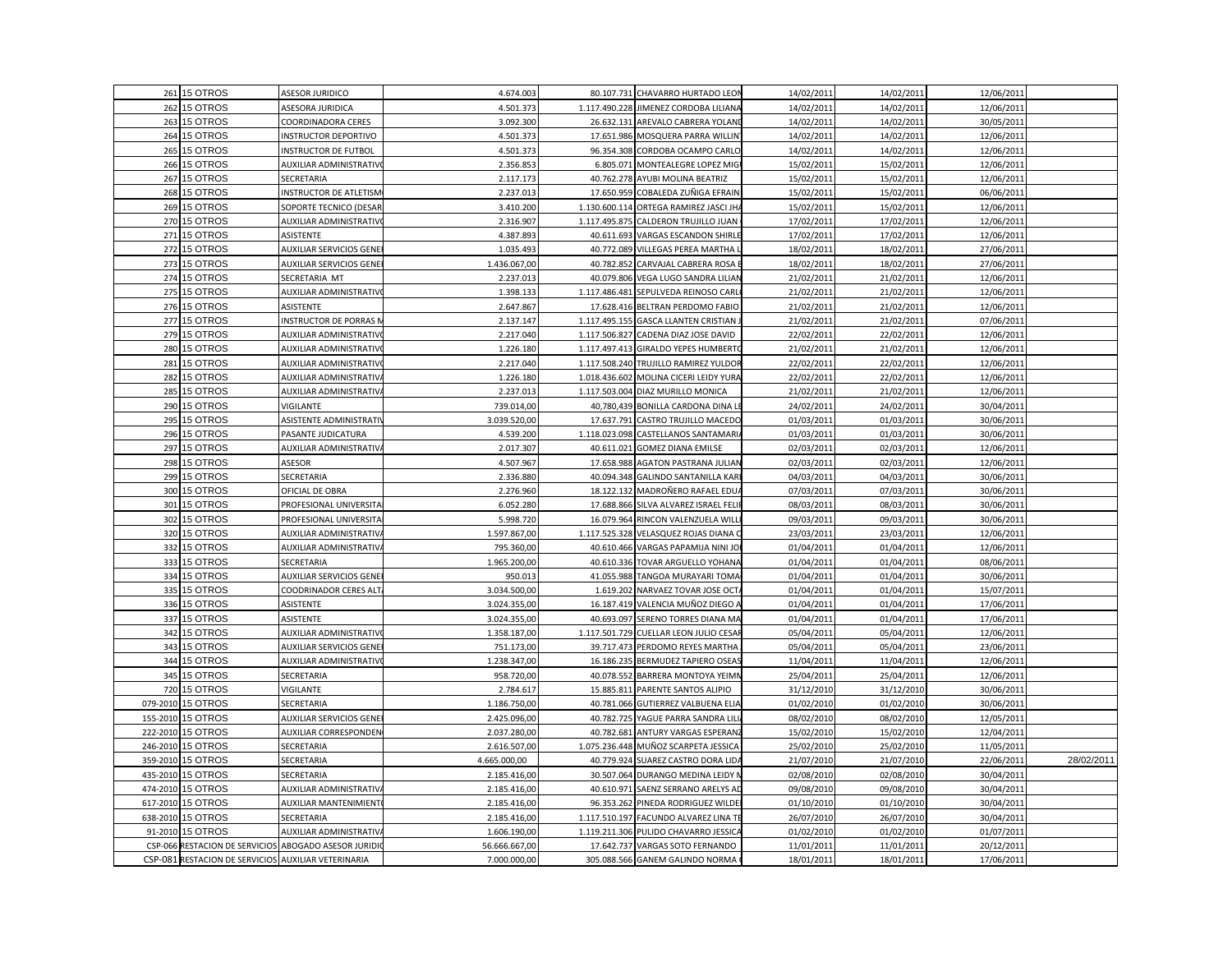|          | 261 15 OTROS                                        | <b>ASESOR JURIDICO</b>                               | 4.674.003     |            | 80.107.731 CHAVARRO HURTADO LEON       | 14/02/2011 | 14/02/2011 | 12/06/2011 |            |
|----------|-----------------------------------------------------|------------------------------------------------------|---------------|------------|----------------------------------------|------------|------------|------------|------------|
|          | 262 15 OTROS                                        | ASESORA JURIDICA                                     | 4.501.373     |            | 1.117.490.228 JIMENEZ CORDOBA LILIANA  | 14/02/2011 | 14/02/2011 | 12/06/2011 |            |
|          | 263 15 OTROS                                        | COORDINADORA CERES                                   | 3.092.300     |            | 26.632.131 AREVALO CABRERA YOLAND      | 14/02/2011 | 14/02/2011 | 30/05/2011 |            |
|          | 264 15 OTROS                                        | INSTRUCTOR DEPORTIVO                                 | 4.501.373     |            | 17.651.986 MOSQUERA PARRA WILLIN       | 14/02/2011 | 14/02/2011 | 12/06/2011 |            |
| 265      | 15 OTROS                                            | INSTRUCTOR DE FUTBOL                                 | 4.501.373     |            | 96.354.308 CORDOBA OCAMPO CARLO        | 14/02/2011 | 14/02/2011 | 12/06/2011 |            |
|          | 266 15 OTROS                                        | AUXILIAR ADMINISTRATIV                               | 2.356.853     |            | 6.805.071 MONTEALEGRE LOPEZ MIGI       | 15/02/2011 | 15/02/2011 | 12/06/2011 |            |
| 267      | 15 OTROS                                            | SECRETARIA                                           | 2.117.173     |            | 40.762.278 AYUBI MOLINA BEATRIZ        | 15/02/2011 | 15/02/2011 | 12/06/2011 |            |
|          | 268 15 OTROS                                        | <b>INSTRUCTOR DE ATLETISM</b>                        | 2.237.013     |            | 17.650.959 COBALEDA ZUÑIGA EFRAIN      | 15/02/2011 | 15/02/2011 | 06/06/2011 |            |
|          | 269 15 OTROS                                        | SOPORTE TECNICO (DESAF                               | 3.410.200     |            | 1.130.600.114 ORTEGA RAMIREZ JASCI JHA | 15/02/2011 | 15/02/2011 | 12/06/2011 |            |
|          | 270 15 OTROS                                        | AUXILIAR ADMINISTRATIV                               | 2.316.907     |            | 1.117.495.875 CALDERON TRUJILLO JUAN   | 17/02/2011 | 17/02/2011 | 12/06/2011 |            |
|          | 271 15 OTROS                                        | ASISTENTE                                            | 4.387.893     |            | 40.611.693 VARGAS ESCANDON SHIRLE      | 17/02/2011 | 17/02/2011 | 12/06/2011 |            |
|          | 272 15 OTROS                                        | <b>AUXILIAR SERVICIOS GENE</b>                       | 1.035.493     |            | 40.772.089 VILLEGAS PEREA MARTHA L     | 18/02/2011 | 18/02/2011 | 27/06/2011 |            |
|          | 273 15 OTROS                                        | AUXILIAR SERVICIOS GENE                              | 1.436.067,00  |            | 40.782.852 CARVAJAL CABRERA ROSA I     | 18/02/2011 | 18/02/2011 | 27/06/2011 |            |
|          | 274 15 OTROS                                        | SECRETARIA MT                                        | 2.237.013     |            | 40.079.806 VEGA LUGO SANDRA LILIAN     | 21/02/2011 | 21/02/2011 | 12/06/2011 |            |
|          | 275 15 OTROS                                        | AUXILIAR ADMINISTRATIV                               | 1.398.133     |            | 1.117.486.481 SEPULVEDA REINOSO CARL   | 21/02/2011 | 21/02/2011 | 12/06/2011 |            |
|          | 276 15 OTROS                                        | ASISTENTE                                            | 2.647.867     |            | 17.628.416 BELTRAN PERDOMO FABIO       | 21/02/2011 | 21/02/2011 | 12/06/2011 |            |
|          | 277 15 OTROS                                        | INSTRUCTOR DE PORRAS I                               | 2.137.147     |            | 1.117.495.155 GASCA LLANTEN CRISTIAN J | 21/02/2011 | 21/02/2011 | 07/06/2011 |            |
| 279      | 15 OTROS                                            | AUXILIAR ADMINISTRATIV                               | 2.217.040     |            | 1.117.506.827 CADENA DIAZ JOSE DAVID   | 22/02/2011 | 22/02/2011 | 12/06/2011 |            |
|          | 280 15 OTROS                                        | AUXILIAR ADMINISTRATIV                               | 1.226.180     |            | 1.117.497.413 GIRALDO YEPES HUMBERTO   | 21/02/2011 | 21/02/2011 | 12/06/2011 |            |
|          | 281 15 OTROS                                        | <b>AUXILIAR ADMINISTRATIV</b>                        | 2.217.040     |            | 1.117.508.240 TRUJILLO RAMIREZ YULDOR  | 22/02/2011 | 22/02/2011 | 12/06/2011 |            |
| 282      | 15 OTROS                                            | AUXILIAR ADMINISTRATIV                               | 1.226.180     |            | 1.018.436.602 MOLINA CICERI LEIDY YURA | 22/02/2011 | 22/02/2011 | 12/06/2011 |            |
| 285      | 15 OTROS                                            | AUXILIAR ADMINISTRATIV                               | 2.237.013     |            | 1.117.503.004 DIAZ MURILLO MONICA      | 21/02/2011 | 21/02/2011 | 12/06/2011 |            |
|          | 290 15 OTROS                                        | VIGILANTE                                            | 739.014,00    |            | 40,780,439 BONILLA CARDONA DINA LE     | 24/02/2011 | 24/02/2011 | 30/04/2011 |            |
|          | 295 15 OTROS                                        | ASISTENTE ADMINISTRATI                               | 3.039.520,00  |            | 17.637.791 CASTRO TRUJILLO MACEDO      | 01/03/2011 | 01/03/2011 | 30/06/2011 |            |
| 296      | 15 OTROS                                            | PASANTE JUDICATURA                                   | 4.539.200     |            | 1.118.023.098 CASTELLANOS SANTAMARI    | 01/03/2011 | 01/03/2011 | 30/06/2011 |            |
|          | 297 15 OTROS                                        | AUXILIAR ADMINISTRATIV                               | 2.017.307     |            | 40.611.021 GOMEZ DIANA EMILSE          | 02/03/2011 | 02/03/2011 | 12/06/2011 |            |
|          | 298 15 OTROS                                        | ASESOR                                               | 4.507.967     |            | 17.658.988 AGATON PASTRANA JULIAN      | 02/03/2011 | 02/03/2011 | 12/06/2011 |            |
|          | 299 15 OTROS                                        | SECRETARIA                                           | 2.336.880     |            | 40.094.348 GALINDO SANTANILLA KARI     | 04/03/2011 | 04/03/2011 | 30/06/2011 |            |
|          | 300 15 OTROS                                        | OFICIAL DE OBRA                                      | 2.276.960     |            | 18.122.132 MADROÑERO RAFAEL EDUA       | 07/03/2011 | 07/03/2011 | 30/06/2011 |            |
| 301      | 15 OTROS                                            | PROFESIONAL UNIVERSITA                               | 6.052.280     |            | 17.688.866 SILVA ALVAREZ ISRAEL FELIF  | 08/03/2011 | 08/03/2011 | 30/06/2011 |            |
|          | 302 15 OTROS                                        | PROFESIONAL UNIVERSITA                               | 5.998.720     |            | 16.079.964 RINCON VALENZUELA WILLI     | 09/03/2011 | 09/03/2011 | 30/06/2011 |            |
|          | 320 15 OTROS                                        | AUXILIAR ADMINISTRATIV                               | 1.597.867,00  |            | 1.117.525.328 VELASQUEZ ROJAS DIANA C  | 23/03/2011 | 23/03/2011 | 12/06/2011 |            |
| 332      | 15 OTROS                                            | AUXILIAR ADMINISTRATIV                               | 795.360,00    | 40.610.466 | VARGAS PAPAMIJA NINI JO                | 01/04/2011 | 01/04/2011 | 12/06/2011 |            |
|          | 333 15 OTROS                                        | SECRETARIA                                           | 1.965.200,00  |            | 40.610.336 TOVAR ARGUELLO YOHANA       | 01/04/2011 | 01/04/2011 | 08/06/2011 |            |
|          | 334 15 OTROS                                        | <b>AUXILIAR SERVICIOS GENE</b>                       | 950.013       |            | 41.055.988 TANGOA MURAYARI TOMA        | 01/04/2011 | 01/04/2011 | 30/06/2011 |            |
|          | 335 15 OTROS                                        | COODRINADOR CERES ALT                                | 3.034.500,00  |            | 1.619.202 NARVAEZ TOVAR JOSE OCT/      | 01/04/2011 | 01/04/2011 | 15/07/2011 |            |
|          | 336 15 OTROS                                        | ASISTENTE                                            | 3.024.355,00  |            | 16.187.419 VALENCIA MUÑOZ DIEGO A      | 01/04/2011 | 01/04/2011 | 17/06/2011 |            |
|          | 337 15 OTROS                                        | ASISTENTE                                            | 3.024.355,00  |            | 40.693.097 SERENO TORRES DIANA MA      | 01/04/2011 | 01/04/2011 | 17/06/2011 |            |
|          | 342 15 OTROS                                        | AUXILIAR ADMINISTRATIV                               | 1.358.187,00  |            | 1.117.501.729 CUELLAR LEON JULIO CESAR | 05/04/2011 | 05/04/2011 | 12/06/2011 |            |
|          | 343 15 OTROS                                        | <b>AUXILIAR SERVICIOS GENE</b>                       | 751.173,00    |            | 39.717.473 PERDOMO REYES MARTHA        | 05/04/2011 | 05/04/2011 | 23/06/2011 |            |
|          | 344 15 OTROS                                        | <b>AUXILIAR ADMINISTRATIV</b>                        | 1.238.347,00  |            | 16.186.235 BERMUDEZ TAPIERO OSEAS      | 11/04/2011 | 11/04/2011 | 12/06/2011 |            |
| 345      | 15 OTROS                                            | SECRETARIA                                           | 958.720,00    |            | 40.078.552 BARRERA MONTOYA YEIMN       | 25/04/2011 | 25/04/2011 | 12/06/2011 |            |
| 720      | 15 OTROS                                            | VIGILANTE                                            | 2.784.617     |            | 15.885.811 PARENTE SANTOS ALIPIO       | 31/12/2010 | 31/12/2010 | 30/06/2011 |            |
|          | 079-2010 15 OTROS                                   | SECRETARIA                                           | 1.186.750,00  |            | 40.781.066 GUTIERREZ VALBUENA ELIA     | 01/02/2010 | 01/02/2010 | 30/06/2011 |            |
|          | 155-2010 15 OTROS                                   | AUXILIAR SERVICIOS GENE                              | 2.425.096,00  |            | 40.782.725 YAGUE PARRA SANDRA LILI     | 08/02/2010 | 08/02/2010 | 12/05/2011 |            |
| 222-2010 | <b>15 OTROS</b>                                     | <b>AUXILIAR CORRESPONDEN</b>                         | 2.037.280,00  |            | 40.782.681 ANTURY VARGAS ESPERANZ      | 15/02/2010 | 15/02/2010 | 12/04/2011 |            |
| 246-2010 | 15 OTROS                                            | SECRETARIA                                           | 2.616.507,00  |            | 1.075.236.448 MUÑOZ SCARPETA JESSICA   | 25/02/2010 | 25/02/2010 | 11/05/2011 |            |
|          | 359-2010 15 OTROS                                   | SECRETARIA                                           | 4.665.000,00  |            | 40.779.924 SUAREZ CASTRO DORA LIDA     | 21/07/2010 | 21/07/2010 | 22/06/2011 | 28/02/2011 |
|          | 435-2010 15 OTROS                                   | SECRETARIA                                           | 2.185.416,00  |            | 30.507.064 DURANGO MEDINA LEIDY N      | 02/08/2010 | 02/08/2010 | 30/04/2011 |            |
| 474-2010 | 15 OTROS                                            | AUXILIAR ADMINISTRATIV                               | 2.185.416,00  |            | 40.610.971 SAENZ SERRANO ARELYS AI     | 09/08/2010 | 09/08/2010 | 30/04/2011 |            |
|          | 617-2010 15 OTROS                                   | AUXILIAR MANTENIMIENT                                | 2.185.416,00  |            | 96.353.262 PINEDA RODRIGUEZ WILDEI     | 01/10/2010 | 01/10/2010 | 30/04/2011 |            |
|          | 638-2010 15 OTROS                                   | SECRETARIA                                           | 2.185.416,00  |            | 1.117.510.197 FACUNDO ALVAREZ LINA TE  | 26/07/2010 | 26/07/2010 | 30/04/2011 |            |
| 91-2010  | 15 OTROS                                            | AUXILIAR ADMINISTRATIV                               | 1.606.190,00  |            | 1.119.211.306 PULIDO CHAVARRO JESSICA  | 01/02/2010 | 01/02/2010 | 01/07/2011 |            |
|          |                                                     | CSP-066 RESTACION DE SERVICIOS ABOGADO ASESOR JURIDI | 56.666.667,00 |            | 17.642.737 VARGAS SOTO FERNANDO        | 11/01/2011 | 11/01/2011 | 20/12/2011 |            |
|          | CSP-081 RESTACION DE SERVICIOS AUXILIAR VETERINARIA |                                                      | 7.000.000,00  |            | 305.088.566 GANEM GALINDO NORMA        | 18/01/2011 | 18/01/2011 | 17/06/2011 |            |
|          |                                                     |                                                      |               |            |                                        |            |            |            |            |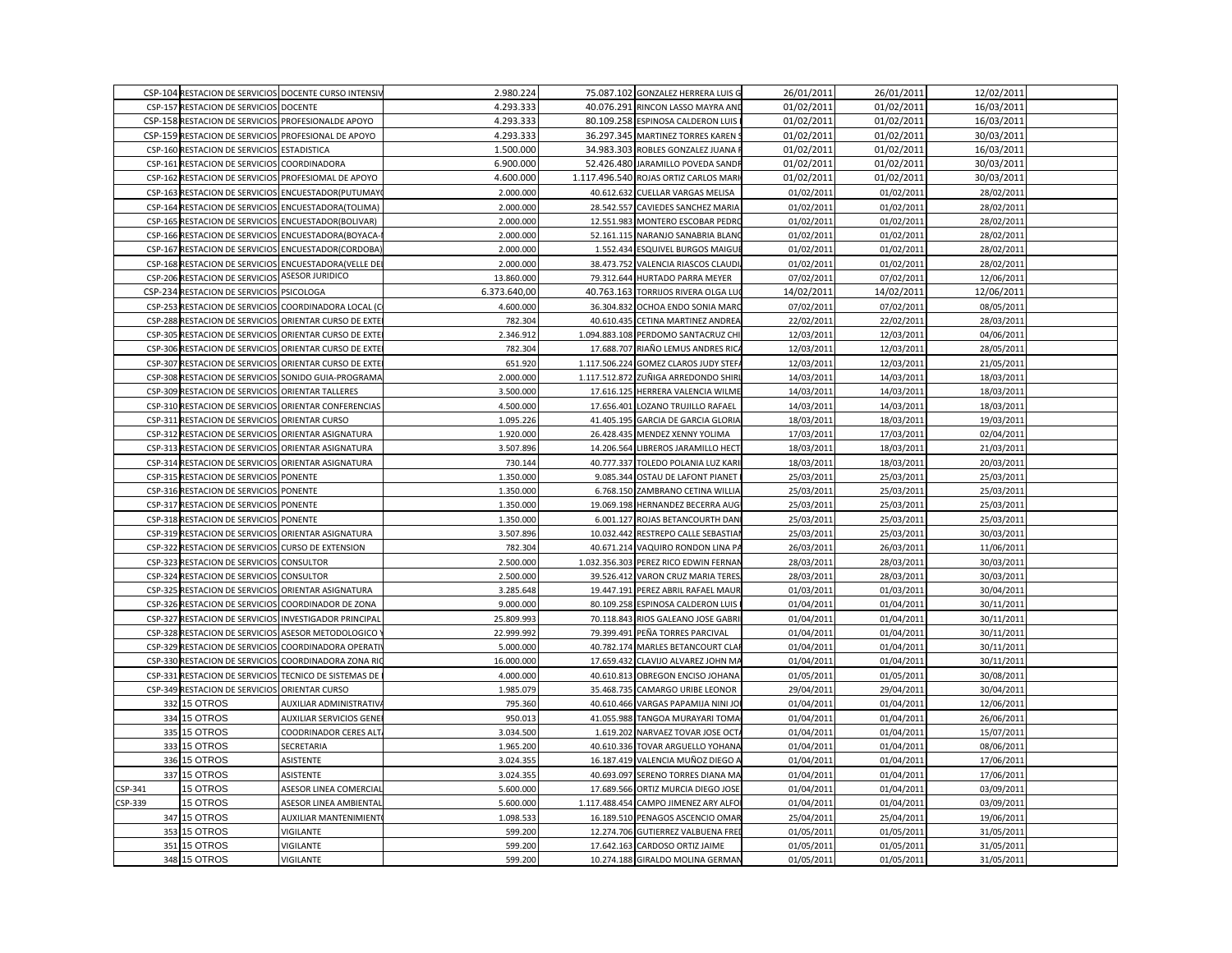|         |                                                      | CSP-104 RESTACION DE SERVICIOS DOCENTE CURSO INTENSIV | 2.980.224    | 75.087.102 GONZALEZ HERRERA LUIS G    | 26/01/2011 | 26/01/2011 | 12/02/2011 |  |
|---------|------------------------------------------------------|-------------------------------------------------------|--------------|---------------------------------------|------------|------------|------------|--|
|         | CSP-157 RESTACION DE SERVICIOS DOCENTE               |                                                       | 4.293.333    | 40.076.291 RINCON LASSO MAYRA AND     | 01/02/2011 | 01/02/2011 | 16/03/2011 |  |
|         | CSP-158 RESTACION DE SERVICIOS PROFESIONALDE APOYO   |                                                       | 4.293.333    | 80.109.258 ESPINOSA CALDERON LUIS     | 01/02/2011 | 01/02/2011 | 16/03/2011 |  |
|         | CSP-159 RESTACION DE SERVICIOS PROFESIONAL DE APOYO  |                                                       | 4.293.333    | 36.297.345 MARTINEZ TORRES KAREN      | 01/02/2011 | 01/02/2011 | 30/03/2011 |  |
|         | CSP-160 RESTACION DE SERVICIOS ESTADISTICA           |                                                       | 1.500.000    | 34.983.303 ROBLES GONZALEZ JUANA      | 01/02/2011 | 01/02/2011 | 16/03/2011 |  |
|         | CSP-161 RESTACION DE SERVICIOS COORDINADORA          |                                                       | 6.900.000    | 52.426.480 JARAMILLO POVEDA SANDI     | 01/02/2011 | 01/02/2011 | 30/03/2011 |  |
|         |                                                      | CSP-162 RESTACION DE SERVICIOS PROFESIOMAL DE APOYO   | 4.600.000    | 1.117.496.540 ROJAS ORTIZ CARLOS MARI | 01/02/2011 | 01/02/2011 | 30/03/2011 |  |
| CSP-163 |                                                      | RESTACION DE SERVICIOS ENCUESTADOR(PUTUMAY            | 2.000.000    | 40.612.632 CUELLAR VARGAS MELISA      | 01/02/2011 | 01/02/2011 | 28/02/2011 |  |
|         | CSP-164 RESTACION DE SERVICIOS ENCUESTADORA (TOLIMA) |                                                       | 2.000.000    | 28.542.557 CAVIEDES SANCHEZ MARIA     | 01/02/2011 | 01/02/2011 | 28/02/2011 |  |
|         | CSP-165 RESTACION DE SERVICIOS ENCUESTADOR(BOLIVAR)  |                                                       | 2.000.000    | 12.551.983 MONTERO ESCOBAR PEDRO      | 01/02/2011 | 01/02/2011 | 28/02/2011 |  |
|         |                                                      | CSP-166 RESTACION DE SERVICIOS ENCUESTADORA(BOYACA    | 2.000.000    | 52.161.115 NARANJO SANABRIA BLANO     | 01/02/2011 | 01/02/2011 | 28/02/2011 |  |
|         |                                                      | CSP-167 RESTACION DE SERVICIOS ENCUESTADOR(CORDOBA    | 2.000.000    | 1.552.434 ESQUIVEL BURGOS MAIGUI      | 01/02/2011 | 01/02/2011 | 28/02/2011 |  |
|         |                                                      | CSP-168 RESTACION DE SERVICIOS ENCUESTADORA (VELLE DE | 2.000.000    | 38.473.752 VALENCIA RIASCOS CLAUDI    | 01/02/2011 | 01/02/2011 | 28/02/2011 |  |
|         | <b>CSP-206 RESTACION DE SERVICIOS</b>                | <b>ASESOR JURIDICO</b>                                | 13.860.000   | 79.312.644 HURTADO PARRA MEYER        | 07/02/2011 | 07/02/2011 | 12/06/2011 |  |
|         | CSP-234 RESTACION DE SERVICIOS PSICOLOGA             |                                                       | 6.373.640,00 | 40.763.163 TORRIJOS RIVERA OLGA LU    | 14/02/2011 | 14/02/2011 | 12/06/2011 |  |
|         |                                                      | CSP-253 RESTACION DE SERVICIOS COORDINADORA LOCAL (O  | 4.600.000    | 36.304.832 OCHOA ENDO SONIA MARO      | 07/02/2011 | 07/02/2011 | 08/05/2011 |  |
|         |                                                      | CSP-288 RESTACION DE SERVICIOS ORIENTAR CURSO DE EXTE | 782.304      | 40.610.435 CETINA MARTINEZ ANDREA     | 22/02/2011 | 22/02/2011 | 28/03/2011 |  |
| CSP-305 | RESTACION DE SERVICIOS                               | ORIENTAR CURSO DE EXTI                                | 2.346.912    | 1.094.883.108 PERDOMO SANTACRUZ CHI   | 12/03/2011 | 12/03/2011 | 04/06/2011 |  |
|         |                                                      | CSP-306 RESTACION DE SERVICIOS ORIENTAR CURSO DE EXTI | 782.304      | 17.688.707 RIAÑO LEMUS ANDRES RICA    | 12/03/2011 | 12/03/2011 | 28/05/2011 |  |
|         |                                                      | CSP-307 RESTACION DE SERVICIOS ORIENTAR CURSO DE EXTE | 651.920      | 1.117.506.224 GOMEZ CLAROS JUDY STEF/ | 12/03/2011 | 12/03/2011 | 21/05/2011 |  |
|         | <b>CSP-308 RESTACION DE SERVICIOS</b>                | SONIDO GUIA-PROGRAMA                                  | 2.000.000    | 1.117.512.872 ZUÑIGA ARREDONDO SHIRI  | 14/03/2011 | 14/03/2011 | 18/03/2011 |  |
|         | CSP-309 RESTACION DE SERVICIOS ORIENTAR TALLERES     |                                                       | 3.500.000    | 17.616.125 HERRERA VALENCIA WILME     | 14/03/2011 | 14/03/2011 | 18/03/2011 |  |
|         |                                                      | CSP-310 RESTACION DE SERVICIOS ORIENTAR CONFERENCIAS  | 4.500.000    | 17.656.401 LOZANO TRUJILLO RAFAEL     | 14/03/2011 | 14/03/2011 | 18/03/2011 |  |
|         | CSP-311 RESTACION DE SERVICIOS ORIENTAR CURSO        |                                                       | 1.095.226    | 41.405.195 GARCIA DE GARCIA GLORIA    | 18/03/2011 | 18/03/2011 | 19/03/2011 |  |
| CSP-312 | RESTACION DE SERVICIOS                               | ORIENTAR ASIGNATURA                                   | 1.920.000    | 26.428.435 MENDEZ XENNY YOLIMA        | 17/03/2011 | 17/03/2011 | 02/04/2011 |  |
|         | CSP-313 RESTACION DE SERVICIOS ORIENTAR ASIGNATURA   |                                                       | 3.507.896    | 14.206.564 LIBREROS JARAMILLO HECT    | 18/03/2011 | 18/03/2011 | 21/03/2011 |  |
|         | CSP-314 RESTACION DE SERVICIOS ORIENTAR ASIGNATURA   |                                                       | 730.144      | 40.777.337 TOLEDO POLANIA LUZ KARI    | 18/03/2011 | 18/03/2011 | 20/03/2011 |  |
|         | CSP-315 RESTACION DE SERVICIOS PONENTE               |                                                       | 1.350.000    | 9.085.344 OSTAU DE LAFONT PIANET      | 25/03/2011 | 25/03/2011 | 25/03/2011 |  |
|         | CSP-316 RESTACION DE SERVICIOS PONENTE               |                                                       | 1.350.000    | 6.768.150 ZAMBRANO CETINA WILLIA      | 25/03/2011 | 25/03/2011 | 25/03/2011 |  |
|         | CSP-317 RESTACION DE SERVICIOS PONENTE               |                                                       | 1.350.000    | 19.069.198 HERNANDEZ BECERRA AUG      | 25/03/2011 | 25/03/2011 | 25/03/2011 |  |
|         | CSP-318 RESTACION DE SERVICIOS PONENTE               |                                                       | 1.350.000    | 6.001.127 ROJAS BETANCOURTH DAN       | 25/03/2011 | 25/03/2011 | 25/03/2011 |  |
|         | CSP-319 RESTACION DE SERVICIOS ORIENTAR ASIGNATURA   |                                                       | 3.507.896    | 10.032.442 RESTREPO CALLE SEBASTIA    | 25/03/2011 | 25/03/2011 | 30/03/2011 |  |
| CSP-322 | RESTACION DE SERVICIOS CURSO DE EXTENSION            |                                                       | 782.304      | 40.671.214 VAQUIRO RONDON LINA P/     | 26/03/2011 | 26/03/2011 | 11/06/2011 |  |
|         | CSP-323 RESTACION DE SERVICIOS CONSULTOR             |                                                       | 2.500.000    | 1.032.356.303 PEREZ RICO EDWIN FERNAN | 28/03/2011 | 28/03/2011 | 30/03/2011 |  |
|         | CSP-324 RESTACION DE SERVICIOS                       | <b>CONSULTOR</b>                                      | 2.500.000    | 39.526.412 VARON CRUZ MARIA TERES     | 28/03/2011 | 28/03/2011 | 30/03/2011 |  |
|         | CSP-325 RESTACION DE SERVICIOS                       | <b>ORIENTAR ASIGNATURA</b>                            | 3.285.648    | 19.447.191 PEREZ ABRIL RAFAEL MAUR    | 01/03/2011 | 01/03/2011 | 30/04/2011 |  |
|         | CSP-326 RESTACION DE SERVICIOS COORDINADOR DE ZONA   |                                                       | 9.000.000    | 80.109.258 ESPINOSA CALDERON LUIS     | 01/04/2011 | 01/04/2011 | 30/11/2011 |  |
|         |                                                      | CSP-327 RESTACION DE SERVICIOS INVESTIGADOR PRINCIPAL | 25.809.993   | 70.118.843 RIOS GALEANO JOSE GABRI    | 01/04/2011 | 01/04/2011 | 30/11/2011 |  |
|         | CSP-328 RESTACION DE SERVICIOS                       | ASESOR METODOLOGICO                                   | 22.999.992   | 79.399.491 PEÑA TORRES PARCIVAL       | 01/04/2011 | 01/04/2011 | 30/11/2011 |  |
|         |                                                      | CSP-329 RESTACION DE SERVICIOS COORDINADORA OPERATI   | 5.000.000    | 40.782.174 MARLES BETANCOURT CLAI     | 01/04/2011 | 01/04/2011 | 30/11/2011 |  |
|         |                                                      | CSP-330 RESTACION DE SERVICIOS COORDINADORA ZONA RI   | 16.000.000   | 17.659.432 CLAVIJO ALVAREZ JOHN MA    | 01/04/2011 | 01/04/2011 | 30/11/2011 |  |
|         |                                                      | CSP-331 RESTACION DE SERVICIOS TECNICO DE SISTEMAS DE | 4.000.000    | 40.610.813 OBREGON ENCISO JOHANA      | 01/05/2011 | 01/05/2011 | 30/08/2011 |  |
|         | CSP-349 RESTACION DE SERVICIOS ORIENTAR CURSO        |                                                       | 1.985.079    | 35.468.735 CAMARGO URIBE LEONOR       | 29/04/2011 | 29/04/2011 | 30/04/2011 |  |
|         | 332 15 OTROS                                         | <b>AUXILIAR ADMINISTRATIV</b>                         | 795.360      | 40.610.466 VARGAS PAPAMIJA NINI JO    | 01/04/2011 | 01/04/2011 | 12/06/2011 |  |
|         | 334 15 OTROS                                         | <b>AUXILIAR SERVICIOS GENE</b>                        | 950.013      | 41.055.988 TANGOA MURAYARI TOMA       | 01/04/2011 | 01/04/2011 | 26/06/2011 |  |
| 335     | 15 OTROS                                             | <b>COODRINADOR CERES ALT</b>                          | 3.034.500    | 1.619.202 NARVAEZ TOVAR JOSE OCT      | 01/04/2011 | 01/04/2011 | 15/07/2011 |  |
| 333     | 15 OTROS                                             | SECRETARIA                                            | 1.965.200    | 40.610.336 TOVAR ARGUELLO YOHANA      | 01/04/2011 | 01/04/2011 | 08/06/2011 |  |
|         | 336 15 OTROS                                         | ASISTENTE                                             | 3.024.355    | 16.187.419 VALENCIA MUÑOZ DIEGO A     | 01/04/2011 | 01/04/2011 | 17/06/2011 |  |
| 337     | 15 OTROS                                             | ASISTENTE                                             | 3.024.355    | 40.693.097 SERENO TORRES DIANA MA     | 01/04/2011 | 01/04/2011 | 17/06/2011 |  |
| CSP-341 | 15 OTROS                                             | ASESOR LINEA COMERCIA                                 | 5.600.000    | 17.689.566 ORTIZ MURCIA DIEGO JOSE    | 01/04/2011 | 01/04/2011 | 03/09/2011 |  |
| CSP-339 | <b>15 OTROS</b>                                      | ASESOR LINEA AMBIENTAL                                | 5.600.000    | 1.117.488.454 CAMPO JIMENEZ ARY ALFO  | 01/04/2011 | 01/04/2011 | 03/09/2011 |  |
|         | 347 15 OTROS                                         | <b>AUXILIAR MANTENIMIENT</b>                          | 1.098.533    | 16.189.510 PENAGOS ASCENCIO OMAR      | 25/04/2011 | 25/04/2011 | 19/06/2011 |  |
| 353     | 15 OTROS                                             | VIGILANTE                                             | 599.200      | 12.274.706 GUTIERREZ VALBUENA FREI    | 01/05/2011 | 01/05/2011 | 31/05/2011 |  |
| 351     | 15 OTROS                                             | VIGILANTE                                             | 599.200      | 17.642.163 CARDOSO ORTIZ JAIME        | 01/05/2011 | 01/05/2011 | 31/05/2011 |  |
|         | 348 15 OTROS                                         | VIGILANTE                                             | 599.200      | 10.274.188 GIRALDO MOLINA GERMAN      | 01/05/2011 | 01/05/2011 | 31/05/2011 |  |
|         |                                                      |                                                       |              |                                       |            |            |            |  |